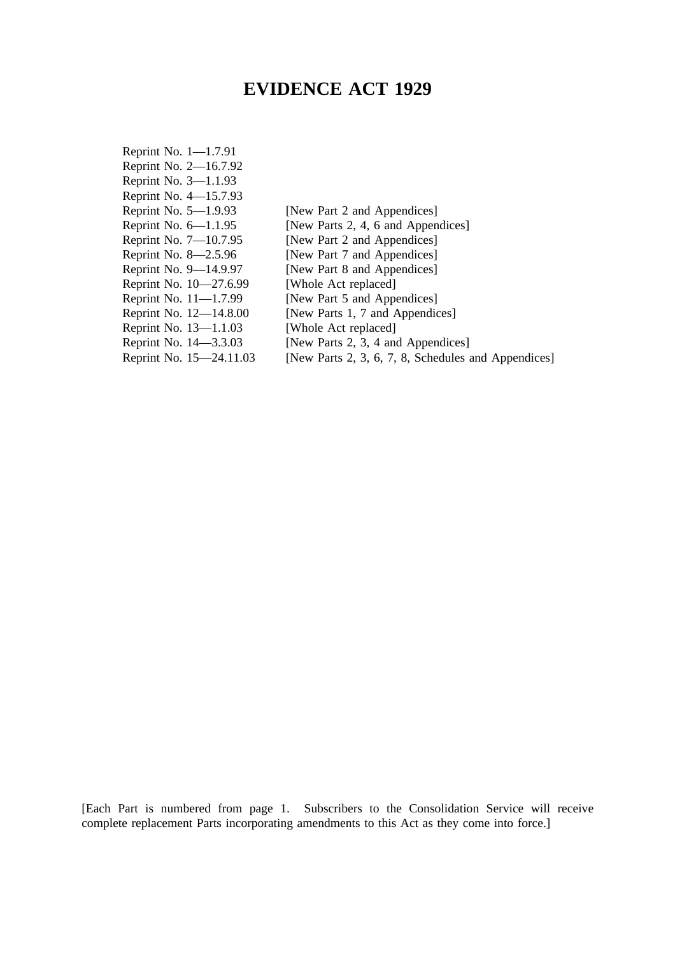# **EVIDENCE ACT 1929**

| [New Part 2 and Appendices]                         |
|-----------------------------------------------------|
| [New Parts 2, 4, 6 and Appendices]                  |
| [New Part 2 and Appendices]                         |
| [New Part 7 and Appendices]                         |
| [New Part 8 and Appendices]                         |
| [Whole Act replaced]                                |
| [New Part 5 and Appendices]                         |
| [New Parts 1, 7 and Appendices]                     |
| [Whole Act replaced]                                |
| [New Parts 2, 3, 4 and Appendices]                  |
| [New Parts 2, 3, 6, 7, 8, Schedules and Appendices] |
|                                                     |

[Each Part is numbered from page 1. Subscribers to the Consolidation Service will receive complete replacement Parts incorporating amendments to this Act as they come into force.]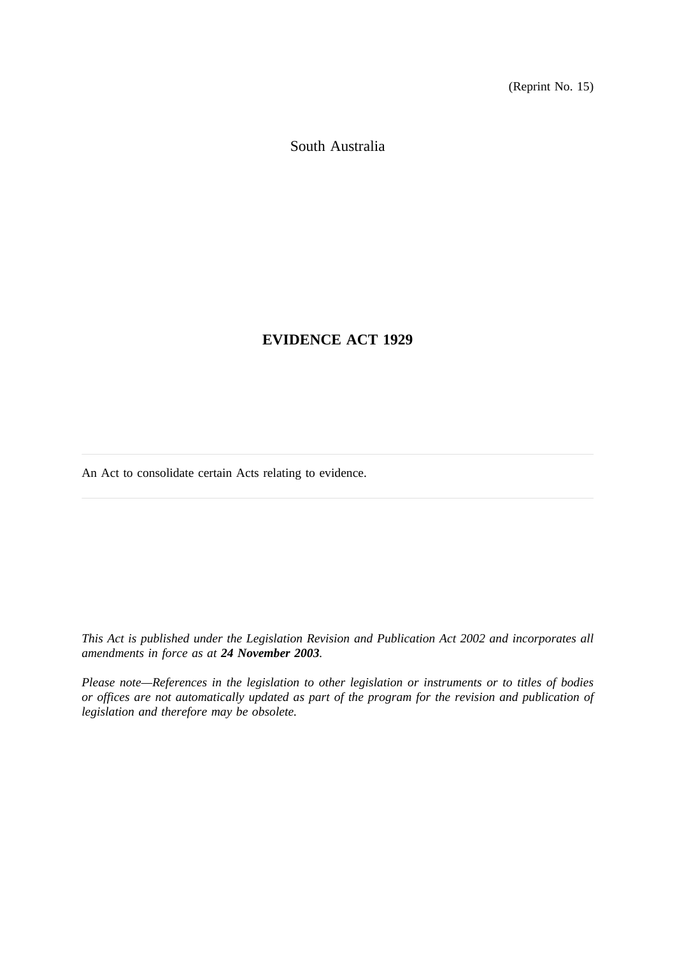(Reprint No. 15)

South Australia

**EVIDENCE ACT 1929**

An Act to consolidate certain Acts relating to evidence.

*This Act is published under the Legislation Revision and Publication Act 2002 and incorporates all amendments in force as at 24 November 2003.*

*Please note—References in the legislation to other legislation or instruments or to titles of bodies or offices are not automatically updated as part of the program for the revision and publication of legislation and therefore may be obsolete.*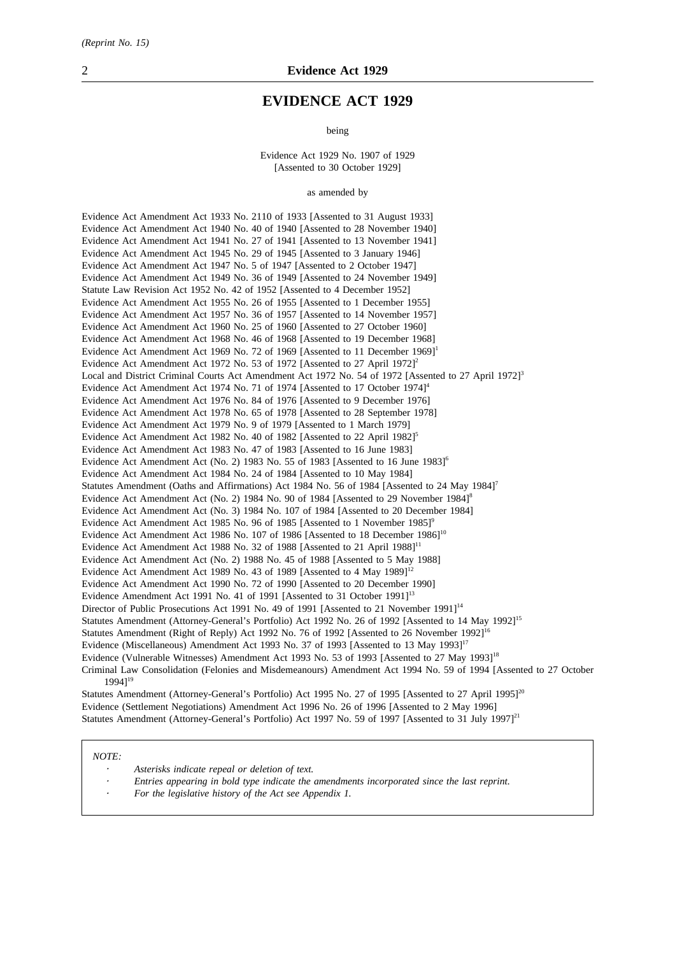# **EVIDENCE ACT 1929**

being

Evidence Act 1929 No. 1907 of 1929 [Assented to 30 October 1929]

as amended by

Evidence Act Amendment Act 1933 No. 2110 of 1933 [Assented to 31 August 1933] Evidence Act Amendment Act 1940 No. 40 of 1940 [Assented to 28 November 1940] Evidence Act Amendment Act 1941 No. 27 of 1941 [Assented to 13 November 1941] Evidence Act Amendment Act 1945 No. 29 of 1945 [Assented to 3 January 1946] Evidence Act Amendment Act 1947 No. 5 of 1947 [Assented to 2 October 1947] Evidence Act Amendment Act 1949 No. 36 of 1949 [Assented to 24 November 1949] Statute Law Revision Act 1952 No. 42 of 1952 [Assented to 4 December 1952] Evidence Act Amendment Act 1955 No. 26 of 1955 [Assented to 1 December 1955] Evidence Act Amendment Act 1957 No. 36 of 1957 [Assented to 14 November 1957] Evidence Act Amendment Act 1960 No. 25 of 1960 [Assented to 27 October 1960] Evidence Act Amendment Act 1968 No. 46 of 1968 [Assented to 19 December 1968] Evidence Act Amendment Act 1969 No. 72 of 1969 [Assented to 11 December 1969]<sup>1</sup> Evidence Act Amendment Act 1972 No. 53 of 1972 [Assented to 27 April 1972]<sup>2</sup> Local and District Criminal Courts Act Amendment Act 1972 No. 54 of 1972 [Assented to 27 April 1972]<sup>3</sup> Evidence Act Amendment Act 1974 No. 71 of 1974 [Assented to 17 October 1974]<sup>4</sup> Evidence Act Amendment Act 1976 No. 84 of 1976 [Assented to 9 December 1976] Evidence Act Amendment Act 1978 No. 65 of 1978 [Assented to 28 September 1978] Evidence Act Amendment Act 1979 No. 9 of 1979 [Assented to 1 March 1979] Evidence Act Amendment Act 1982 No. 40 of 1982 [Assented to 22 April 1982]<sup>5</sup> Evidence Act Amendment Act 1983 No. 47 of 1983 [Assented to 16 June 1983] Evidence Act Amendment Act (No. 2) 1983 No. 55 of 1983 [Assented to 16 June 1983]<sup>6</sup> Evidence Act Amendment Act 1984 No. 24 of 1984 [Assented to 10 May 1984] Statutes Amendment (Oaths and Affirmations) Act 1984 No. 56 of 1984 [Assented to 24 May 1984]<sup>7</sup> Evidence Act Amendment Act (No. 2) 1984 No. 90 of 1984 [Assented to 29 November 1984]<sup>8</sup> Evidence Act Amendment Act (No. 3) 1984 No. 107 of 1984 [Assented to 20 December 1984] Evidence Act Amendment Act 1985 No. 96 of 1985 [Assented to 1 November 1985]<sup>9</sup> Evidence Act Amendment Act 1986 No. 107 of 1986 [Assented to 18 December 1986]<sup>10</sup> Evidence Act Amendment Act 1988 No. 32 of 1988 [Assented to 21 April 1988]<sup>11</sup> Evidence Act Amendment Act (No. 2) 1988 No. 45 of 1988 [Assented to 5 May 1988] Evidence Act Amendment Act 1989 No. 43 of 1989 [Assented to 4 May 1989]<sup>12</sup> Evidence Act Amendment Act 1990 No. 72 of 1990 [Assented to 20 December 1990] Evidence Amendment Act 1991 No. 41 of 1991 [Assented to 31 October 1991]<sup>13</sup> Director of Public Prosecutions Act 1991 No. 49 of 1991 [Assented to 21 November 1991]<sup>14</sup> Statutes Amendment (Attorney-General's Portfolio) Act 1992 No. 26 of 1992 [Assented to 14 May 1992]<sup>15</sup> Statutes Amendment (Right of Reply) Act 1992 No. 76 of 1992 [Assented to 26 November 1992]<sup>16</sup> Evidence (Miscellaneous) Amendment Act 1993 No. 37 of 1993 [Assented to 13 May 1993]<sup>17</sup> Evidence (Vulnerable Witnesses) Amendment Act 1993 No. 53 of 1993 [Assented to 27 May 1993]<sup>18</sup> Criminal Law Consolidation (Felonies and Misdemeanours) Amendment Act 1994 No. 59 of 1994 [Assented to 27 October  $19941$ <sup>19</sup>

Statutes Amendment (Attorney-General's Portfolio) Act 1995 No. 27 of 1995 [Assented to 27 April 1995]<sup>20</sup> Evidence (Settlement Negotiations) Amendment Act 1996 No. 26 of 1996 [Assented to 2 May 1996] Statutes Amendment (Attorney-General's Portfolio) Act 1997 No. 59 of 1997 [Assented to 31 July 1997]<sup>21</sup>

#### *NOTE:*

*Asterisks indicate repeal or deletion of text.*

- *Entries appearing in bold type indicate the amendments incorporated since the last reprint.*
- *For the legislative history of the Act see Appendix 1.*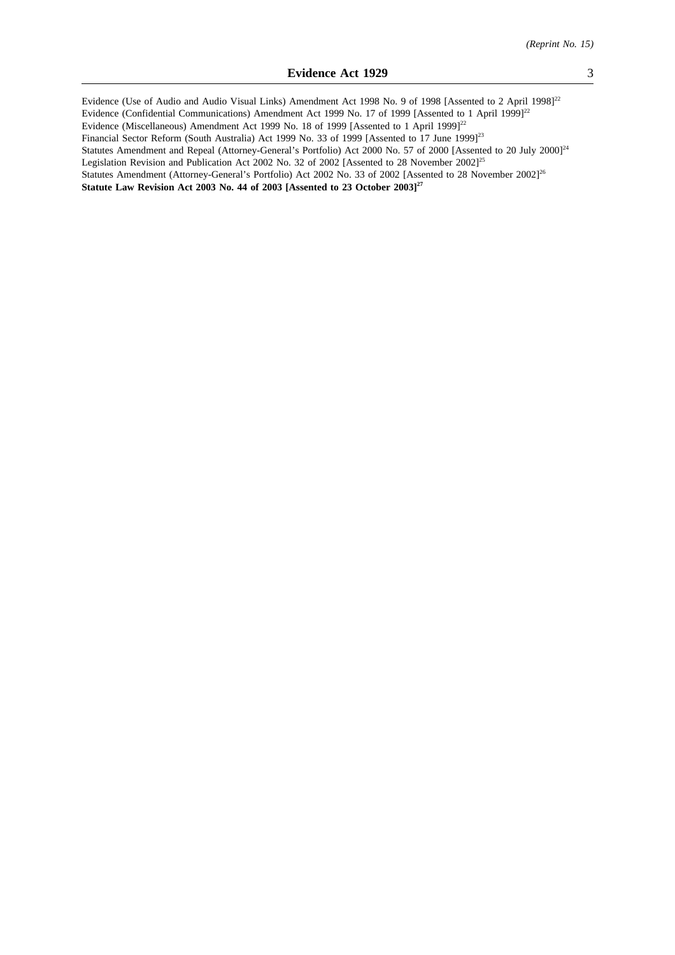Evidence (Use of Audio and Audio Visual Links) Amendment Act 1998 No. 9 of 1998 [Assented to 2 April 1998]<sup>22</sup> Evidence (Confidential Communications) Amendment Act 1999 No. 17 of 1999 [Assented to 1 April 1999]<sup>22</sup> Evidence (Miscellaneous) Amendment Act 1999 No. 18 of 1999 [Assented to 1 April 1999]<sup>22</sup> Financial Sector Reform (South Australia) Act 1999 No. 33 of 1999 [Assented to 17 June 1999]<sup>23</sup> Statutes Amendment and Repeal (Attorney-General's Portfolio) Act 2000 No. 57 of 2000 [Assented to 20 July 2000]<sup>24</sup> Legislation Revision and Publication Act 2002 No. 32 of 2002 [Assented to 28 November 2002]<sup>25</sup> Statutes Amendment (Attorney-General's Portfolio) Act 2002 No. 33 of 2002 [Assented to 28 November 2002]<sup>26</sup> **Statute Law Revision Act 2003 No. 44 of 2003 [Assented to 23 October 2003]27**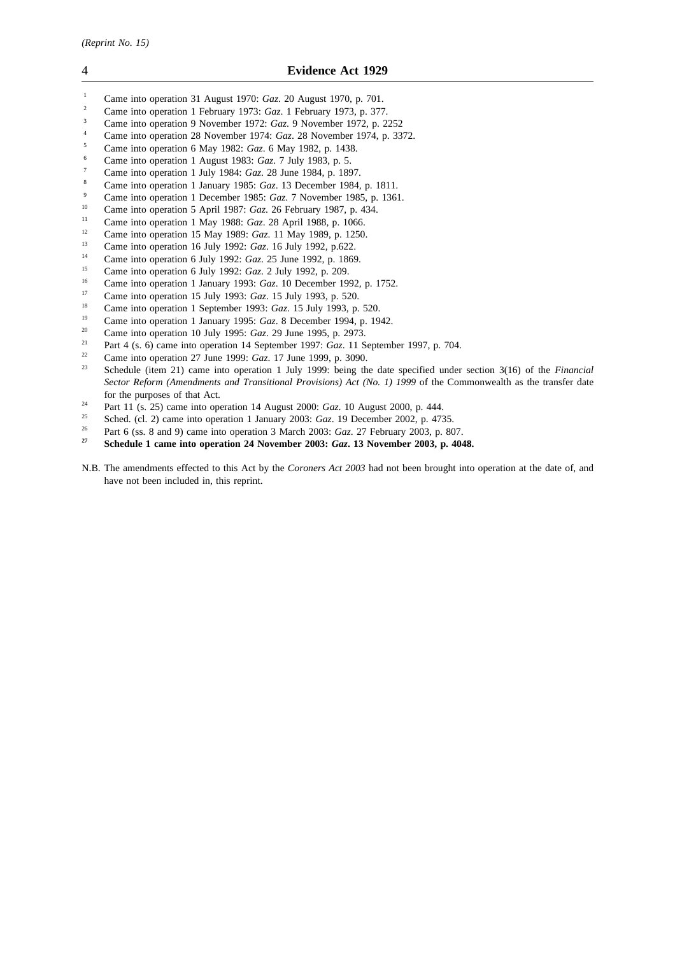- <sup>1</sup> Came into operation 31 August 1970: *Gaz*. 20 August 1970, p. 701.
- <sup>2</sup> Came into operation 1 February 1973: *Gaz*. 1 February 1973, p. 377.
- <sup>3</sup> Came into operation 9 November 1972: *Gaz*. 9 November 1972, p. 2252
- <sup>4</sup> Came into operation 28 November 1974: *Gaz*. 28 November 1974, p. 3372.
- <sup>5</sup> Came into operation 6 May 1982: *Gaz*. 6 May 1982, p. 1438.
- <sup>6</sup> Came into operation 1 August 1983: *Gaz*. 7 July 1983, p. 5.
- <sup>7</sup> Came into operation 1 July 1984: *Gaz*. 28 June 1984, p. 1897.
- <sup>8</sup> Came into operation 1 January 1985: *Gaz*. 13 December 1984, p. 1811.
- <sup>9</sup> Came into operation 1 December 1985: *Gaz.* 7 November 1985, p. 1361.<br><sup>10</sup> Came into operation 5 April 1987: *Gaz*. 26 Ephrugry 1987, p. 424.
- <sup>10</sup> Came into operation 5 April 1987: *Gaz*. 26 February 1987, p. 434.
- <sup>11</sup> Came into operation 1 May 1988: *Gaz*. 28 April 1988, p. 1066.
- <sup>12</sup> Came into operation 15 May 1989: *Gaz*. 11 May 1989, p. 1250.<br><sup>13</sup> Came into approxima 16 July 1993: *Gara* 16 July 1993, p. 223.
- <sup>13</sup> Came into operation 16 July 1992: *Gaz*. 16 July 1992, p.622.
- <sup>14</sup> Came into operation 6 July 1992: *Gaz*. 25 June 1992, p. 1869.
- <sup>15</sup> Came into operation 6 July 1992: *Gaz*. 2 July 1992, p. 209.
- <sup>16</sup> Came into operation 1 January 1993: *Gaz*. 10 December 1992, p. 1752.<br><sup>17</sup> Came into operation 15 July 1003: *Caz*. 15 July 1003, p. 520.
- <sup>17</sup> Came into operation 15 July 1993: *Gaz*. 15 July 1993, p. 520.<br><sup>18</sup> Came into operation 1 Soptember 1993: *Gaz*. 15 July 1993, p.
- <sup>18</sup> Came into operation 1 September 1993: *Gaz*. 15 July 1993, p. 520.
- <sup>19</sup> Came into operation 1 January 1995: *Gaz*. 8 December 1994, p. 1942.<br><sup>20</sup> Came into operation 10 July 1995: *Gaz*. 29 June 1995, p. 2973.
- <sup>20</sup> Came into operation 10 July 1995: *Gaz*. 29 June 1995, p. 2973.
- <sup>21</sup> Part 4 (s. 6) came into operation 14 September 1997: *Gaz*. 11 September 1997, p. 704.
- <sup>22</sup> Came into operation 27 June 1999: *Gaz*. 17 June 1999, p. 3090.
- <sup>23</sup> Schedule (item 21) came into operation 1 July 1999: being the date specified under section 3(16) of the *Financial Sector Reform (Amendments and Transitional Provisions) Act (No. 1) 1999* of the Commonwealth as the transfer date for the purposes of that Act.
- <sup>24</sup> Part 11 (s. 25) came into operation 14 August 2000: *Gaz*. 10 August 2000, p. 444.
- <sup>25</sup> Sched. (cl. 2) came into operation 1 January 2003: *Gaz*. 19 December 2002, p. 4735.
- <sup>26</sup> Part 6 (ss. 8 and 9) came into operation 3 March 2003: *Gaz*. 27 February 2003, p. 807.<br> **Schodule 1 came into operation 24 November 2003:** *Ggz*. 13 November 2003, p. 400
- **<sup>27</sup> Schedule 1 came into operation 24 November 2003:** *Gaz***. 13 November 2003, p. 4048.**
- N.B. The amendments effected to this Act by the *Coroners Act 2003* had not been brought into operation at the date of, and have not been included in, this reprint.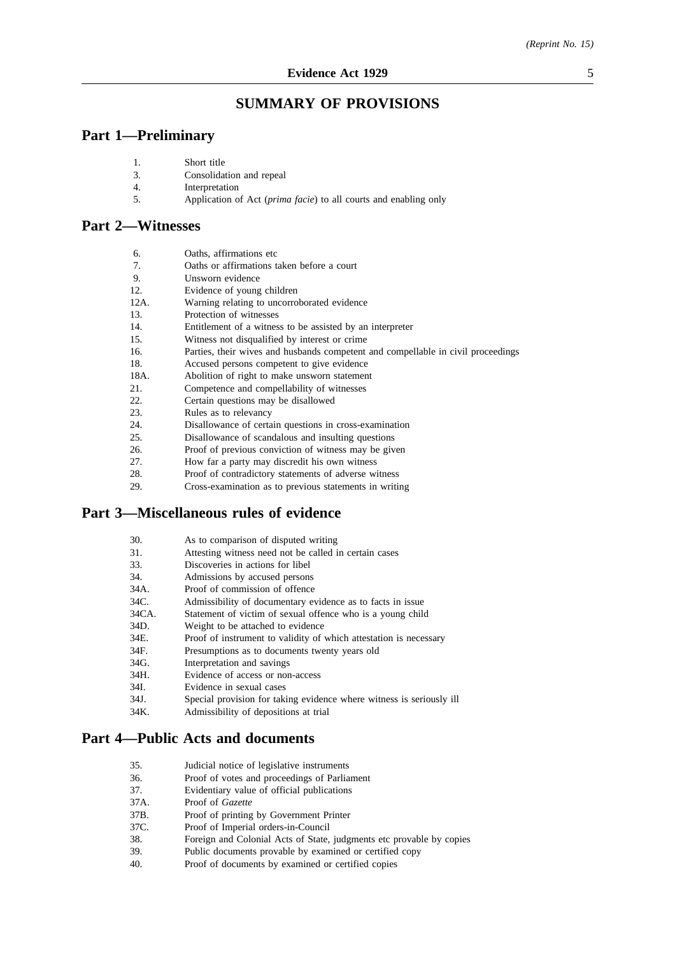# **SUMMARY OF PROVISIONS**

# **Part 1—Preliminary**

| Short title |  |
|-------------|--|
|             |  |

- 4. Interpretation
- 5. Application of Act (*prima facie*) to all courts and enabling only

# **Part 2—Witnesses**

| 6.   | Oaths, affirmations etc.                                                         |
|------|----------------------------------------------------------------------------------|
| 7.   | Oaths or affirmations taken before a court                                       |
| 9.   | Unsworn evidence                                                                 |
| 12.  | Evidence of young children                                                       |
| 12A. | Warning relating to uncorroborated evidence                                      |
| 13.  | Protection of witnesses                                                          |
| 14.  | Entitlement of a witness to be assisted by an interpreter                        |
| 15.  | Witness not disqualified by interest or crime.                                   |
| 16.  | Parties, their wives and husbands competent and compellable in civil proceedings |
| 18.  | Accused persons competent to give evidence                                       |
| 18A. | Abolition of right to make unsworn statement                                     |
| 21.  | Competence and compellability of witnesses                                       |
| 22.  | Certain questions may be disallowed                                              |
| 23.  | Rules as to relevancy                                                            |
| 24.  | Disallowance of certain questions in cross-examination                           |
| 25.  | Disallowance of scandalous and insulting questions                               |
| 26.  | Proof of previous conviction of witness may be given                             |
| 27.  | How far a party may discredit his own witness                                    |
| 28.  | Proof of contradictory statements of adverse witness                             |
| 29.  | Cross-examination as to previous statements in writing                           |
|      |                                                                                  |
|      | <b>Part 3—Miscellaneous rules of evidence</b>                                    |

| 30. | As to comparison of disputed writing |  |  |
|-----|--------------------------------------|--|--|
|     |                                      |  |  |

- 31. Attesting witness need not be called in certain cases<br>33. Discoveries in actions for libel
- 33. Discoveries in actions for libel<br>34. Admissions by accused persons
- 34. Admissions by accused persons<br>34A. Proof of commission of offence
- Proof of commission of offence
- 34C. Admissibility of documentary evidence as to facts in issue
- 34CA. Statement of victim of sexual offence who is a young child
- 34D. Weight to be attached to evidence<br>34E. Proof of instrument to validity of y
- 34E. Proof of instrument to validity of which attestation is necessary 34F. Presumptions as to documents twenty vears old
- 34F. Presumptions as to documents twenty years old<br>34G. Interpretation and savings
- 34G. Interpretation and savings<br>34H. Evidence of access or non
- Evidence of access or non-access
- 34I. Evidence in sexual cases
- 34J. Special provision for taking evidence where witness is seriously ill
- 34K. Admissibility of depositions at trial

# **Part 4—Public Acts and documents**

- 35. Judicial notice of legislative instruments<br>36 Proof of votes and proceedings of Parlia
- Proof of votes and proceedings of Parliament
- 37. Evidentiary value of official publications
- 37A. Proof of *Gazette*
- 37B. Proof of printing by Government Printer
- 37C. Proof of Imperial orders-in-Council
- 38. Foreign and Colonial Acts of State, judgments etc provable by copies
- 39. Public documents provable by examined or certified copy
- 40. Proof of documents by examined or certified copies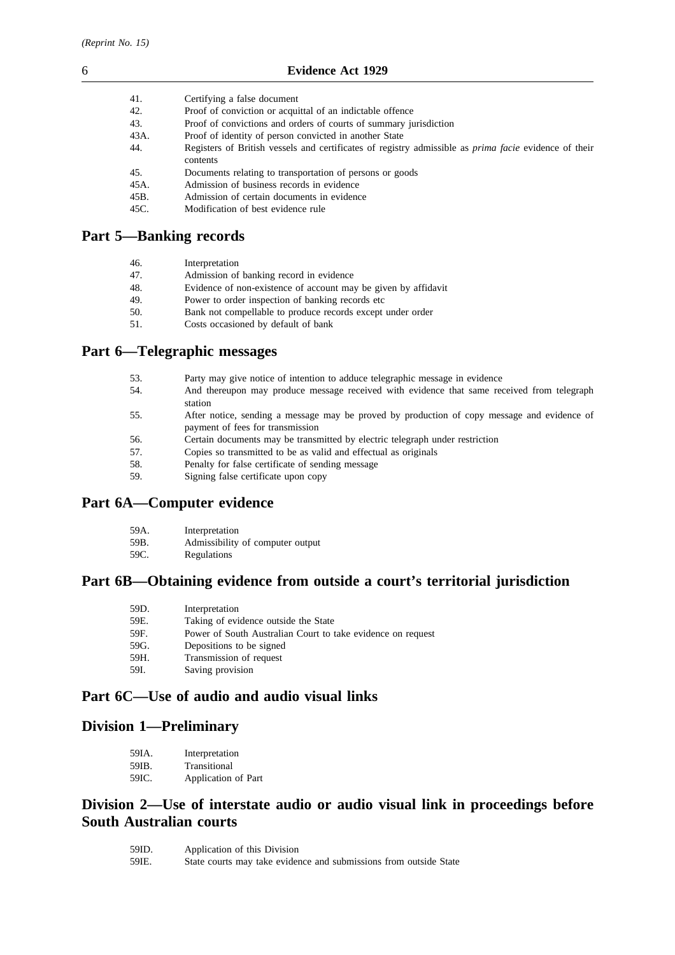| 41.  | Certifying a false document                                                                                  |
|------|--------------------------------------------------------------------------------------------------------------|
| 42.  | Proof of conviction or acquittal of an indictable offence                                                    |
| 43.  | Proof of convictions and orders of courts of summary jurisdiction                                            |
| 43A. | Proof of identity of person convicted in another State                                                       |
| 44.  | Registers of British vessels and certificates of registry admissible as <i>prima facie</i> evidence of their |
|      | contents                                                                                                     |
| 45.  | Documents relating to transportation of persons or goods                                                     |
| 45A. | Admission of business records in evidence                                                                    |
| 45B. | Admission of certain documents in evidence                                                                   |
| 45C. | Modification of best evidence rule                                                                           |

# **Part 5—Banking records**

| 46. | Interpretation |
|-----|----------------|
|     |                |

| 47. | Admission of banking record in evidence |  |
|-----|-----------------------------------------|--|
|-----|-----------------------------------------|--|

- 48. Evidence of non-existence of account may be given by affidavit
- 49. Power to order inspection of banking records etc
- 50. Bank not compellable to produce records except under order
- 51. Costs occasioned by default of bank

# **Part 6—Telegraphic messages**

- 53. Party may give notice of intention to adduce telegraphic message in evidence
- 54. And thereupon may produce message received with evidence that same received from telegraph station
- 55. After notice, sending a message may be proved by production of copy message and evidence of payment of fees for transmission
- 56. Certain documents may be transmitted by electric telegraph under restriction
- 57. Copies so transmitted to be as valid and effectual as originals
- 58. Penalty for false certificate of sending message
- 59. Signing false certificate upon copy

# **Part 6A—Computer evidence**

| 59A. | Interpretation |
|------|----------------|
|------|----------------|

- 59B. Admissibility of computer output
- 59C. Regulations

# **Part 6B—Obtaining evidence from outside a court's territorial jurisdiction**

| 59D. | Interpretation                                              |
|------|-------------------------------------------------------------|
| 59E. | Taking of evidence outside the State                        |
| 59F. | Power of South Australian Court to take evidence on request |
| 59G. | Depositions to be signed                                    |
| 59H. | Transmission of request                                     |
| 59I. | Saving provision                                            |

# **Part 6C—Use of audio and audio visual links**

# **Division 1—Preliminary**

| 59IA. | Interpretation      |
|-------|---------------------|
| 59IB. | Transitional        |
| 59IC. | Application of Part |

# **Division 2—Use of interstate audio or audio visual link in proceedings before South Australian courts**

| 59ID. | Application of this Division                                      |
|-------|-------------------------------------------------------------------|
| 59IE. | State courts may take evidence and submissions from outside State |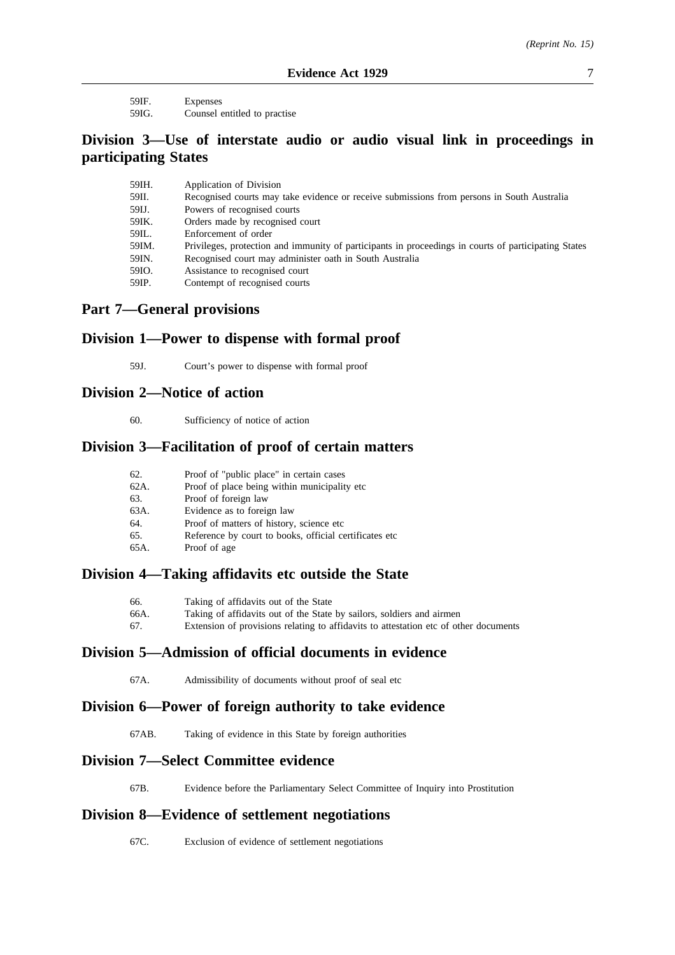59IF. Expenses 59IG. Counsel entitled to practise

# **Division 3—Use of interstate audio or audio visual link in proceedings in participating States**

| 59IH. | Application of Division                                                                              |
|-------|------------------------------------------------------------------------------------------------------|
| 59II. | Recognised courts may take evidence or receive submissions from persons in South Australia           |
| 59IJ. | Powers of recognised courts                                                                          |
| 59IK. | Orders made by recognised court                                                                      |
| 59IL. | Enforcement of order                                                                                 |
| 59IM. | Privileges, protection and immunity of participants in proceedings in courts of participating States |
| 59IN. | Recognised court may administer oath in South Australia                                              |
| 59IO. | Assistance to recognised court                                                                       |
| 59IP. | Contempt of recognised courts                                                                        |

# **Part 7—General provisions**

# **Division 1—Power to dispense with formal proof**

59J. Court's power to dispense with formal proof

# **Division 2—Notice of action**

60. Sufficiency of notice of action

# **Division 3—Facilitation of proof of certain matters**

| 62.  | Proof of "public place" in certain cases                |
|------|---------------------------------------------------------|
| 62A. | Proof of place being within municipality etc.           |
| 63.  | Proof of foreign law                                    |
| 63A. | Evidence as to foreign law                              |
| 64.  | Proof of matters of history, science etc.               |
| 65.  | Reference by court to books, official certificates etc. |
| 65A. | Proof of age                                            |

# **Division 4—Taking affidavits etc outside the State**

| 66.  | Taking of affidavits out of the State                                                |
|------|--------------------------------------------------------------------------------------|
| 66A. | Taking of affidavits out of the State by sailors, soldiers and airmen                |
| 67.  | Extension of provisions relating to affidavits to attestation etc of other documents |

# **Division 5—Admission of official documents in evidence**

67A. Admissibility of documents without proof of seal etc

# **Division 6—Power of foreign authority to take evidence**

67AB. Taking of evidence in this State by foreign authorities

# **Division 7—Select Committee evidence**

67B. Evidence before the Parliamentary Select Committee of Inquiry into Prostitution

# **Division 8—Evidence of settlement negotiations**

67C. Exclusion of evidence of settlement negotiations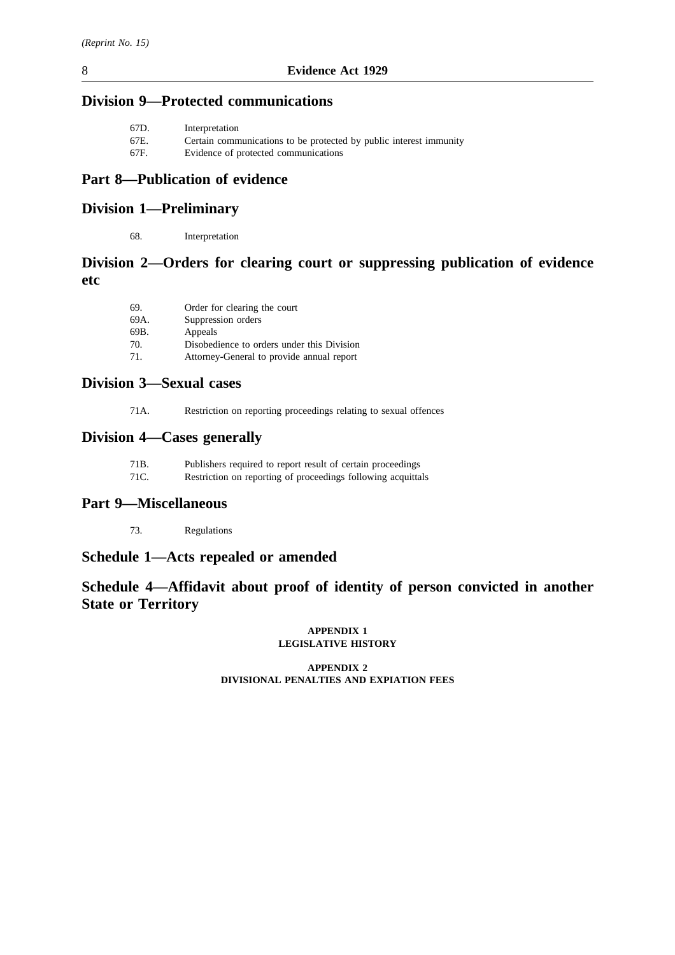# **Division 9—Protected communications**

| 67D. | Interpretation                                                     |
|------|--------------------------------------------------------------------|
| 67E. | Certain communications to be protected by public interest immunity |
| 67F. | Evidence of protected communications                               |
|      |                                                                    |

# **Part 8—Publication of evidence**

# **Division 1—Preliminary**

68. Interpretation

# **Division 2—Orders for clearing court or suppressing publication of evidence etc**

| 69.  | Order for clearing the court               |
|------|--------------------------------------------|
| 69A. | Suppression orders                         |
| 69B. | Appeals                                    |
| 70.  | Disobedience to orders under this Division |
| 71.  | Attorney-General to provide annual report  |

# **Division 3—Sexual cases**

71A. Restriction on reporting proceedings relating to sexual offences

# **Division 4—Cases generally**

| 71B. | Publishers required to report result of certain proceedings  |
|------|--------------------------------------------------------------|
| 71C. | Restriction on reporting of proceedings following acquittals |

# **Part 9—Miscellaneous**

73. Regulations

# **Schedule 1—Acts repealed or amended**

# **Schedule 4—Affidavit about proof of identity of person convicted in another State or Territory**

#### **APPENDIX 1 LEGISLATIVE HISTORY**

### **APPENDIX 2 DIVISIONAL PENALTIES AND EXPIATION FEES**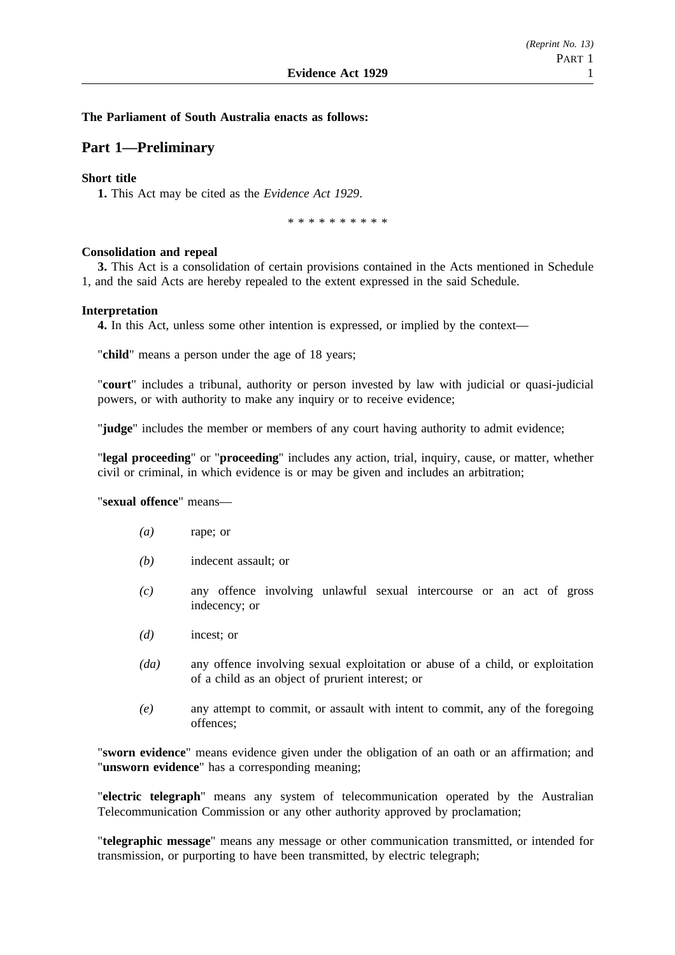### **The Parliament of South Australia enacts as follows:**

# **Part 1—Preliminary**

### **Short title**

**1.** This Act may be cited as the *Evidence Act 1929*.

\*\*\*\*\*\*\*\*\*\*

### **Consolidation and repeal**

**3.** This Act is a consolidation of certain provisions contained in the Acts mentioned in Schedule 1, and the said Acts are hereby repealed to the extent expressed in the said Schedule.

#### **Interpretation**

**4.** In this Act, unless some other intention is expressed, or implied by the context—

"**child**" means a person under the age of 18 years;

"**court**" includes a tribunal, authority or person invested by law with judicial or quasi-judicial powers, or with authority to make any inquiry or to receive evidence;

"**judge**" includes the member or members of any court having authority to admit evidence;

"**legal proceeding**" or "**proceeding**" includes any action, trial, inquiry, cause, or matter, whether civil or criminal, in which evidence is or may be given and includes an arbitration;

"**sexual offence**" means—

- *(a)* rape; or
- *(b)* indecent assault; or
- *(c)* any offence involving unlawful sexual intercourse or an act of gross indecency; or
- *(d)* incest; or
- *(da)* any offence involving sexual exploitation or abuse of a child, or exploitation of a child as an object of prurient interest; or
- *(e)* any attempt to commit, or assault with intent to commit, any of the foregoing offences;

"**sworn evidence**" means evidence given under the obligation of an oath or an affirmation; and "**unsworn evidence**" has a corresponding meaning;

"**electric telegraph**" means any system of telecommunication operated by the Australian Telecommunication Commission or any other authority approved by proclamation;

"**telegraphic message**" means any message or other communication transmitted, or intended for transmission, or purporting to have been transmitted, by electric telegraph;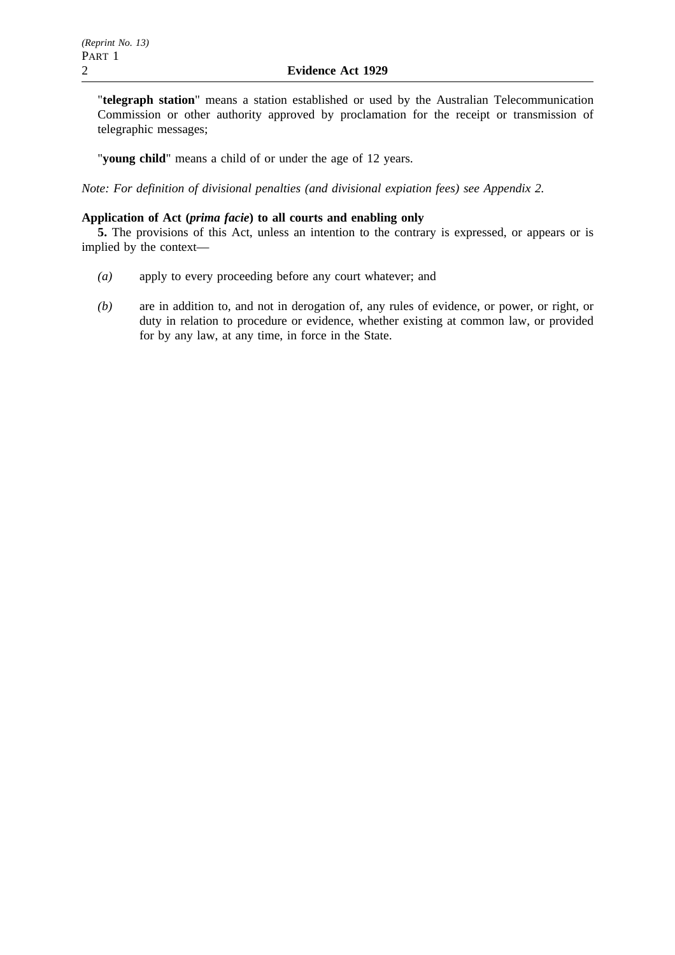"**telegraph station**" means a station established or used by the Australian Telecommunication Commission or other authority approved by proclamation for the receipt or transmission of telegraphic messages;

"**young child**" means a child of or under the age of 12 years.

*Note: For definition of divisional penalties (and divisional expiation fees) see Appendix 2.*

# **Application of Act (***prima facie***) to all courts and enabling only**

**5.** The provisions of this Act, unless an intention to the contrary is expressed, or appears or is implied by the context—

- *(a)* apply to every proceeding before any court whatever; and
- *(b)* are in addition to, and not in derogation of, any rules of evidence, or power, or right, or duty in relation to procedure or evidence, whether existing at common law, or provided for by any law, at any time, in force in the State.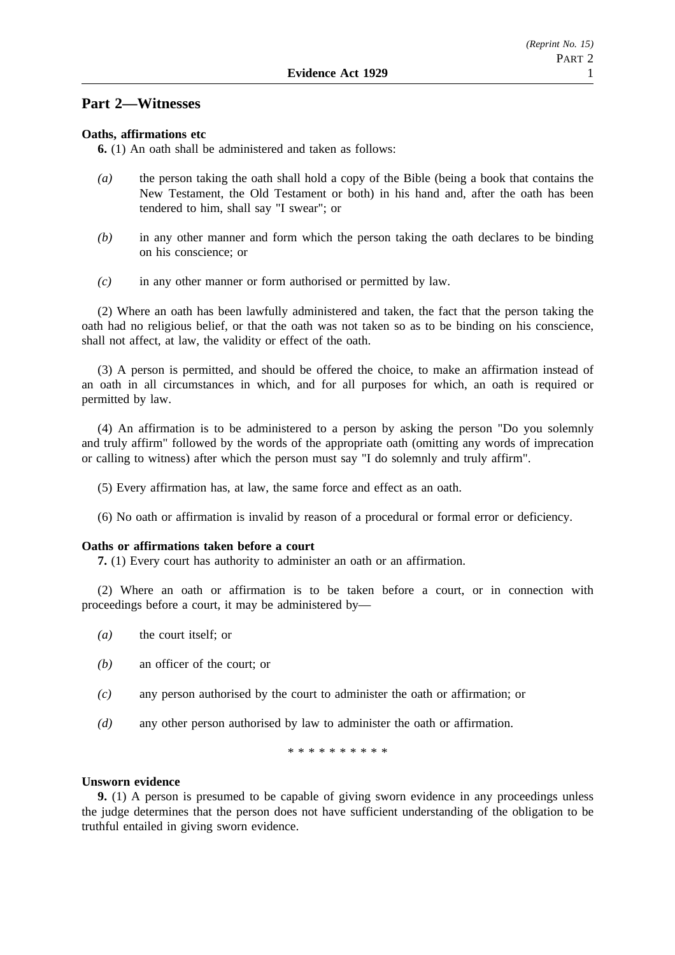# **Part 2—Witnesses**

### **Oaths, affirmations etc**

**6.** (1) An oath shall be administered and taken as follows:

- *(a)* the person taking the oath shall hold a copy of the Bible (being a book that contains the New Testament, the Old Testament or both) in his hand and, after the oath has been tendered to him, shall say "I swear"; or
- *(b)* in any other manner and form which the person taking the oath declares to be binding on his conscience; or
- *(c)* in any other manner or form authorised or permitted by law.

(2) Where an oath has been lawfully administered and taken, the fact that the person taking the oath had no religious belief, or that the oath was not taken so as to be binding on his conscience, shall not affect, at law, the validity or effect of the oath.

(3) A person is permitted, and should be offered the choice, to make an affirmation instead of an oath in all circumstances in which, and for all purposes for which, an oath is required or permitted by law.

(4) An affirmation is to be administered to a person by asking the person "Do you solemnly and truly affirm" followed by the words of the appropriate oath (omitting any words of imprecation or calling to witness) after which the person must say "I do solemnly and truly affirm".

- (5) Every affirmation has, at law, the same force and effect as an oath.
- (6) No oath or affirmation is invalid by reason of a procedural or formal error or deficiency.

# **Oaths or affirmations taken before a court**

**7.** (1) Every court has authority to administer an oath or an affirmation.

(2) Where an oath or affirmation is to be taken before a court, or in connection with proceedings before a court, it may be administered by—

- *(a)* the court itself; or
- *(b)* an officer of the court; or
- *(c)* any person authorised by the court to administer the oath or affirmation; or
- *(d)* any other person authorised by law to administer the oath or affirmation.

\*\*\*\*\*\*\*\*\*\*

#### **Unsworn evidence**

**9.** (1) A person is presumed to be capable of giving sworn evidence in any proceedings unless the judge determines that the person does not have sufficient understanding of the obligation to be truthful entailed in giving sworn evidence.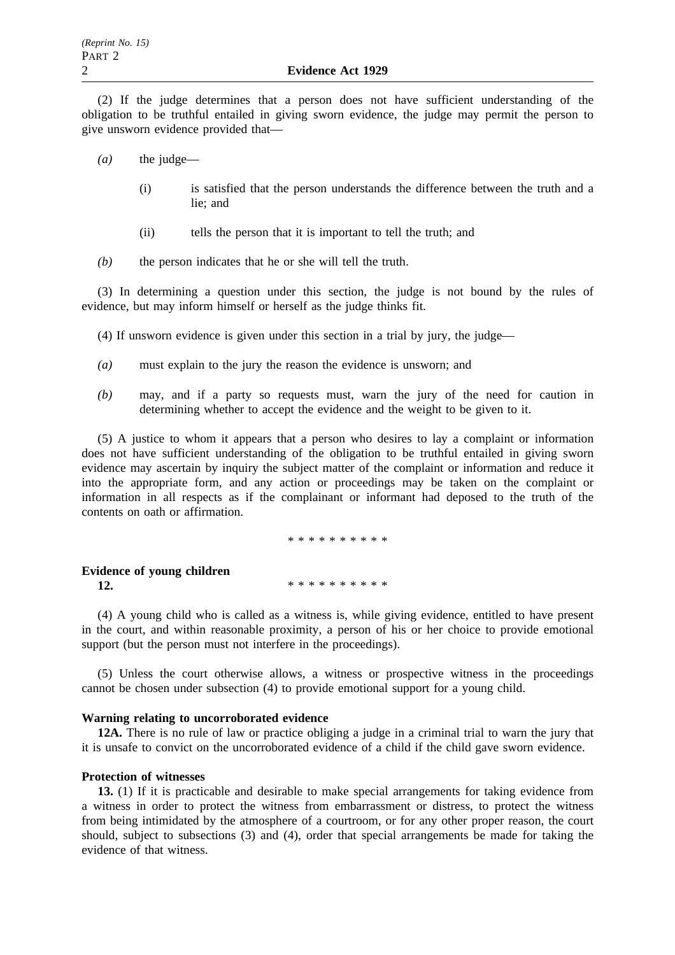(2) If the judge determines that a person does not have sufficient understanding of the obligation to be truthful entailed in giving sworn evidence, the judge may permit the person to give unsworn evidence provided that—

- *(a)* the judge—
	- (i) is satisfied that the person understands the difference between the truth and a lie; and
	- (ii) tells the person that it is important to tell the truth; and
- *(b)* the person indicates that he or she will tell the truth.

(3) In determining a question under this section, the judge is not bound by the rules of evidence, but may inform himself or herself as the judge thinks fit.

- (4) If unsworn evidence is given under this section in a trial by jury, the judge—
- *(a)* must explain to the jury the reason the evidence is unsworn; and
- *(b)* may, and if a party so requests must, warn the jury of the need for caution in determining whether to accept the evidence and the weight to be given to it.

(5) A justice to whom it appears that a person who desires to lay a complaint or information does not have sufficient understanding of the obligation to be truthful entailed in giving sworn evidence may ascertain by inquiry the subject matter of the complaint or information and reduce it into the appropriate form, and any action or proceedings may be taken on the complaint or information in all respects as if the complainant or informant had deposed to the truth of the contents on oath or affirmation.

\*\*\*\*\*\*\*\*\*\*

**Evidence of young children 12.** \*\*\*\*\*\*\*\*\*\*\*\*

(4) A young child who is called as a witness is, while giving evidence, entitled to have present in the court, and within reasonable proximity, a person of his or her choice to provide emotional support (but the person must not interfere in the proceedings).

(5) Unless the court otherwise allows, a witness or prospective witness in the proceedings cannot be chosen under subsection (4) to provide emotional support for a young child.

#### **Warning relating to uncorroborated evidence**

**12A.** There is no rule of law or practice obliging a judge in a criminal trial to warn the jury that it is unsafe to convict on the uncorroborated evidence of a child if the child gave sworn evidence.

#### **Protection of witnesses**

**13.** (1) If it is practicable and desirable to make special arrangements for taking evidence from a witness in order to protect the witness from embarrassment or distress, to protect the witness from being intimidated by the atmosphere of a courtroom, or for any other proper reason, the court should, subject to subsections (3) and (4), order that special arrangements be made for taking the evidence of that witness.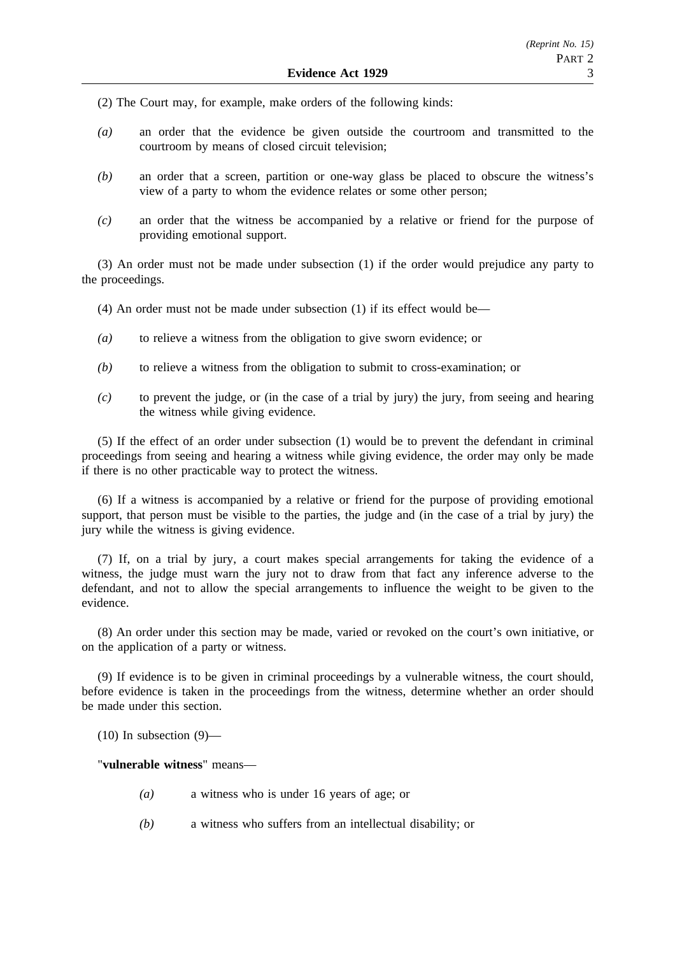(2) The Court may, for example, make orders of the following kinds:

- *(a)* an order that the evidence be given outside the courtroom and transmitted to the courtroom by means of closed circuit television;
- *(b)* an order that a screen, partition or one-way glass be placed to obscure the witness's view of a party to whom the evidence relates or some other person;
- *(c)* an order that the witness be accompanied by a relative or friend for the purpose of providing emotional support.

(3) An order must not be made under subsection (1) if the order would prejudice any party to the proceedings.

- (4) An order must not be made under subsection (1) if its effect would be—
- *(a)* to relieve a witness from the obligation to give sworn evidence; or
- *(b)* to relieve a witness from the obligation to submit to cross-examination; or
- *(c)* to prevent the judge, or (in the case of a trial by jury) the jury, from seeing and hearing the witness while giving evidence.

(5) If the effect of an order under subsection (1) would be to prevent the defendant in criminal proceedings from seeing and hearing a witness while giving evidence, the order may only be made if there is no other practicable way to protect the witness.

(6) If a witness is accompanied by a relative or friend for the purpose of providing emotional support, that person must be visible to the parties, the judge and (in the case of a trial by jury) the jury while the witness is giving evidence.

(7) If, on a trial by jury, a court makes special arrangements for taking the evidence of a witness, the judge must warn the jury not to draw from that fact any inference adverse to the defendant, and not to allow the special arrangements to influence the weight to be given to the evidence.

(8) An order under this section may be made, varied or revoked on the court's own initiative, or on the application of a party or witness.

(9) If evidence is to be given in criminal proceedings by a vulnerable witness, the court should, before evidence is taken in the proceedings from the witness, determine whether an order should be made under this section.

 $(10)$  In subsection  $(9)$ —

"**vulnerable witness**" means—

- *(a)* a witness who is under 16 years of age; or
- *(b)* a witness who suffers from an intellectual disability; or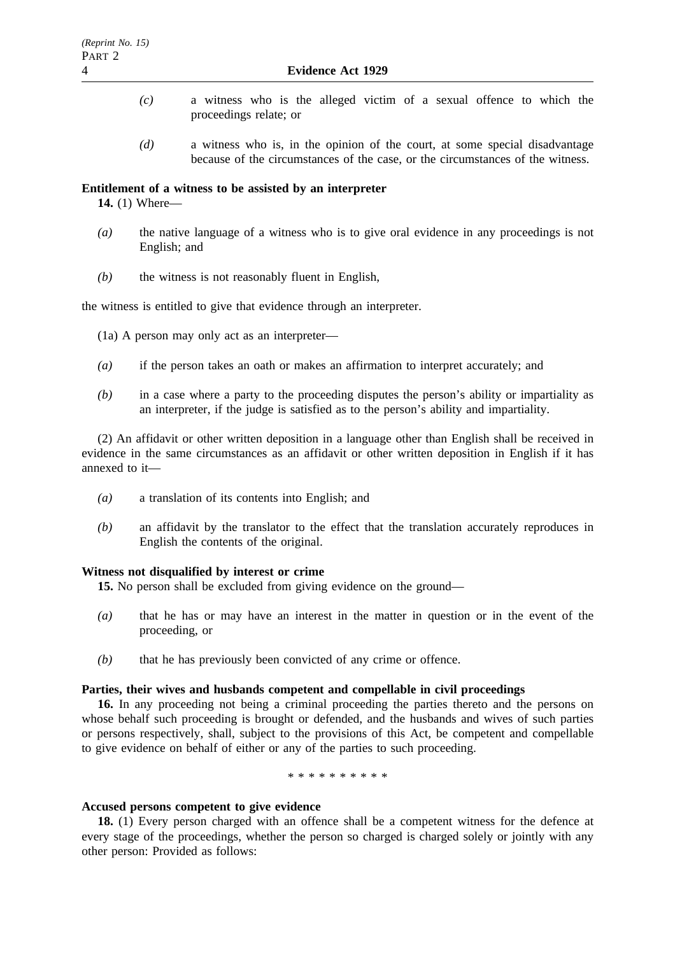- *(c)* a witness who is the alleged victim of a sexual offence to which the proceedings relate; or
- *(d)* a witness who is, in the opinion of the court, at some special disadvantage because of the circumstances of the case, or the circumstances of the witness.

#### **Entitlement of a witness to be assisted by an interpreter**

**14.** (1) Where—

- *(a)* the native language of a witness who is to give oral evidence in any proceedings is not English; and
- *(b)* the witness is not reasonably fluent in English,

the witness is entitled to give that evidence through an interpreter.

(1a) A person may only act as an interpreter—

- *(a)* if the person takes an oath or makes an affirmation to interpret accurately; and
- *(b)* in a case where a party to the proceeding disputes the person's ability or impartiality as an interpreter, if the judge is satisfied as to the person's ability and impartiality.

(2) An affidavit or other written deposition in a language other than English shall be received in evidence in the same circumstances as an affidavit or other written deposition in English if it has annexed to it—

- *(a)* a translation of its contents into English; and
- *(b)* an affidavit by the translator to the effect that the translation accurately reproduces in English the contents of the original.

#### **Witness not disqualified by interest or crime**

**15.** No person shall be excluded from giving evidence on the ground—

- *(a)* that he has or may have an interest in the matter in question or in the event of the proceeding, or
- *(b)* that he has previously been convicted of any crime or offence.

#### **Parties, their wives and husbands competent and compellable in civil proceedings**

**16.** In any proceeding not being a criminal proceeding the parties thereto and the persons on whose behalf such proceeding is brought or defended, and the husbands and wives of such parties or persons respectively, shall, subject to the provisions of this Act, be competent and compellable to give evidence on behalf of either or any of the parties to such proceeding.

\*\*\*\*\*\*\*\*\*\*

#### **Accused persons competent to give evidence**

**18.** (1) Every person charged with an offence shall be a competent witness for the defence at every stage of the proceedings, whether the person so charged is charged solely or jointly with any other person: Provided as follows: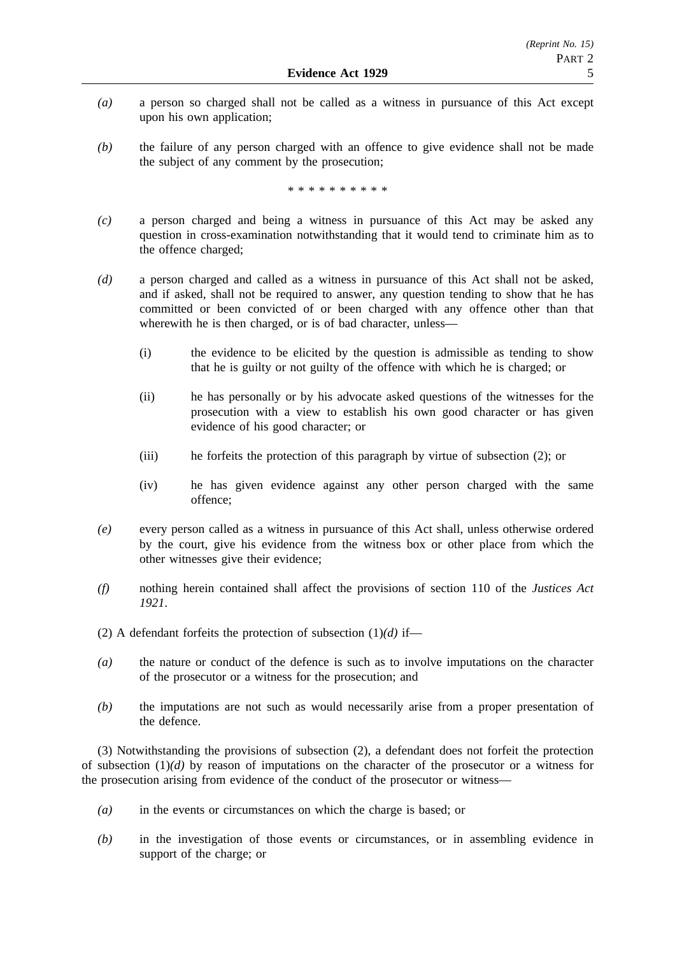- *(a)* a person so charged shall not be called as a witness in pursuance of this Act except upon his own application;
- *(b)* the failure of any person charged with an offence to give evidence shall not be made the subject of any comment by the prosecution;

\*\*\*\*\*\*\*\*\*\*

- *(c)* a person charged and being a witness in pursuance of this Act may be asked any question in cross-examination notwithstanding that it would tend to criminate him as to the offence charged;
- *(d)* a person charged and called as a witness in pursuance of this Act shall not be asked, and if asked, shall not be required to answer, any question tending to show that he has committed or been convicted of or been charged with any offence other than that wherewith he is then charged, or is of bad character, unless—
	- (i) the evidence to be elicited by the question is admissible as tending to show that he is guilty or not guilty of the offence with which he is charged; or
	- (ii) he has personally or by his advocate asked questions of the witnesses for the prosecution with a view to establish his own good character or has given evidence of his good character; or
	- (iii) he forfeits the protection of this paragraph by virtue of subsection (2); or
	- (iv) he has given evidence against any other person charged with the same offence;
- *(e)* every person called as a witness in pursuance of this Act shall, unless otherwise ordered by the court, give his evidence from the witness box or other place from which the other witnesses give their evidence;
- *(f)* nothing herein contained shall affect the provisions of section 110 of the *Justices Act 1921*.
- (2) A defendant forfeits the protection of subsection  $(1)(d)$  if—
- *(a)* the nature or conduct of the defence is such as to involve imputations on the character of the prosecutor or a witness for the prosecution; and
- *(b)* the imputations are not such as would necessarily arise from a proper presentation of the defence.

(3) Notwithstanding the provisions of subsection (2), a defendant does not forfeit the protection of subsection (1)*(d)* by reason of imputations on the character of the prosecutor or a witness for the prosecution arising from evidence of the conduct of the prosecutor or witness—

- *(a)* in the events or circumstances on which the charge is based; or
- *(b)* in the investigation of those events or circumstances, or in assembling evidence in support of the charge; or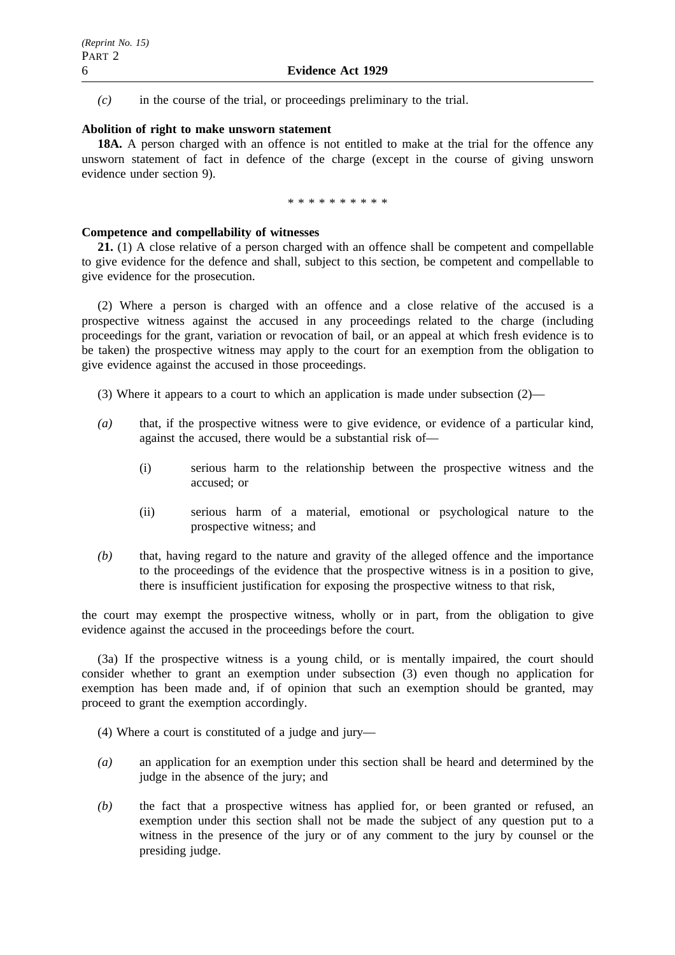*(c)* in the course of the trial, or proceedings preliminary to the trial.

### **Abolition of right to make unsworn statement**

**18A.** A person charged with an offence is not entitled to make at the trial for the offence any unsworn statement of fact in defence of the charge (except in the course of giving unsworn evidence under section 9).

\*\*\*\*\*\*\*\*\*\*

### **Competence and compellability of witnesses**

**21.** (1) A close relative of a person charged with an offence shall be competent and compellable to give evidence for the defence and shall, subject to this section, be competent and compellable to give evidence for the prosecution.

(2) Where a person is charged with an offence and a close relative of the accused is a prospective witness against the accused in any proceedings related to the charge (including proceedings for the grant, variation or revocation of bail, or an appeal at which fresh evidence is to be taken) the prospective witness may apply to the court for an exemption from the obligation to give evidence against the accused in those proceedings.

(3) Where it appears to a court to which an application is made under subsection  $(2)$ —

- *(a)* that, if the prospective witness were to give evidence, or evidence of a particular kind, against the accused, there would be a substantial risk of—
	- (i) serious harm to the relationship between the prospective witness and the accused; or
	- (ii) serious harm of a material, emotional or psychological nature to the prospective witness; and
- *(b)* that, having regard to the nature and gravity of the alleged offence and the importance to the proceedings of the evidence that the prospective witness is in a position to give, there is insufficient justification for exposing the prospective witness to that risk,

the court may exempt the prospective witness, wholly or in part, from the obligation to give evidence against the accused in the proceedings before the court.

(3a) If the prospective witness is a young child, or is mentally impaired, the court should consider whether to grant an exemption under subsection (3) even though no application for exemption has been made and, if of opinion that such an exemption should be granted, may proceed to grant the exemption accordingly.

- (4) Where a court is constituted of a judge and jury—
- *(a)* an application for an exemption under this section shall be heard and determined by the judge in the absence of the jury; and
- *(b)* the fact that a prospective witness has applied for, or been granted or refused, an exemption under this section shall not be made the subject of any question put to a witness in the presence of the jury or of any comment to the jury by counsel or the presiding judge.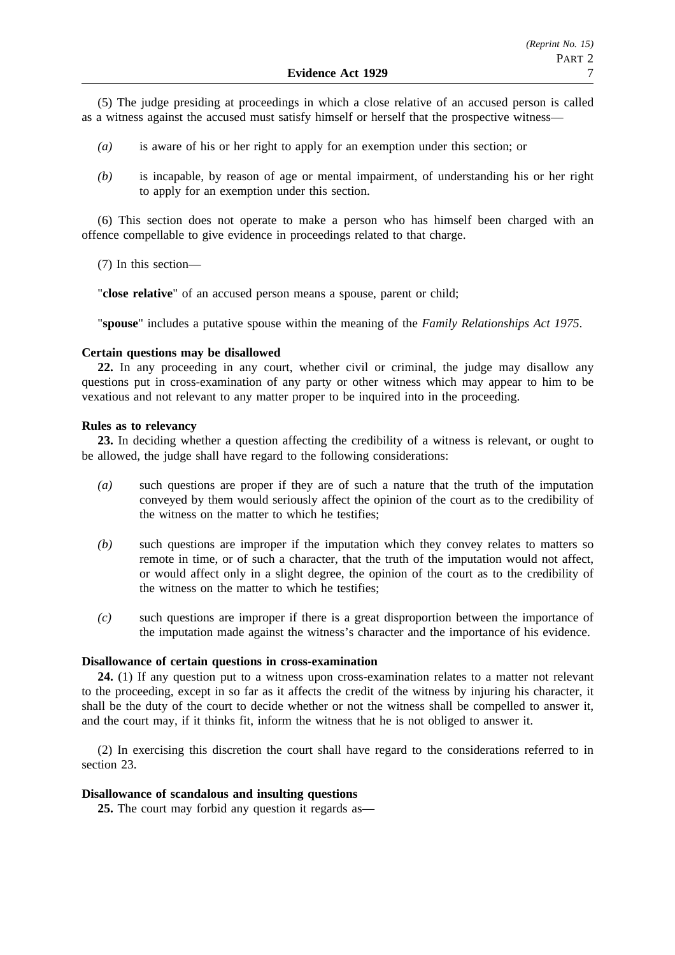(5) The judge presiding at proceedings in which a close relative of an accused person is called as a witness against the accused must satisfy himself or herself that the prospective witness—

- *(a)* is aware of his or her right to apply for an exemption under this section; or
- *(b)* is incapable, by reason of age or mental impairment, of understanding his or her right to apply for an exemption under this section.

(6) This section does not operate to make a person who has himself been charged with an offence compellable to give evidence in proceedings related to that charge.

(7) In this section—

"**close relative**" of an accused person means a spouse, parent or child;

"**spouse**" includes a putative spouse within the meaning of the *Family Relationships Act 1975*.

#### **Certain questions may be disallowed**

**22.** In any proceeding in any court, whether civil or criminal, the judge may disallow any questions put in cross-examination of any party or other witness which may appear to him to be vexatious and not relevant to any matter proper to be inquired into in the proceeding.

#### **Rules as to relevancy**

**23.** In deciding whether a question affecting the credibility of a witness is relevant, or ought to be allowed, the judge shall have regard to the following considerations:

- *(a)* such questions are proper if they are of such a nature that the truth of the imputation conveyed by them would seriously affect the opinion of the court as to the credibility of the witness on the matter to which he testifies;
- *(b)* such questions are improper if the imputation which they convey relates to matters so remote in time, or of such a character, that the truth of the imputation would not affect, or would affect only in a slight degree, the opinion of the court as to the credibility of the witness on the matter to which he testifies;
- *(c)* such questions are improper if there is a great disproportion between the importance of the imputation made against the witness's character and the importance of his evidence.

#### **Disallowance of certain questions in cross-examination**

**24.** (1) If any question put to a witness upon cross-examination relates to a matter not relevant to the proceeding, except in so far as it affects the credit of the witness by injuring his character, it shall be the duty of the court to decide whether or not the witness shall be compelled to answer it, and the court may, if it thinks fit, inform the witness that he is not obliged to answer it.

(2) In exercising this discretion the court shall have regard to the considerations referred to in section 23.

#### **Disallowance of scandalous and insulting questions**

**25.** The court may forbid any question it regards as—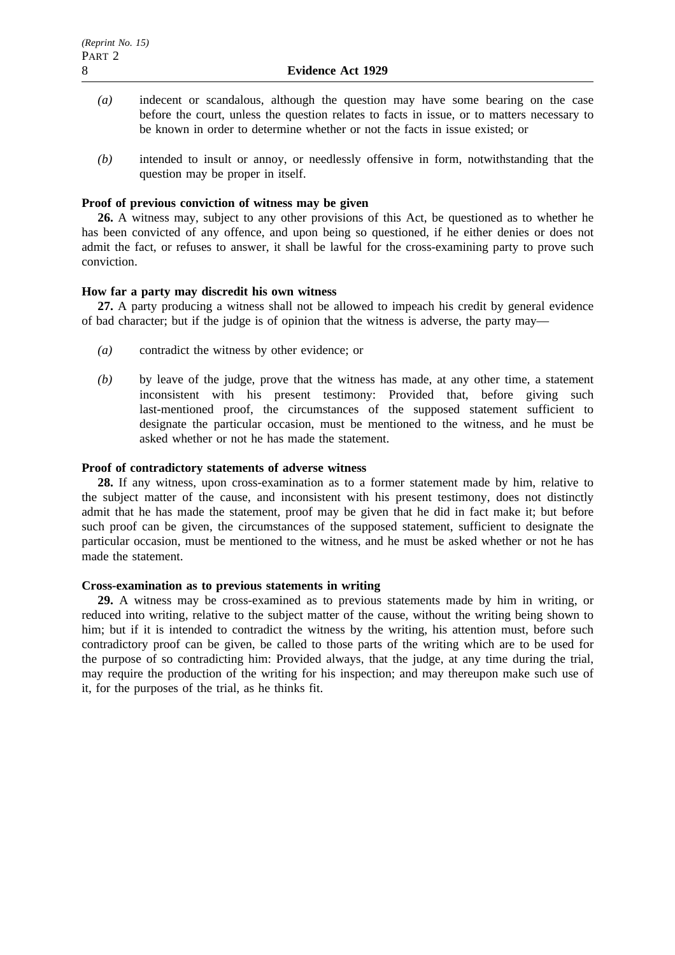- *(a)* indecent or scandalous, although the question may have some bearing on the case before the court, unless the question relates to facts in issue, or to matters necessary to be known in order to determine whether or not the facts in issue existed; or
- *(b)* intended to insult or annoy, or needlessly offensive in form, notwithstanding that the question may be proper in itself.

### **Proof of previous conviction of witness may be given**

**26.** A witness may, subject to any other provisions of this Act, be questioned as to whether he has been convicted of any offence, and upon being so questioned, if he either denies or does not admit the fact, or refuses to answer, it shall be lawful for the cross-examining party to prove such conviction.

## **How far a party may discredit his own witness**

**27.** A party producing a witness shall not be allowed to impeach his credit by general evidence of bad character; but if the judge is of opinion that the witness is adverse, the party may—

- *(a)* contradict the witness by other evidence; or
- *(b)* by leave of the judge, prove that the witness has made, at any other time, a statement inconsistent with his present testimony: Provided that, before giving such last-mentioned proof, the circumstances of the supposed statement sufficient to designate the particular occasion, must be mentioned to the witness, and he must be asked whether or not he has made the statement.

### **Proof of contradictory statements of adverse witness**

**28.** If any witness, upon cross-examination as to a former statement made by him, relative to the subject matter of the cause, and inconsistent with his present testimony, does not distinctly admit that he has made the statement, proof may be given that he did in fact make it; but before such proof can be given, the circumstances of the supposed statement, sufficient to designate the particular occasion, must be mentioned to the witness, and he must be asked whether or not he has made the statement.

# **Cross-examination as to previous statements in writing**

**29.** A witness may be cross-examined as to previous statements made by him in writing, or reduced into writing, relative to the subject matter of the cause, without the writing being shown to him; but if it is intended to contradict the witness by the writing, his attention must, before such contradictory proof can be given, be called to those parts of the writing which are to be used for the purpose of so contradicting him: Provided always, that the judge, at any time during the trial, may require the production of the writing for his inspection; and may thereupon make such use of it, for the purposes of the trial, as he thinks fit.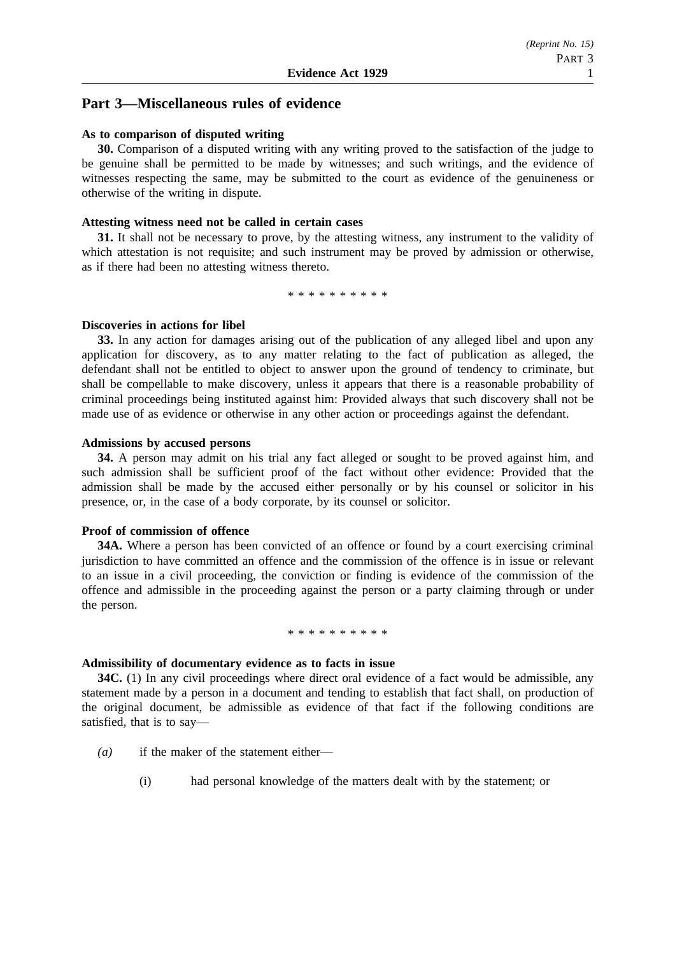# **Part 3—Miscellaneous rules of evidence**

### **As to comparison of disputed writing**

**30.** Comparison of a disputed writing with any writing proved to the satisfaction of the judge to be genuine shall be permitted to be made by witnesses; and such writings, and the evidence of witnesses respecting the same, may be submitted to the court as evidence of the genuineness or otherwise of the writing in dispute.

### **Attesting witness need not be called in certain cases**

**31.** It shall not be necessary to prove, by the attesting witness, any instrument to the validity of which attestation is not requisite; and such instrument may be proved by admission or otherwise, as if there had been no attesting witness thereto.

\*\*\*\*\*\*\*\*\*\*

#### **Discoveries in actions for libel**

**33.** In any action for damages arising out of the publication of any alleged libel and upon any application for discovery, as to any matter relating to the fact of publication as alleged, the defendant shall not be entitled to object to answer upon the ground of tendency to criminate, but shall be compellable to make discovery, unless it appears that there is a reasonable probability of criminal proceedings being instituted against him: Provided always that such discovery shall not be made use of as evidence or otherwise in any other action or proceedings against the defendant.

#### **Admissions by accused persons**

**34.** A person may admit on his trial any fact alleged or sought to be proved against him, and such admission shall be sufficient proof of the fact without other evidence: Provided that the admission shall be made by the accused either personally or by his counsel or solicitor in his presence, or, in the case of a body corporate, by its counsel or solicitor.

#### **Proof of commission of offence**

**34A.** Where a person has been convicted of an offence or found by a court exercising criminal jurisdiction to have committed an offence and the commission of the offence is in issue or relevant to an issue in a civil proceeding, the conviction or finding is evidence of the commission of the offence and admissible in the proceeding against the person or a party claiming through or under the person.

#### \*\*\*\*\*\*\*\*\*\*\*\*\*\*\*\*

# **Admissibility of documentary evidence as to facts in issue**

**34C.** (1) In any civil proceedings where direct oral evidence of a fact would be admissible, any statement made by a person in a document and tending to establish that fact shall, on production of the original document, be admissible as evidence of that fact if the following conditions are satisfied, that is to say—

- *(a)* if the maker of the statement either—
	- (i) had personal knowledge of the matters dealt with by the statement; or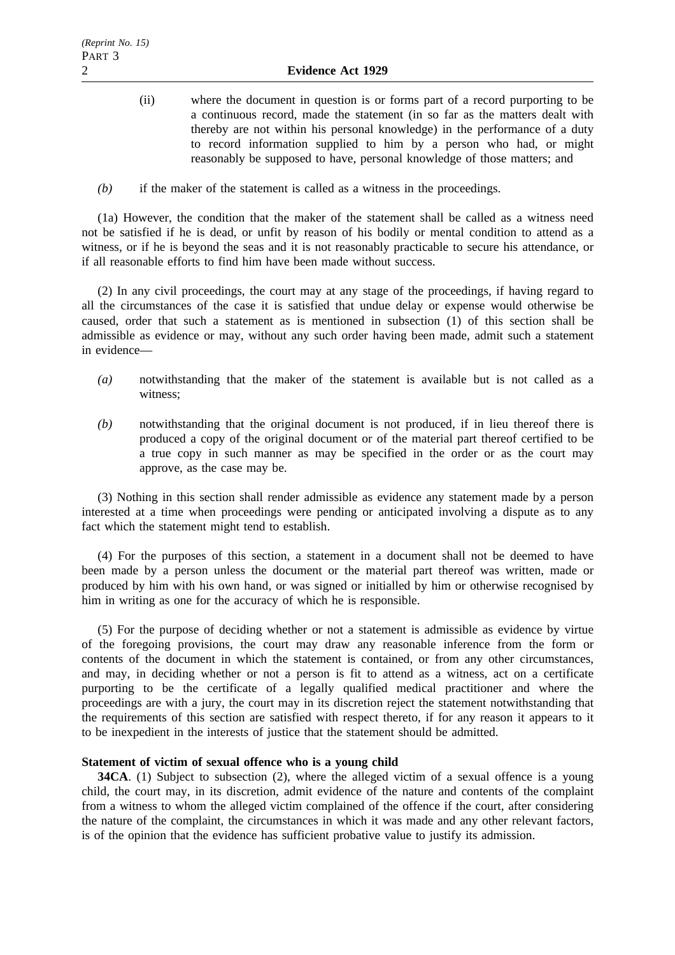- (ii) where the document in question is or forms part of a record purporting to be a continuous record, made the statement (in so far as the matters dealt with thereby are not within his personal knowledge) in the performance of a duty to record information supplied to him by a person who had, or might reasonably be supposed to have, personal knowledge of those matters; and
- *(b)* if the maker of the statement is called as a witness in the proceedings.

(1a) However, the condition that the maker of the statement shall be called as a witness need not be satisfied if he is dead, or unfit by reason of his bodily or mental condition to attend as a witness, or if he is beyond the seas and it is not reasonably practicable to secure his attendance, or if all reasonable efforts to find him have been made without success.

(2) In any civil proceedings, the court may at any stage of the proceedings, if having regard to all the circumstances of the case it is satisfied that undue delay or expense would otherwise be caused, order that such a statement as is mentioned in subsection (1) of this section shall be admissible as evidence or may, without any such order having been made, admit such a statement in evidence—

- *(a)* notwithstanding that the maker of the statement is available but is not called as a witness;
- *(b)* notwithstanding that the original document is not produced, if in lieu thereof there is produced a copy of the original document or of the material part thereof certified to be a true copy in such manner as may be specified in the order or as the court may approve, as the case may be.

(3) Nothing in this section shall render admissible as evidence any statement made by a person interested at a time when proceedings were pending or anticipated involving a dispute as to any fact which the statement might tend to establish.

(4) For the purposes of this section, a statement in a document shall not be deemed to have been made by a person unless the document or the material part thereof was written, made or produced by him with his own hand, or was signed or initialled by him or otherwise recognised by him in writing as one for the accuracy of which he is responsible.

(5) For the purpose of deciding whether or not a statement is admissible as evidence by virtue of the foregoing provisions, the court may draw any reasonable inference from the form or contents of the document in which the statement is contained, or from any other circumstances, and may, in deciding whether or not a person is fit to attend as a witness, act on a certificate purporting to be the certificate of a legally qualified medical practitioner and where the proceedings are with a jury, the court may in its discretion reject the statement notwithstanding that the requirements of this section are satisfied with respect thereto, if for any reason it appears to it to be inexpedient in the interests of justice that the statement should be admitted.

### **Statement of victim of sexual offence who is a young child**

**34CA.** (1) Subject to subsection (2), where the alleged victim of a sexual offence is a young child, the court may, in its discretion, admit evidence of the nature and contents of the complaint from a witness to whom the alleged victim complained of the offence if the court, after considering the nature of the complaint, the circumstances in which it was made and any other relevant factors, is of the opinion that the evidence has sufficient probative value to justify its admission.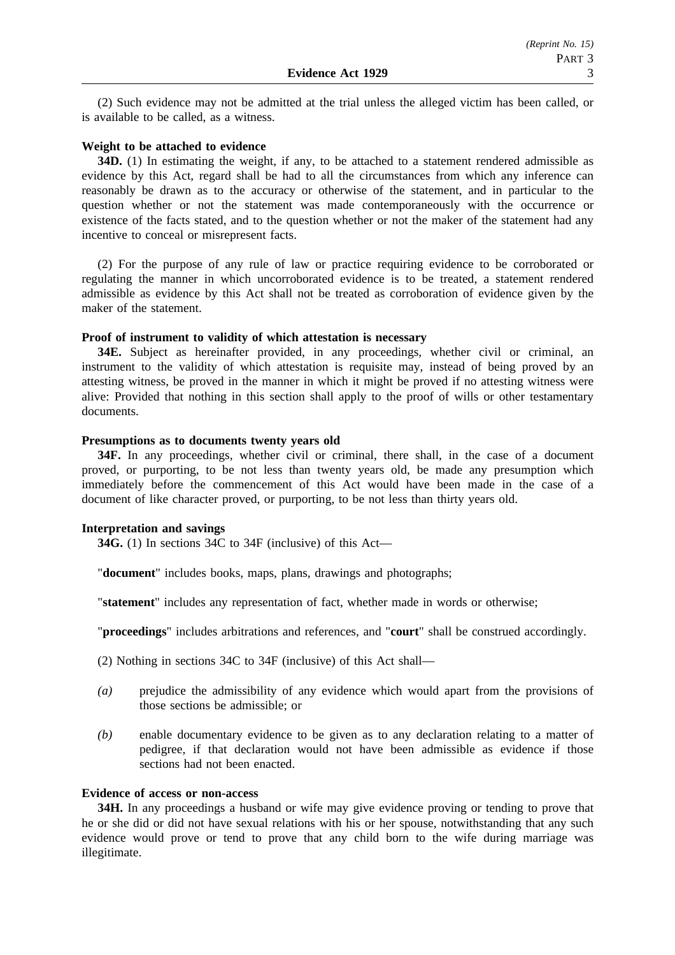(2) Such evidence may not be admitted at the trial unless the alleged victim has been called, or is available to be called, as a witness.

### **Weight to be attached to evidence**

**34D.** (1) In estimating the weight, if any, to be attached to a statement rendered admissible as evidence by this Act, regard shall be had to all the circumstances from which any inference can reasonably be drawn as to the accuracy or otherwise of the statement, and in particular to the question whether or not the statement was made contemporaneously with the occurrence or existence of the facts stated, and to the question whether or not the maker of the statement had any incentive to conceal or misrepresent facts.

(2) For the purpose of any rule of law or practice requiring evidence to be corroborated or regulating the manner in which uncorroborated evidence is to be treated, a statement rendered admissible as evidence by this Act shall not be treated as corroboration of evidence given by the maker of the statement.

### **Proof of instrument to validity of which attestation is necessary**

**34E.** Subject as hereinafter provided, in any proceedings, whether civil or criminal, an instrument to the validity of which attestation is requisite may, instead of being proved by an attesting witness, be proved in the manner in which it might be proved if no attesting witness were alive: Provided that nothing in this section shall apply to the proof of wills or other testamentary documents.

### **Presumptions as to documents twenty years old**

**34F.** In any proceedings, whether civil or criminal, there shall, in the case of a document proved, or purporting, to be not less than twenty years old, be made any presumption which immediately before the commencement of this Act would have been made in the case of a document of like character proved, or purporting, to be not less than thirty years old.

# **Interpretation and savings**

**34G.** (1) In sections 34C to 34F (inclusive) of this Act—

"**document**" includes books, maps, plans, drawings and photographs;

"**statement**" includes any representation of fact, whether made in words or otherwise;

"**proceedings**" includes arbitrations and references, and "**court**" shall be construed accordingly.

- (2) Nothing in sections 34C to 34F (inclusive) of this Act shall—
- *(a)* prejudice the admissibility of any evidence which would apart from the provisions of those sections be admissible; or
- *(b)* enable documentary evidence to be given as to any declaration relating to a matter of pedigree, if that declaration would not have been admissible as evidence if those sections had not been enacted.

### **Evidence of access or non-access**

**34H.** In any proceedings a husband or wife may give evidence proving or tending to prove that he or she did or did not have sexual relations with his or her spouse, notwithstanding that any such evidence would prove or tend to prove that any child born to the wife during marriage was illegitimate.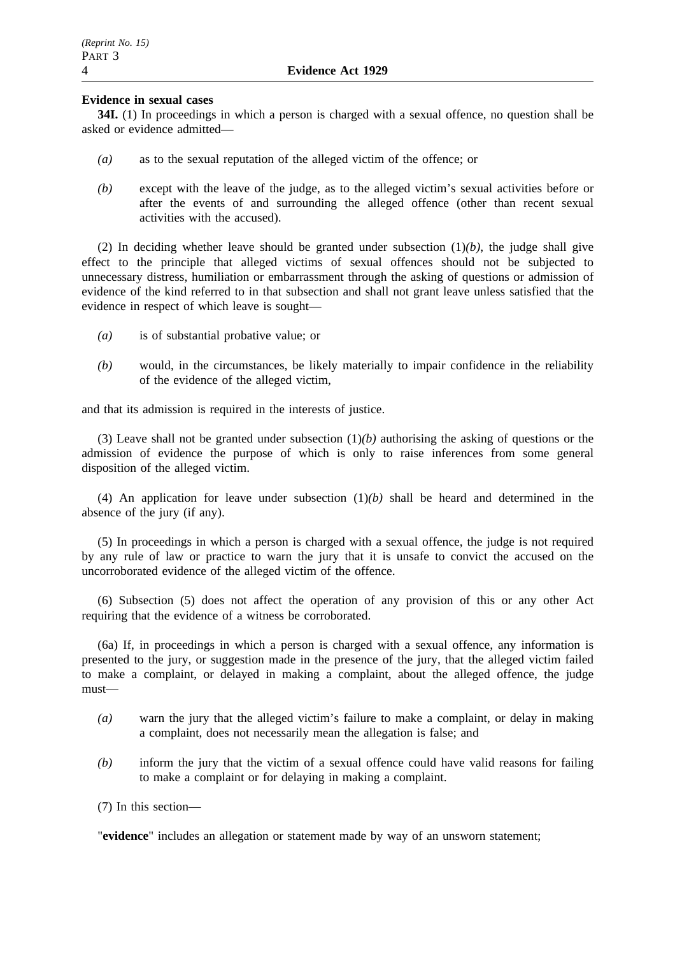### **Evidence in sexual cases**

**34I.** (1) In proceedings in which a person is charged with a sexual offence, no question shall be asked or evidence admitted—

- *(a)* as to the sexual reputation of the alleged victim of the offence; or
- *(b)* except with the leave of the judge, as to the alleged victim's sexual activities before or after the events of and surrounding the alleged offence (other than recent sexual activities with the accused).

(2) In deciding whether leave should be granted under subsection  $(1)(b)$ , the judge shall give effect to the principle that alleged victims of sexual offences should not be subjected to unnecessary distress, humiliation or embarrassment through the asking of questions or admission of evidence of the kind referred to in that subsection and shall not grant leave unless satisfied that the evidence in respect of which leave is sought—

- *(a)* is of substantial probative value; or
- *(b)* would, in the circumstances, be likely materially to impair confidence in the reliability of the evidence of the alleged victim,

and that its admission is required in the interests of justice.

(3) Leave shall not be granted under subsection (1)*(b)* authorising the asking of questions or the admission of evidence the purpose of which is only to raise inferences from some general disposition of the alleged victim.

(4) An application for leave under subsection  $(1)(b)$  shall be heard and determined in the absence of the jury (if any).

(5) In proceedings in which a person is charged with a sexual offence, the judge is not required by any rule of law or practice to warn the jury that it is unsafe to convict the accused on the uncorroborated evidence of the alleged victim of the offence.

(6) Subsection (5) does not affect the operation of any provision of this or any other Act requiring that the evidence of a witness be corroborated.

(6a) If, in proceedings in which a person is charged with a sexual offence, any information is presented to the jury, or suggestion made in the presence of the jury, that the alleged victim failed to make a complaint, or delayed in making a complaint, about the alleged offence, the judge must—

- *(a)* warn the jury that the alleged victim's failure to make a complaint, or delay in making a complaint, does not necessarily mean the allegation is false; and
- *(b)* inform the jury that the victim of a sexual offence could have valid reasons for failing to make a complaint or for delaying in making a complaint.
- (7) In this section—

"**evidence**" includes an allegation or statement made by way of an unsworn statement;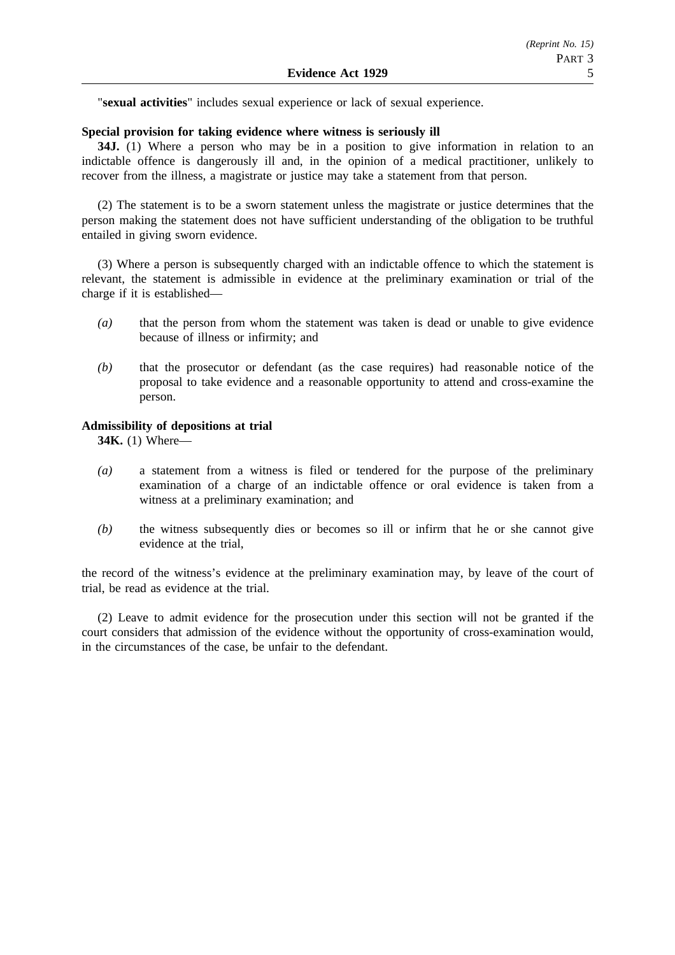"**sexual activities**" includes sexual experience or lack of sexual experience.

#### **Special provision for taking evidence where witness is seriously ill**

**34J.** (1) Where a person who may be in a position to give information in relation to an indictable offence is dangerously ill and, in the opinion of a medical practitioner, unlikely to recover from the illness, a magistrate or justice may take a statement from that person.

(2) The statement is to be a sworn statement unless the magistrate or justice determines that the person making the statement does not have sufficient understanding of the obligation to be truthful entailed in giving sworn evidence.

(3) Where a person is subsequently charged with an indictable offence to which the statement is relevant, the statement is admissible in evidence at the preliminary examination or trial of the charge if it is established—

- *(a)* that the person from whom the statement was taken is dead or unable to give evidence because of illness or infirmity; and
- *(b)* that the prosecutor or defendant (as the case requires) had reasonable notice of the proposal to take evidence and a reasonable opportunity to attend and cross-examine the person.

### **Admissibility of depositions at trial**

**34K.** (1) Where—

- *(a)* a statement from a witness is filed or tendered for the purpose of the preliminary examination of a charge of an indictable offence or oral evidence is taken from a witness at a preliminary examination; and
- *(b)* the witness subsequently dies or becomes so ill or infirm that he or she cannot give evidence at the trial,

the record of the witness's evidence at the preliminary examination may, by leave of the court of trial, be read as evidence at the trial.

(2) Leave to admit evidence for the prosecution under this section will not be granted if the court considers that admission of the evidence without the opportunity of cross-examination would, in the circumstances of the case, be unfair to the defendant.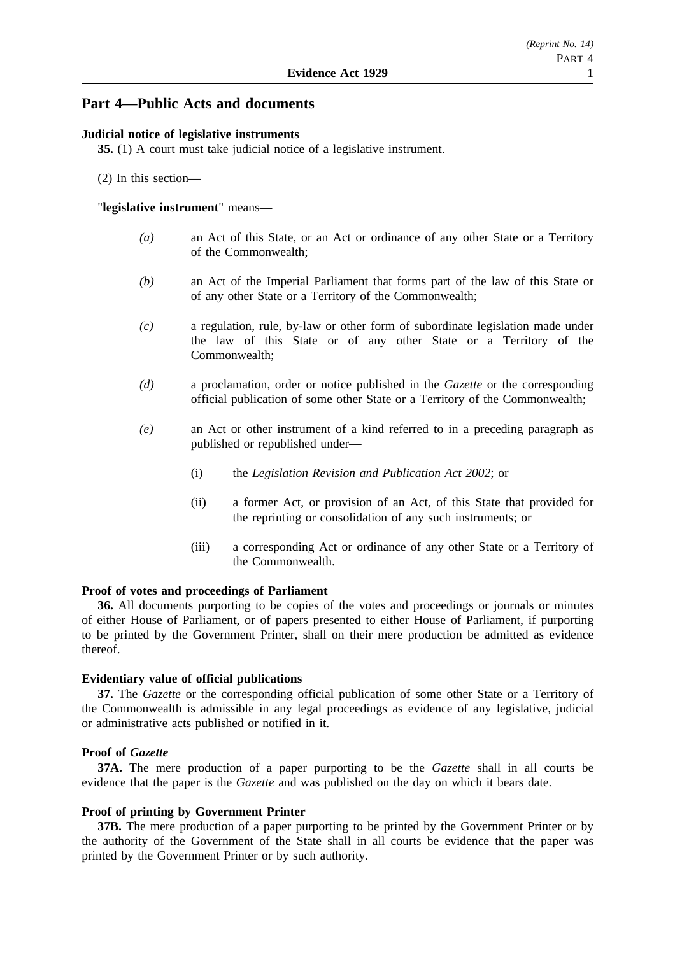# **Part 4—Public Acts and documents**

### **Judicial notice of legislative instruments**

**35.** (1) A court must take judicial notice of a legislative instrument.

(2) In this section—

### "**legislative instrument**" means—

- *(a)* an Act of this State, or an Act or ordinance of any other State or a Territory of the Commonwealth;
- *(b)* an Act of the Imperial Parliament that forms part of the law of this State or of any other State or a Territory of the Commonwealth;
- *(c)* a regulation, rule, by-law or other form of subordinate legislation made under the law of this State or of any other State or a Territory of the Commonwealth;
- *(d)* a proclamation, order or notice published in the *Gazette* or the corresponding official publication of some other State or a Territory of the Commonwealth;
- *(e)* an Act or other instrument of a kind referred to in a preceding paragraph as published or republished under—
	- (i) the *Legislation Revision and Publication Act 2002*; or
	- (ii) a former Act, or provision of an Act, of this State that provided for the reprinting or consolidation of any such instruments; or
	- (iii) a corresponding Act or ordinance of any other State or a Territory of the Commonwealth.

#### **Proof of votes and proceedings of Parliament**

**36.** All documents purporting to be copies of the votes and proceedings or journals or minutes of either House of Parliament, or of papers presented to either House of Parliament, if purporting to be printed by the Government Printer, shall on their mere production be admitted as evidence thereof.

#### **Evidentiary value of official publications**

**37.** The *Gazette* or the corresponding official publication of some other State or a Territory of the Commonwealth is admissible in any legal proceedings as evidence of any legislative, judicial or administrative acts published or notified in it.

### **Proof of** *Gazette*

**37A.** The mere production of a paper purporting to be the *Gazette* shall in all courts be evidence that the paper is the *Gazette* and was published on the day on which it bears date.

#### **Proof of printing by Government Printer**

**37B.** The mere production of a paper purporting to be printed by the Government Printer or by the authority of the Government of the State shall in all courts be evidence that the paper was printed by the Government Printer or by such authority.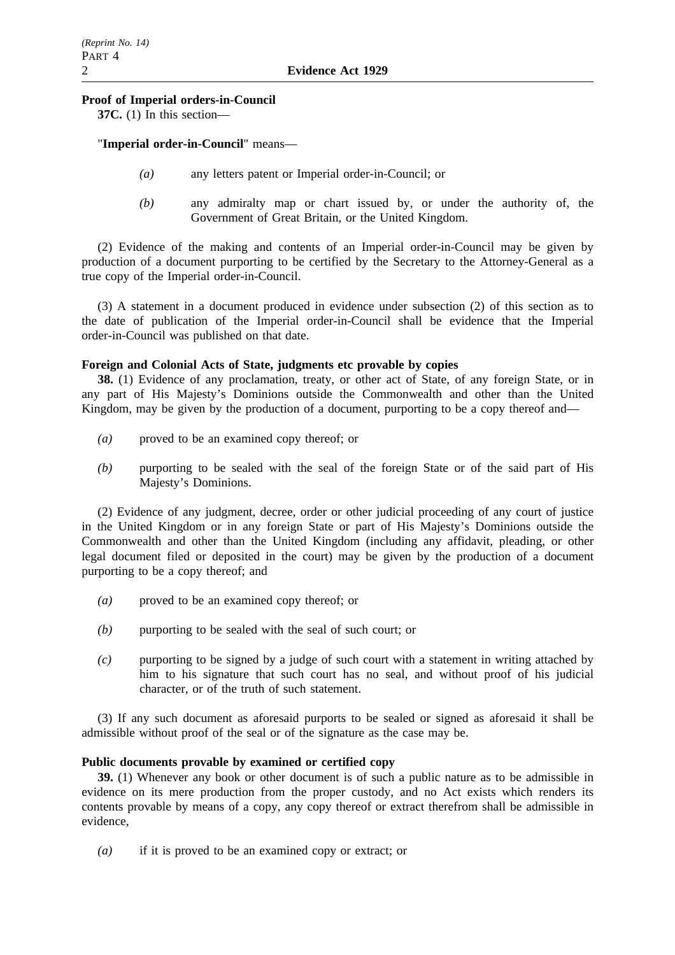### **Proof of Imperial orders-in-Council**

**37C.** (1) In this section—

"**Imperial order-in-Council**" means—

- *(a)* any letters patent or Imperial order-in-Council; or
- *(b)* any admiralty map or chart issued by, or under the authority of, the Government of Great Britain, or the United Kingdom.

(2) Evidence of the making and contents of an Imperial order-in-Council may be given by production of a document purporting to be certified by the Secretary to the Attorney-General as a true copy of the Imperial order-in-Council.

(3) A statement in a document produced in evidence under subsection (2) of this section as to the date of publication of the Imperial order-in-Council shall be evidence that the Imperial order-in-Council was published on that date.

### **Foreign and Colonial Acts of State, judgments etc provable by copies**

**38.** (1) Evidence of any proclamation, treaty, or other act of State, of any foreign State, or in any part of His Majesty's Dominions outside the Commonwealth and other than the United Kingdom, may be given by the production of a document, purporting to be a copy thereof and—

- *(a)* proved to be an examined copy thereof; or
- *(b)* purporting to be sealed with the seal of the foreign State or of the said part of His Majesty's Dominions.

(2) Evidence of any judgment, decree, order or other judicial proceeding of any court of justice in the United Kingdom or in any foreign State or part of His Majesty's Dominions outside the Commonwealth and other than the United Kingdom (including any affidavit, pleading, or other legal document filed or deposited in the court) may be given by the production of a document purporting to be a copy thereof; and

- *(a)* proved to be an examined copy thereof; or
- *(b)* purporting to be sealed with the seal of such court; or
- *(c)* purporting to be signed by a judge of such court with a statement in writing attached by him to his signature that such court has no seal, and without proof of his judicial character, or of the truth of such statement.

(3) If any such document as aforesaid purports to be sealed or signed as aforesaid it shall be admissible without proof of the seal or of the signature as the case may be.

# **Public documents provable by examined or certified copy**

**39.** (1) Whenever any book or other document is of such a public nature as to be admissible in evidence on its mere production from the proper custody, and no Act exists which renders its contents provable by means of a copy, any copy thereof or extract therefrom shall be admissible in evidence,

*(a)* if it is proved to be an examined copy or extract; or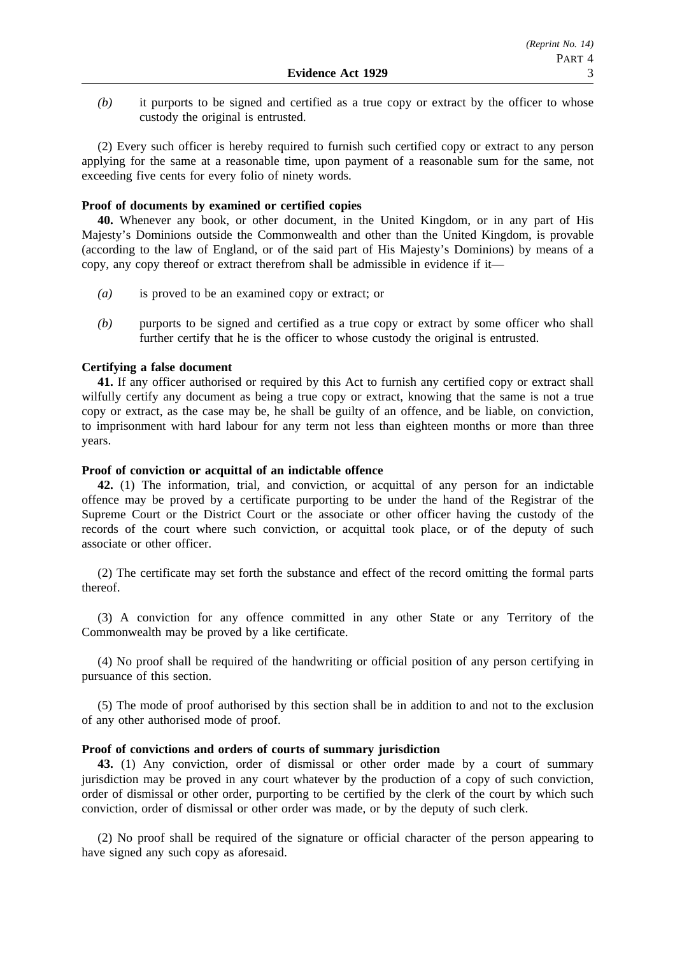*(b)* it purports to be signed and certified as a true copy or extract by the officer to whose custody the original is entrusted.

(2) Every such officer is hereby required to furnish such certified copy or extract to any person applying for the same at a reasonable time, upon payment of a reasonable sum for the same, not exceeding five cents for every folio of ninety words.

### **Proof of documents by examined or certified copies**

**40.** Whenever any book, or other document, in the United Kingdom, or in any part of His Majesty's Dominions outside the Commonwealth and other than the United Kingdom, is provable (according to the law of England, or of the said part of His Majesty's Dominions) by means of a copy, any copy thereof or extract therefrom shall be admissible in evidence if it—

- *(a)* is proved to be an examined copy or extract; or
- *(b)* purports to be signed and certified as a true copy or extract by some officer who shall further certify that he is the officer to whose custody the original is entrusted.

### **Certifying a false document**

**41.** If any officer authorised or required by this Act to furnish any certified copy or extract shall wilfully certify any document as being a true copy or extract, knowing that the same is not a true copy or extract, as the case may be, he shall be guilty of an offence, and be liable, on conviction, to imprisonment with hard labour for any term not less than eighteen months or more than three years.

#### **Proof of conviction or acquittal of an indictable offence**

**42.** (1) The information, trial, and conviction, or acquittal of any person for an indictable offence may be proved by a certificate purporting to be under the hand of the Registrar of the Supreme Court or the District Court or the associate or other officer having the custody of the records of the court where such conviction, or acquittal took place, or of the deputy of such associate or other officer.

(2) The certificate may set forth the substance and effect of the record omitting the formal parts thereof.

(3) A conviction for any offence committed in any other State or any Territory of the Commonwealth may be proved by a like certificate.

(4) No proof shall be required of the handwriting or official position of any person certifying in pursuance of this section.

(5) The mode of proof authorised by this section shall be in addition to and not to the exclusion of any other authorised mode of proof.

#### **Proof of convictions and orders of courts of summary jurisdiction**

**43.** (1) Any conviction, order of dismissal or other order made by a court of summary jurisdiction may be proved in any court whatever by the production of a copy of such conviction, order of dismissal or other order, purporting to be certified by the clerk of the court by which such conviction, order of dismissal or other order was made, or by the deputy of such clerk.

(2) No proof shall be required of the signature or official character of the person appearing to have signed any such copy as aforesaid.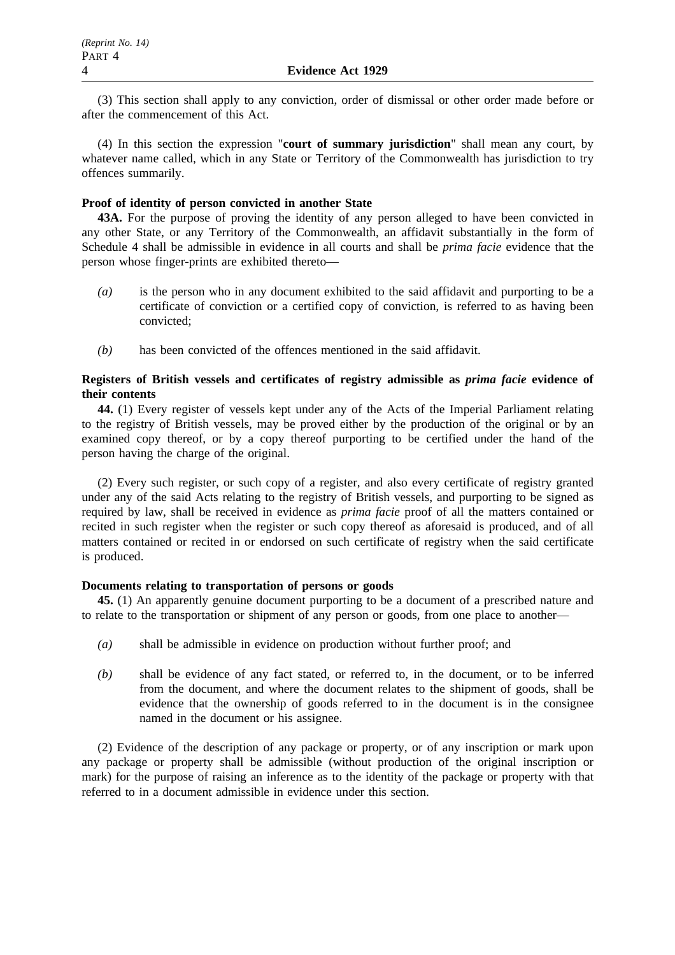(3) This section shall apply to any conviction, order of dismissal or other order made before or after the commencement of this Act.

(4) In this section the expression "**court of summary jurisdiction**" shall mean any court, by whatever name called, which in any State or Territory of the Commonwealth has jurisdiction to try offences summarily.

### **Proof of identity of person convicted in another State**

**43A.** For the purpose of proving the identity of any person alleged to have been convicted in any other State, or any Territory of the Commonwealth, an affidavit substantially in the form of Schedule 4 shall be admissible in evidence in all courts and shall be *prima facie* evidence that the person whose finger-prints are exhibited thereto—

- *(a)* is the person who in any document exhibited to the said affidavit and purporting to be a certificate of conviction or a certified copy of conviction, is referred to as having been convicted;
- *(b)* has been convicted of the offences mentioned in the said affidavit.

# **Registers of British vessels and certificates of registry admissible as** *prima facie* **evidence of their contents**

**44.** (1) Every register of vessels kept under any of the Acts of the Imperial Parliament relating to the registry of British vessels, may be proved either by the production of the original or by an examined copy thereof, or by a copy thereof purporting to be certified under the hand of the person having the charge of the original.

(2) Every such register, or such copy of a register, and also every certificate of registry granted under any of the said Acts relating to the registry of British vessels, and purporting to be signed as required by law, shall be received in evidence as *prima facie* proof of all the matters contained or recited in such register when the register or such copy thereof as aforesaid is produced, and of all matters contained or recited in or endorsed on such certificate of registry when the said certificate is produced.

# **Documents relating to transportation of persons or goods**

**45.** (1) An apparently genuine document purporting to be a document of a prescribed nature and to relate to the transportation or shipment of any person or goods, from one place to another—

- *(a)* shall be admissible in evidence on production without further proof; and
- *(b)* shall be evidence of any fact stated, or referred to, in the document, or to be inferred from the document, and where the document relates to the shipment of goods, shall be evidence that the ownership of goods referred to in the document is in the consignee named in the document or his assignee.

(2) Evidence of the description of any package or property, or of any inscription or mark upon any package or property shall be admissible (without production of the original inscription or mark) for the purpose of raising an inference as to the identity of the package or property with that referred to in a document admissible in evidence under this section.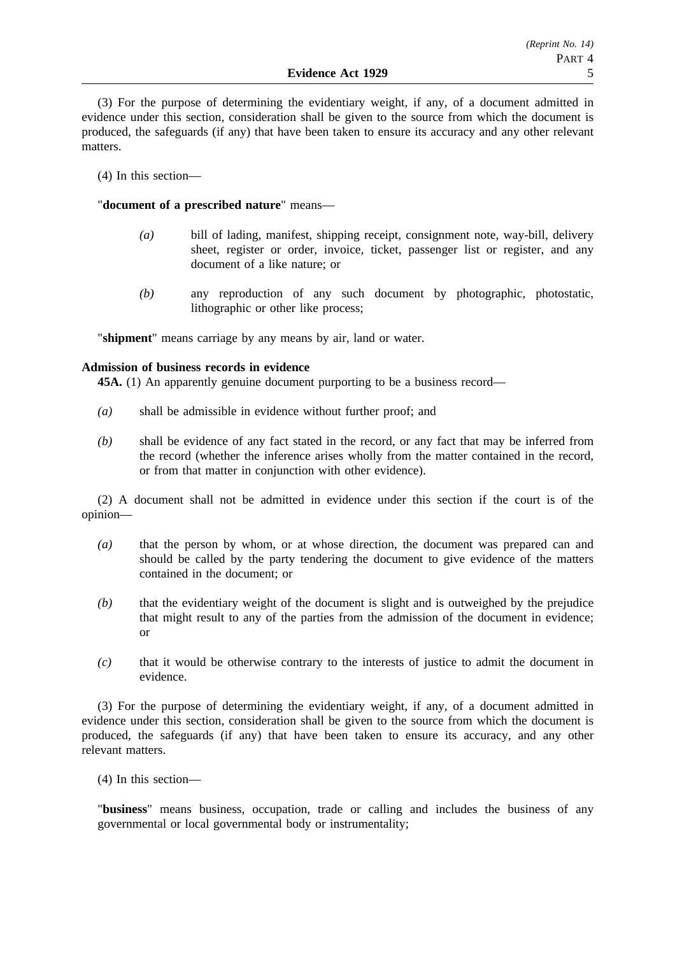(3) For the purpose of determining the evidentiary weight, if any, of a document admitted in evidence under this section, consideration shall be given to the source from which the document is produced, the safeguards (if any) that have been taken to ensure its accuracy and any other relevant matters.

(4) In this section—

"**document of a prescribed nature**" means—

- *(a)* bill of lading, manifest, shipping receipt, consignment note, way-bill, delivery sheet, register or order, invoice, ticket, passenger list or register, and any document of a like nature; or
- *(b)* any reproduction of any such document by photographic, photostatic, lithographic or other like process;

"**shipment**" means carriage by any means by air, land or water.

# **Admission of business records in evidence**

**45A.** (1) An apparently genuine document purporting to be a business record—

- *(a)* shall be admissible in evidence without further proof; and
- *(b)* shall be evidence of any fact stated in the record, or any fact that may be inferred from the record (whether the inference arises wholly from the matter contained in the record, or from that matter in conjunction with other evidence).

(2) A document shall not be admitted in evidence under this section if the court is of the opinion—

- *(a)* that the person by whom, or at whose direction, the document was prepared can and should be called by the party tendering the document to give evidence of the matters contained in the document; or
- *(b)* that the evidentiary weight of the document is slight and is outweighed by the prejudice that might result to any of the parties from the admission of the document in evidence; or
- *(c)* that it would be otherwise contrary to the interests of justice to admit the document in evidence.

(3) For the purpose of determining the evidentiary weight, if any, of a document admitted in evidence under this section, consideration shall be given to the source from which the document is produced, the safeguards (if any) that have been taken to ensure its accuracy, and any other relevant matters.

(4) In this section—

"**business**" means business, occupation, trade or calling and includes the business of any governmental or local governmental body or instrumentality;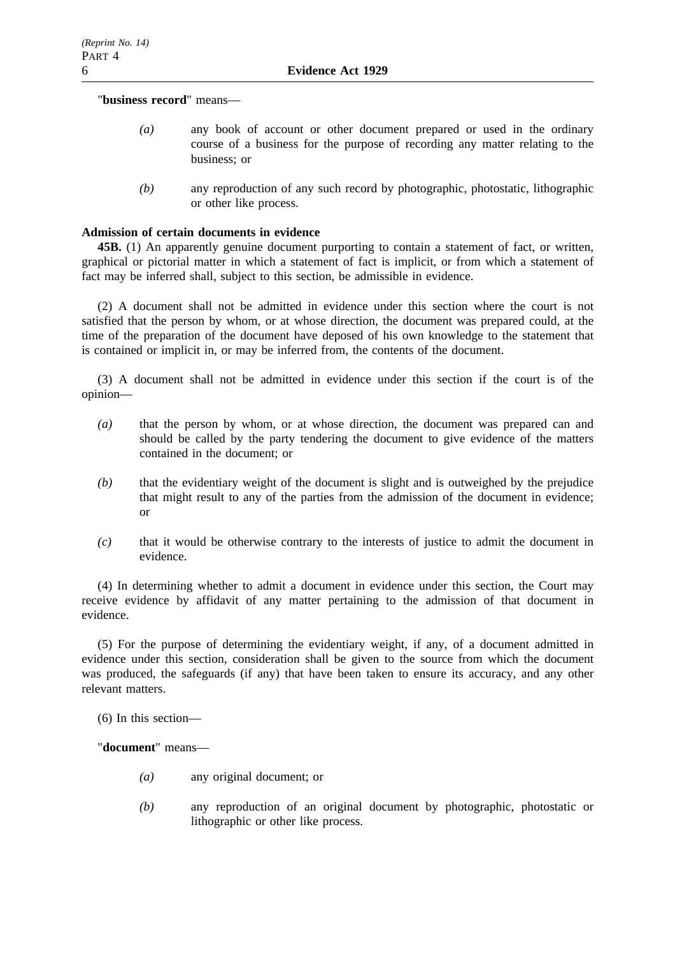"**business record**" means—

- *(a)* any book of account or other document prepared or used in the ordinary course of a business for the purpose of recording any matter relating to the business; or
- *(b)* any reproduction of any such record by photographic, photostatic, lithographic or other like process.

### **Admission of certain documents in evidence**

**45B.** (1) An apparently genuine document purporting to contain a statement of fact, or written, graphical or pictorial matter in which a statement of fact is implicit, or from which a statement of fact may be inferred shall, subject to this section, be admissible in evidence.

(2) A document shall not be admitted in evidence under this section where the court is not satisfied that the person by whom, or at whose direction, the document was prepared could, at the time of the preparation of the document have deposed of his own knowledge to the statement that is contained or implicit in, or may be inferred from, the contents of the document.

(3) A document shall not be admitted in evidence under this section if the court is of the opinion—

- *(a)* that the person by whom, or at whose direction, the document was prepared can and should be called by the party tendering the document to give evidence of the matters contained in the document; or
- *(b)* that the evidentiary weight of the document is slight and is outweighed by the prejudice that might result to any of the parties from the admission of the document in evidence; or
- *(c)* that it would be otherwise contrary to the interests of justice to admit the document in evidence.

(4) In determining whether to admit a document in evidence under this section, the Court may receive evidence by affidavit of any matter pertaining to the admission of that document in evidence.

(5) For the purpose of determining the evidentiary weight, if any, of a document admitted in evidence under this section, consideration shall be given to the source from which the document was produced, the safeguards (if any) that have been taken to ensure its accuracy, and any other relevant matters.

(6) In this section—

"**document**" means—

- *(a)* any original document; or
- *(b)* any reproduction of an original document by photographic, photostatic or lithographic or other like process.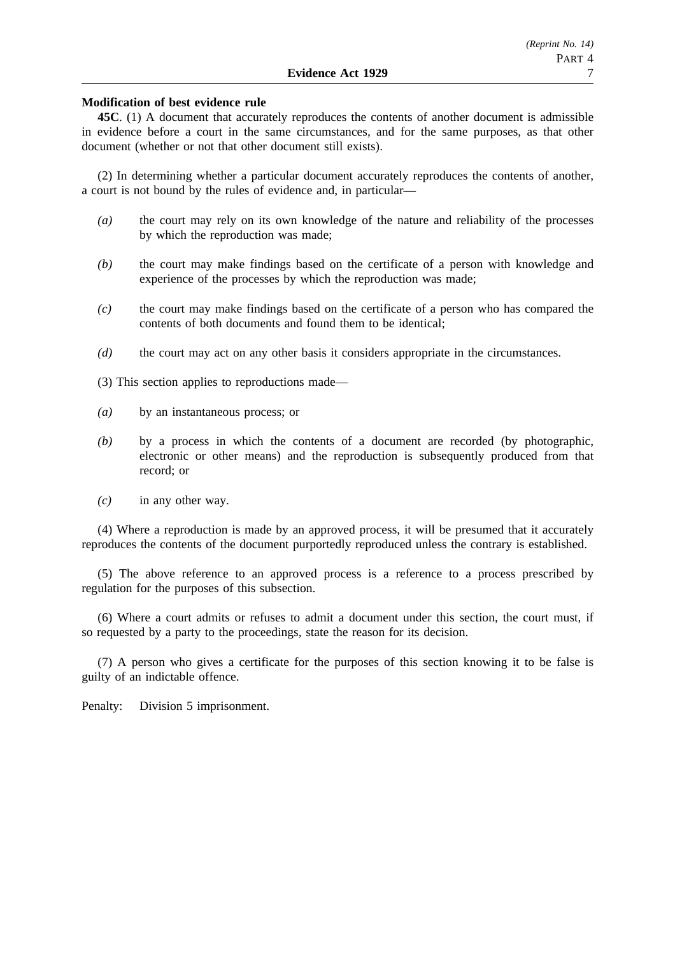### **Modification of best evidence rule**

**45C**. (1) A document that accurately reproduces the contents of another document is admissible in evidence before a court in the same circumstances, and for the same purposes, as that other document (whether or not that other document still exists).

(2) In determining whether a particular document accurately reproduces the contents of another, a court is not bound by the rules of evidence and, in particular—

- *(a)* the court may rely on its own knowledge of the nature and reliability of the processes by which the reproduction was made;
- *(b)* the court may make findings based on the certificate of a person with knowledge and experience of the processes by which the reproduction was made;
- *(c)* the court may make findings based on the certificate of a person who has compared the contents of both documents and found them to be identical;
- *(d)* the court may act on any other basis it considers appropriate in the circumstances.
- (3) This section applies to reproductions made—
- *(a)* by an instantaneous process; or
- *(b)* by a process in which the contents of a document are recorded (by photographic, electronic or other means) and the reproduction is subsequently produced from that record; or
- *(c)* in any other way.

(4) Where a reproduction is made by an approved process, it will be presumed that it accurately reproduces the contents of the document purportedly reproduced unless the contrary is established.

(5) The above reference to an approved process is a reference to a process prescribed by regulation for the purposes of this subsection.

(6) Where a court admits or refuses to admit a document under this section, the court must, if so requested by a party to the proceedings, state the reason for its decision.

(7) A person who gives a certificate for the purposes of this section knowing it to be false is guilty of an indictable offence.

Penalty: Division 5 imprisonment.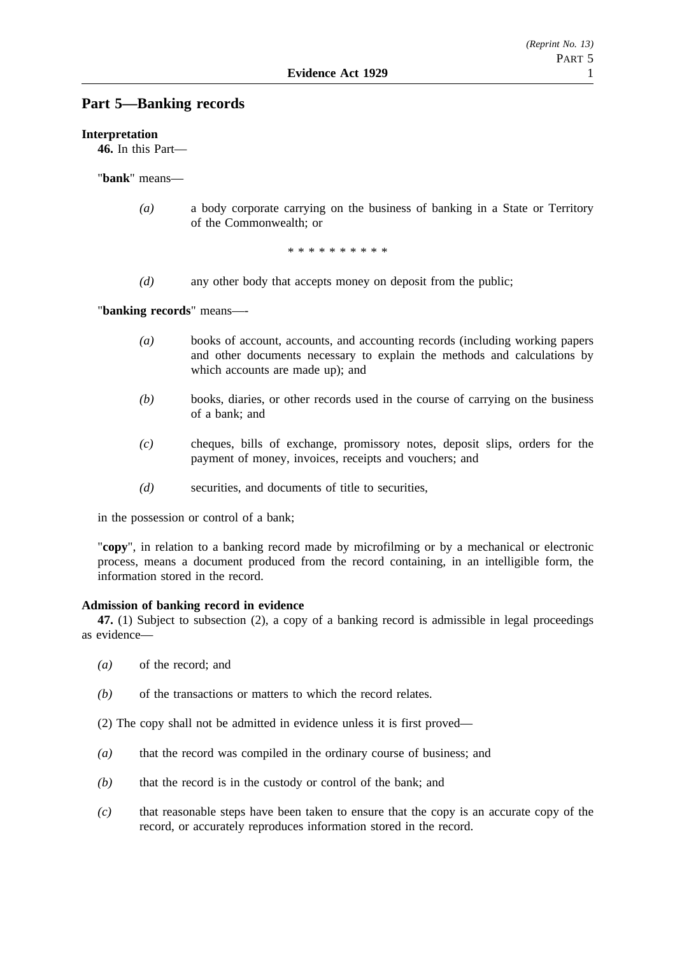# **Part 5—Banking records**

### **Interpretation**

**46.** In this Part—

"**bank**" means—

*(a)* a body corporate carrying on the business of banking in a State or Territory of the Commonwealth; or

\*\*\*\*\*\*\*\*\*\*

*(d)* any other body that accepts money on deposit from the public;

"**banking records**" means—-

- *(a)* books of account, accounts, and accounting records (including working papers and other documents necessary to explain the methods and calculations by which accounts are made up); and
- *(b)* books, diaries, or other records used in the course of carrying on the business of a bank; and
- *(c)* cheques, bills of exchange, promissory notes, deposit slips, orders for the payment of money, invoices, receipts and vouchers; and
- *(d)* securities, and documents of title to securities,

in the possession or control of a bank;

"**copy**", in relation to a banking record made by microfilming or by a mechanical or electronic process, means a document produced from the record containing, in an intelligible form, the information stored in the record.

#### **Admission of banking record in evidence**

**47.** (1) Subject to subsection (2), a copy of a banking record is admissible in legal proceedings as evidence—

- *(a)* of the record; and
- *(b)* of the transactions or matters to which the record relates.
- (2) The copy shall not be admitted in evidence unless it is first proved—
- *(a)* that the record was compiled in the ordinary course of business; and
- *(b)* that the record is in the custody or control of the bank; and
- *(c)* that reasonable steps have been taken to ensure that the copy is an accurate copy of the record, or accurately reproduces information stored in the record.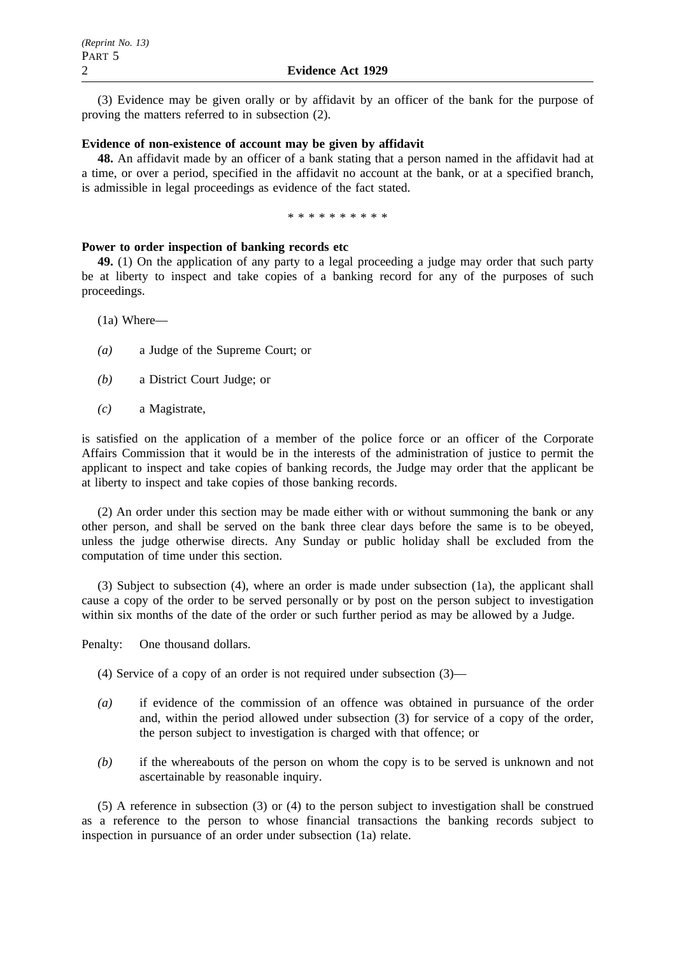(3) Evidence may be given orally or by affidavit by an officer of the bank for the purpose of proving the matters referred to in subsection (2).

## **Evidence of non-existence of account may be given by affidavit**

**48.** An affidavit made by an officer of a bank stating that a person named in the affidavit had at a time, or over a period, specified in the affidavit no account at the bank, or at a specified branch, is admissible in legal proceedings as evidence of the fact stated.

\*\*\*\*\*\*\*\*\*\*

#### **Power to order inspection of banking records etc**

**49.** (1) On the application of any party to a legal proceeding a judge may order that such party be at liberty to inspect and take copies of a banking record for any of the purposes of such proceedings.

(1a) Where—

- *(a)* a Judge of the Supreme Court; or
- *(b)* a District Court Judge; or
- *(c)* a Magistrate,

is satisfied on the application of a member of the police force or an officer of the Corporate Affairs Commission that it would be in the interests of the administration of justice to permit the applicant to inspect and take copies of banking records, the Judge may order that the applicant be at liberty to inspect and take copies of those banking records.

(2) An order under this section may be made either with or without summoning the bank or any other person, and shall be served on the bank three clear days before the same is to be obeyed, unless the judge otherwise directs. Any Sunday or public holiday shall be excluded from the computation of time under this section.

(3) Subject to subsection (4), where an order is made under subsection (1a), the applicant shall cause a copy of the order to be served personally or by post on the person subject to investigation within six months of the date of the order or such further period as may be allowed by a Judge.

Penalty: One thousand dollars.

(4) Service of a copy of an order is not required under subsection (3)—

- *(a)* if evidence of the commission of an offence was obtained in pursuance of the order and, within the period allowed under subsection (3) for service of a copy of the order, the person subject to investigation is charged with that offence; or
- *(b)* if the whereabouts of the person on whom the copy is to be served is unknown and not ascertainable by reasonable inquiry.

(5) A reference in subsection (3) or (4) to the person subject to investigation shall be construed as a reference to the person to whose financial transactions the banking records subject to inspection in pursuance of an order under subsection (1a) relate.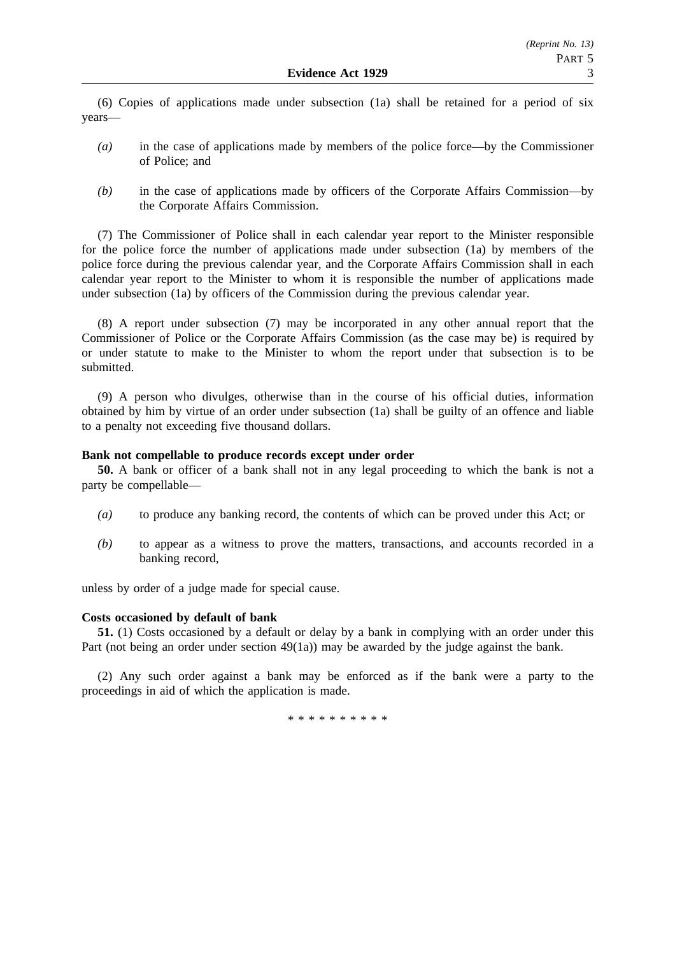(6) Copies of applications made under subsection (1a) shall be retained for a period of six years—

- *(a)* in the case of applications made by members of the police force—by the Commissioner of Police; and
- *(b)* in the case of applications made by officers of the Corporate Affairs Commission—by the Corporate Affairs Commission.

(7) The Commissioner of Police shall in each calendar year report to the Minister responsible for the police force the number of applications made under subsection (1a) by members of the police force during the previous calendar year, and the Corporate Affairs Commission shall in each calendar year report to the Minister to whom it is responsible the number of applications made under subsection (1a) by officers of the Commission during the previous calendar year.

(8) A report under subsection (7) may be incorporated in any other annual report that the Commissioner of Police or the Corporate Affairs Commission (as the case may be) is required by or under statute to make to the Minister to whom the report under that subsection is to be submitted.

(9) A person who divulges, otherwise than in the course of his official duties, information obtained by him by virtue of an order under subsection (1a) shall be guilty of an offence and liable to a penalty not exceeding five thousand dollars.

#### **Bank not compellable to produce records except under order**

**50.** A bank or officer of a bank shall not in any legal proceeding to which the bank is not a party be compellable—

- *(a)* to produce any banking record, the contents of which can be proved under this Act; or
- *(b)* to appear as a witness to prove the matters, transactions, and accounts recorded in a banking record,

unless by order of a judge made for special cause.

#### **Costs occasioned by default of bank**

**51.** (1) Costs occasioned by a default or delay by a bank in complying with an order under this Part (not being an order under section 49(1a)) may be awarded by the judge against the bank.

(2) Any such order against a bank may be enforced as if the bank were a party to the proceedings in aid of which the application is made.

\*\*\*\*\*\*\*\*\*\*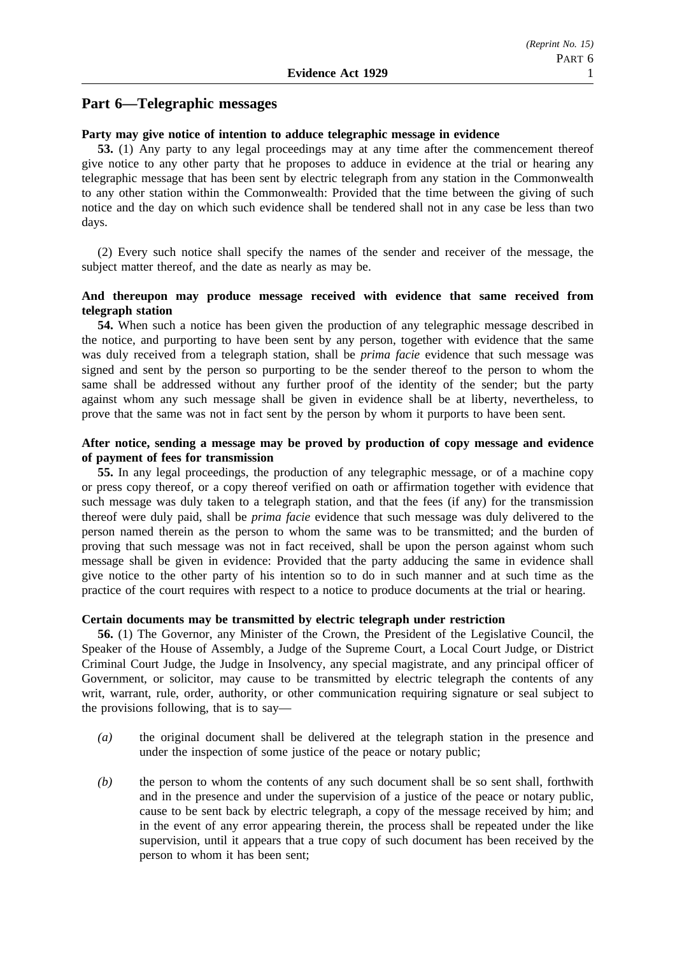# **Part 6—Telegraphic messages**

### **Party may give notice of intention to adduce telegraphic message in evidence**

**53.** (1) Any party to any legal proceedings may at any time after the commencement thereof give notice to any other party that he proposes to adduce in evidence at the trial or hearing any telegraphic message that has been sent by electric telegraph from any station in the Commonwealth to any other station within the Commonwealth: Provided that the time between the giving of such notice and the day on which such evidence shall be tendered shall not in any case be less than two days.

(2) Every such notice shall specify the names of the sender and receiver of the message, the subject matter thereof, and the date as nearly as may be.

### **And thereupon may produce message received with evidence that same received from telegraph station**

**54.** When such a notice has been given the production of any telegraphic message described in the notice, and purporting to have been sent by any person, together with evidence that the same was duly received from a telegraph station, shall be *prima facie* evidence that such message was signed and sent by the person so purporting to be the sender thereof to the person to whom the same shall be addressed without any further proof of the identity of the sender; but the party against whom any such message shall be given in evidence shall be at liberty, nevertheless, to prove that the same was not in fact sent by the person by whom it purports to have been sent.

# **After notice, sending a message may be proved by production of copy message and evidence of payment of fees for transmission**

**55.** In any legal proceedings, the production of any telegraphic message, or of a machine copy or press copy thereof, or a copy thereof verified on oath or affirmation together with evidence that such message was duly taken to a telegraph station, and that the fees (if any) for the transmission thereof were duly paid, shall be *prima facie* evidence that such message was duly delivered to the person named therein as the person to whom the same was to be transmitted; and the burden of proving that such message was not in fact received, shall be upon the person against whom such message shall be given in evidence: Provided that the party adducing the same in evidence shall give notice to the other party of his intention so to do in such manner and at such time as the practice of the court requires with respect to a notice to produce documents at the trial or hearing.

#### **Certain documents may be transmitted by electric telegraph under restriction**

**56.** (1) The Governor, any Minister of the Crown, the President of the Legislative Council, the Speaker of the House of Assembly, a Judge of the Supreme Court, a Local Court Judge, or District Criminal Court Judge, the Judge in Insolvency, any special magistrate, and any principal officer of Government, or solicitor, may cause to be transmitted by electric telegraph the contents of any writ, warrant, rule, order, authority, or other communication requiring signature or seal subject to the provisions following, that is to say—

- *(a)* the original document shall be delivered at the telegraph station in the presence and under the inspection of some justice of the peace or notary public;
- *(b)* the person to whom the contents of any such document shall be so sent shall, forthwith and in the presence and under the supervision of a justice of the peace or notary public, cause to be sent back by electric telegraph, a copy of the message received by him; and in the event of any error appearing therein, the process shall be repeated under the like supervision, until it appears that a true copy of such document has been received by the person to whom it has been sent;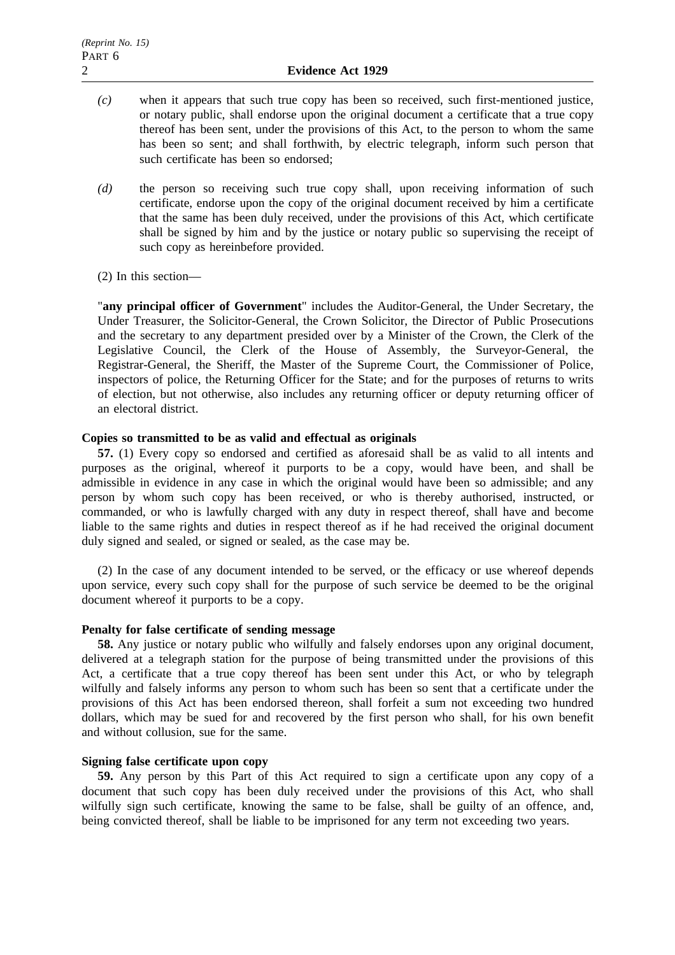- *(c)* when it appears that such true copy has been so received, such first-mentioned justice, or notary public, shall endorse upon the original document a certificate that a true copy thereof has been sent, under the provisions of this Act, to the person to whom the same has been so sent; and shall forthwith, by electric telegraph, inform such person that such certificate has been so endorsed;
- *(d)* the person so receiving such true copy shall, upon receiving information of such certificate, endorse upon the copy of the original document received by him a certificate that the same has been duly received, under the provisions of this Act, which certificate shall be signed by him and by the justice or notary public so supervising the receipt of such copy as hereinbefore provided.
- (2) In this section—

"**any principal officer of Government**" includes the Auditor-General, the Under Secretary, the Under Treasurer, the Solicitor-General, the Crown Solicitor, the Director of Public Prosecutions and the secretary to any department presided over by a Minister of the Crown, the Clerk of the Legislative Council, the Clerk of the House of Assembly, the Surveyor-General, the Registrar-General, the Sheriff, the Master of the Supreme Court, the Commissioner of Police, inspectors of police, the Returning Officer for the State; and for the purposes of returns to writs of election, but not otherwise, also includes any returning officer or deputy returning officer of an electoral district.

### **Copies so transmitted to be as valid and effectual as originals**

**57.** (1) Every copy so endorsed and certified as aforesaid shall be as valid to all intents and purposes as the original, whereof it purports to be a copy, would have been, and shall be admissible in evidence in any case in which the original would have been so admissible; and any person by whom such copy has been received, or who is thereby authorised, instructed, or commanded, or who is lawfully charged with any duty in respect thereof, shall have and become liable to the same rights and duties in respect thereof as if he had received the original document duly signed and sealed, or signed or sealed, as the case may be.

(2) In the case of any document intended to be served, or the efficacy or use whereof depends upon service, every such copy shall for the purpose of such service be deemed to be the original document whereof it purports to be a copy.

### **Penalty for false certificate of sending message**

**58.** Any justice or notary public who wilfully and falsely endorses upon any original document, delivered at a telegraph station for the purpose of being transmitted under the provisions of this Act, a certificate that a true copy thereof has been sent under this Act, or who by telegraph wilfully and falsely informs any person to whom such has been so sent that a certificate under the provisions of this Act has been endorsed thereon, shall forfeit a sum not exceeding two hundred dollars, which may be sued for and recovered by the first person who shall, for his own benefit and without collusion, sue for the same.

### **Signing false certificate upon copy**

**59.** Any person by this Part of this Act required to sign a certificate upon any copy of a document that such copy has been duly received under the provisions of this Act, who shall wilfully sign such certificate, knowing the same to be false, shall be guilty of an offence, and, being convicted thereof, shall be liable to be imprisoned for any term not exceeding two years.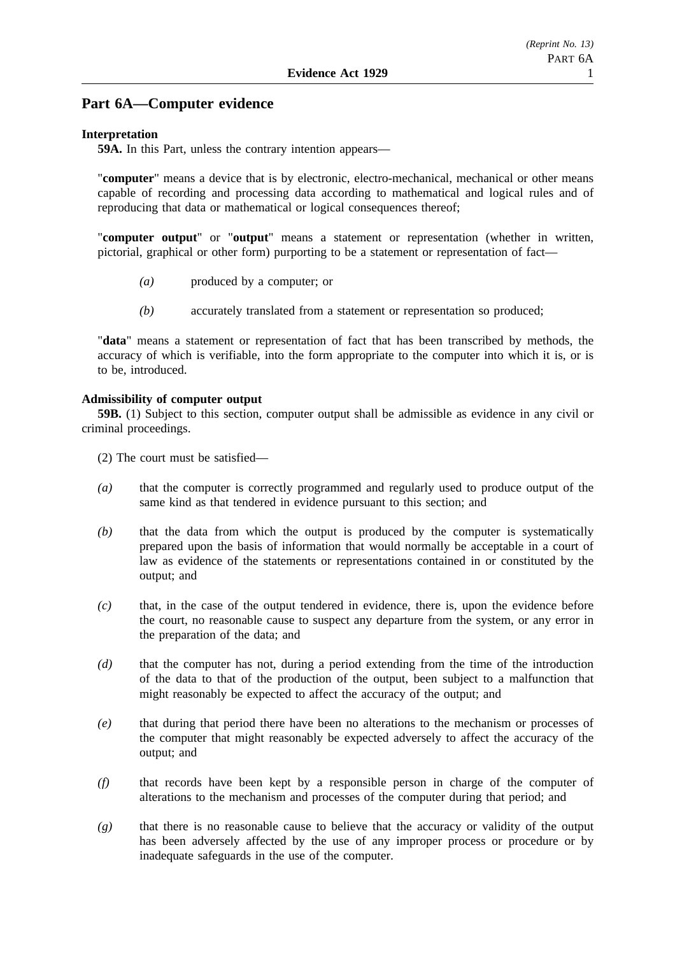### **Part 6A—Computer evidence**

### **Interpretation**

**59A.** In this Part, unless the contrary intention appears—

"**computer**" means a device that is by electronic, electro-mechanical, mechanical or other means capable of recording and processing data according to mathematical and logical rules and of reproducing that data or mathematical or logical consequences thereof;

"**computer output**" or "**output**" means a statement or representation (whether in written, pictorial, graphical or other form) purporting to be a statement or representation of fact—

- *(a)* produced by a computer; or
- *(b)* accurately translated from a statement or representation so produced;

"**data**" means a statement or representation of fact that has been transcribed by methods, the accuracy of which is verifiable, into the form appropriate to the computer into which it is, or is to be, introduced.

### **Admissibility of computer output**

**59B.** (1) Subject to this section, computer output shall be admissible as evidence in any civil or criminal proceedings.

(2) The court must be satisfied—

- *(a)* that the computer is correctly programmed and regularly used to produce output of the same kind as that tendered in evidence pursuant to this section; and
- *(b)* that the data from which the output is produced by the computer is systematically prepared upon the basis of information that would normally be acceptable in a court of law as evidence of the statements or representations contained in or constituted by the output; and
- *(c)* that, in the case of the output tendered in evidence, there is, upon the evidence before the court, no reasonable cause to suspect any departure from the system, or any error in the preparation of the data; and
- *(d)* that the computer has not, during a period extending from the time of the introduction of the data to that of the production of the output, been subject to a malfunction that might reasonably be expected to affect the accuracy of the output; and
- *(e)* that during that period there have been no alterations to the mechanism or processes of the computer that might reasonably be expected adversely to affect the accuracy of the output; and
- *(f)* that records have been kept by a responsible person in charge of the computer of alterations to the mechanism and processes of the computer during that period; and
- *(g)* that there is no reasonable cause to believe that the accuracy or validity of the output has been adversely affected by the use of any improper process or procedure or by inadequate safeguards in the use of the computer.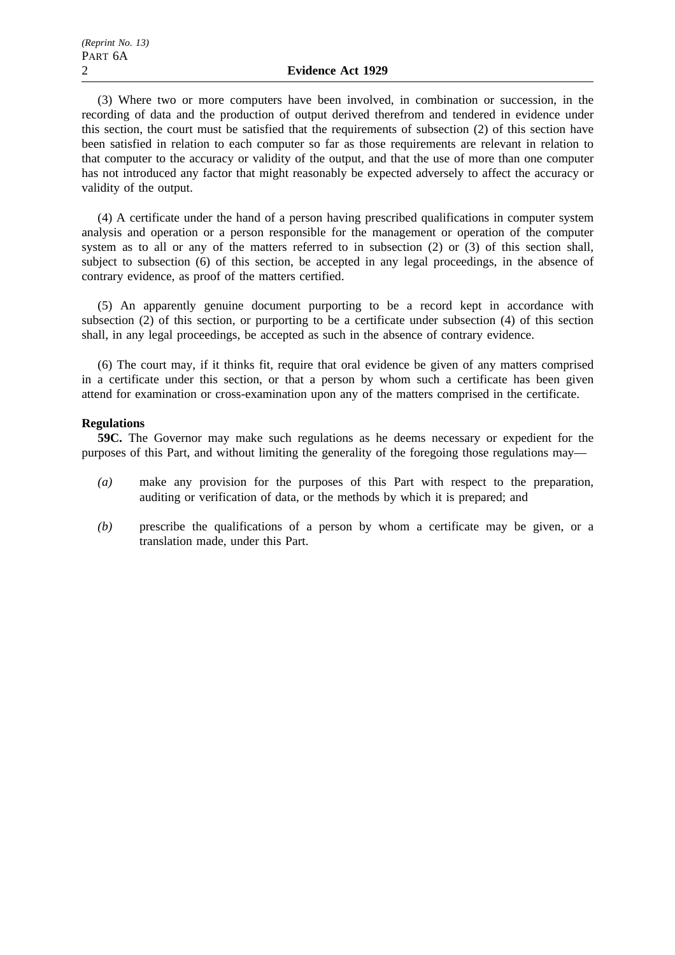(3) Where two or more computers have been involved, in combination or succession, in the recording of data and the production of output derived therefrom and tendered in evidence under this section, the court must be satisfied that the requirements of subsection (2) of this section have been satisfied in relation to each computer so far as those requirements are relevant in relation to that computer to the accuracy or validity of the output, and that the use of more than one computer has not introduced any factor that might reasonably be expected adversely to affect the accuracy or validity of the output.

(4) A certificate under the hand of a person having prescribed qualifications in computer system analysis and operation or a person responsible for the management or operation of the computer system as to all or any of the matters referred to in subsection (2) or (3) of this section shall, subject to subsection (6) of this section, be accepted in any legal proceedings, in the absence of contrary evidence, as proof of the matters certified.

(5) An apparently genuine document purporting to be a record kept in accordance with subsection (2) of this section, or purporting to be a certificate under subsection (4) of this section shall, in any legal proceedings, be accepted as such in the absence of contrary evidence.

(6) The court may, if it thinks fit, require that oral evidence be given of any matters comprised in a certificate under this section, or that a person by whom such a certificate has been given attend for examination or cross-examination upon any of the matters comprised in the certificate.

### **Regulations**

**59C.** The Governor may make such regulations as he deems necessary or expedient for the purposes of this Part, and without limiting the generality of the foregoing those regulations may—

- *(a)* make any provision for the purposes of this Part with respect to the preparation, auditing or verification of data, or the methods by which it is prepared; and
- *(b)* prescribe the qualifications of a person by whom a certificate may be given, or a translation made, under this Part.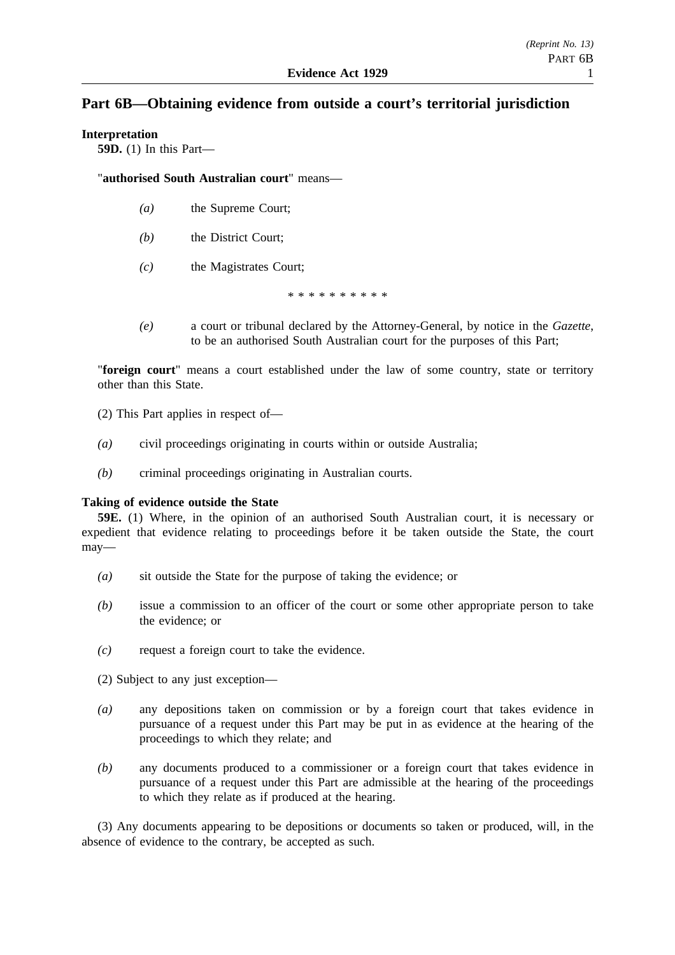### **Part 6B—Obtaining evidence from outside a court's territorial jurisdiction**

### **Interpretation**

**59D.** (1) In this Part—

"**authorised South Australian court**" means—

- *(a)* the Supreme Court;
- *(b)* the District Court;
- *(c)* the Magistrates Court;

\*\*\*\*\*\*\*\*\*\*

*(e)* a court or tribunal declared by the Attorney-General, by notice in the *Gazette*, to be an authorised South Australian court for the purposes of this Part;

"**foreign court**" means a court established under the law of some country, state or territory other than this State.

- (2) This Part applies in respect of—
- *(a)* civil proceedings originating in courts within or outside Australia;
- *(b)* criminal proceedings originating in Australian courts.

### **Taking of evidence outside the State**

**59E.** (1) Where, in the opinion of an authorised South Australian court, it is necessary or expedient that evidence relating to proceedings before it be taken outside the State, the court may—

- *(a)* sit outside the State for the purpose of taking the evidence; or
- *(b)* issue a commission to an officer of the court or some other appropriate person to take the evidence; or
- *(c)* request a foreign court to take the evidence.
- (2) Subject to any just exception—
- *(a)* any depositions taken on commission or by a foreign court that takes evidence in pursuance of a request under this Part may be put in as evidence at the hearing of the proceedings to which they relate; and
- *(b)* any documents produced to a commissioner or a foreign court that takes evidence in pursuance of a request under this Part are admissible at the hearing of the proceedings to which they relate as if produced at the hearing.

(3) Any documents appearing to be depositions or documents so taken or produced, will, in the absence of evidence to the contrary, be accepted as such.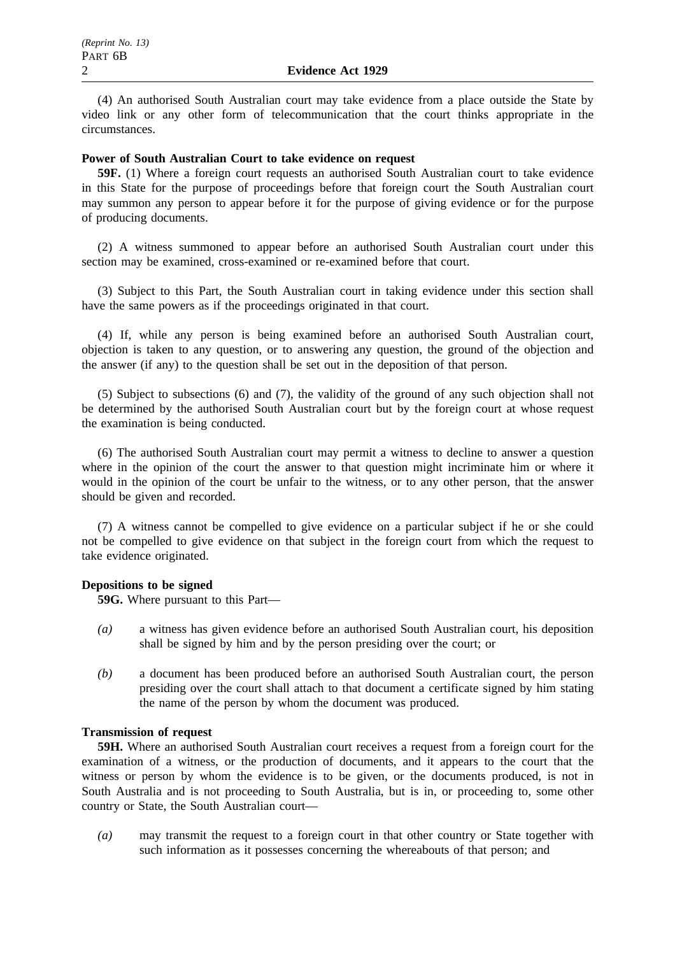(4) An authorised South Australian court may take evidence from a place outside the State by video link or any other form of telecommunication that the court thinks appropriate in the circumstances.

### **Power of South Australian Court to take evidence on request**

**59F.** (1) Where a foreign court requests an authorised South Australian court to take evidence in this State for the purpose of proceedings before that foreign court the South Australian court may summon any person to appear before it for the purpose of giving evidence or for the purpose of producing documents.

(2) A witness summoned to appear before an authorised South Australian court under this section may be examined, cross-examined or re-examined before that court.

(3) Subject to this Part, the South Australian court in taking evidence under this section shall have the same powers as if the proceedings originated in that court.

(4) If, while any person is being examined before an authorised South Australian court, objection is taken to any question, or to answering any question, the ground of the objection and the answer (if any) to the question shall be set out in the deposition of that person.

(5) Subject to subsections (6) and (7), the validity of the ground of any such objection shall not be determined by the authorised South Australian court but by the foreign court at whose request the examination is being conducted.

(6) The authorised South Australian court may permit a witness to decline to answer a question where in the opinion of the court the answer to that question might incriminate him or where it would in the opinion of the court be unfair to the witness, or to any other person, that the answer should be given and recorded.

(7) A witness cannot be compelled to give evidence on a particular subject if he or she could not be compelled to give evidence on that subject in the foreign court from which the request to take evidence originated.

### **Depositions to be signed**

**59G.** Where pursuant to this Part—

- *(a)* a witness has given evidence before an authorised South Australian court, his deposition shall be signed by him and by the person presiding over the court; or
- *(b)* a document has been produced before an authorised South Australian court, the person presiding over the court shall attach to that document a certificate signed by him stating the name of the person by whom the document was produced.

### **Transmission of request**

**59H.** Where an authorised South Australian court receives a request from a foreign court for the examination of a witness, or the production of documents, and it appears to the court that the witness or person by whom the evidence is to be given, or the documents produced, is not in South Australia and is not proceeding to South Australia, but is in, or proceeding to, some other country or State, the South Australian court—

*(a)* may transmit the request to a foreign court in that other country or State together with such information as it possesses concerning the whereabouts of that person; and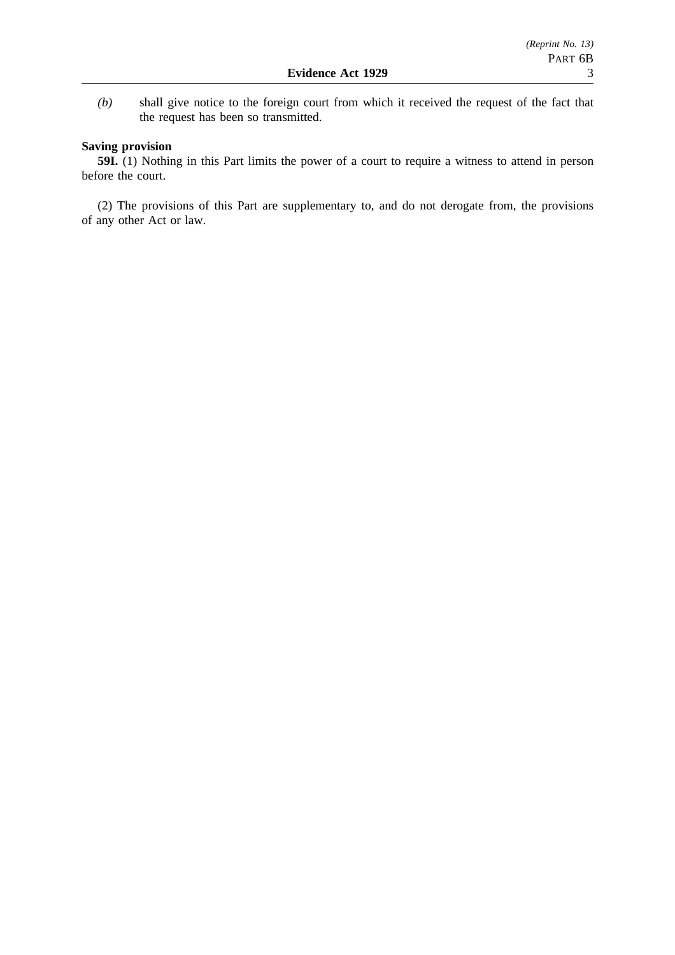*(b)* shall give notice to the foreign court from which it received the request of the fact that the request has been so transmitted.

### **Saving provision**

**59I.** (1) Nothing in this Part limits the power of a court to require a witness to attend in person before the court.

(2) The provisions of this Part are supplementary to, and do not derogate from, the provisions of any other Act or law.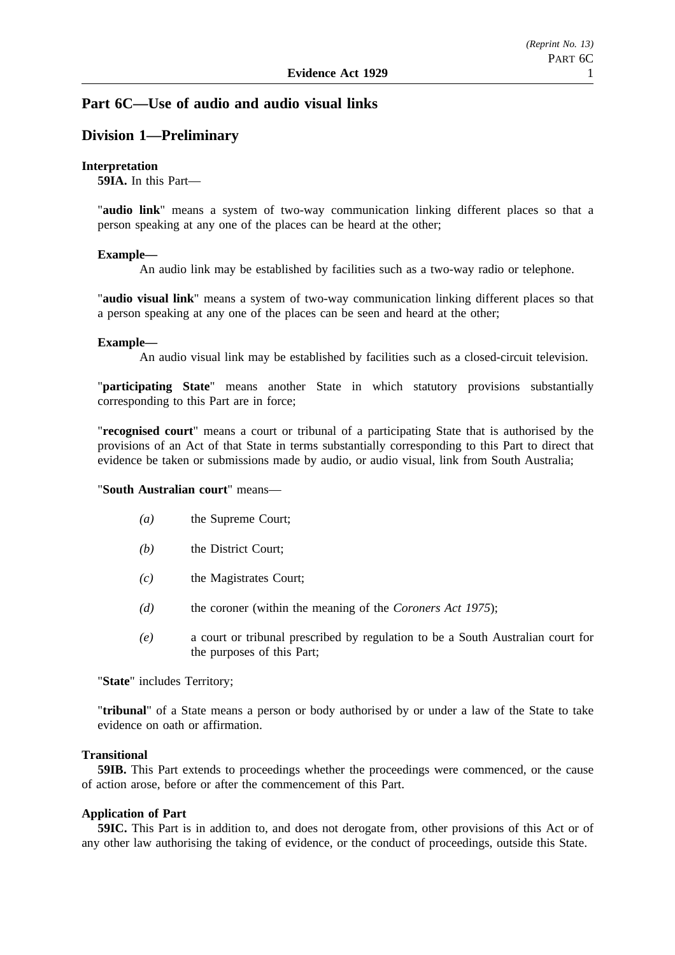### **Part 6C—Use of audio and audio visual links**

### **Division 1—Preliminary**

### **Interpretation**

**59IA.** In this Part—

"**audio link**" means a system of two-way communication linking different places so that a person speaking at any one of the places can be heard at the other;

### **Example—**

An audio link may be established by facilities such as a two-way radio or telephone.

"**audio visual link**" means a system of two-way communication linking different places so that a person speaking at any one of the places can be seen and heard at the other;

### **Example—**

An audio visual link may be established by facilities such as a closed-circuit television.

"**participating State**" means another State in which statutory provisions substantially corresponding to this Part are in force;

"**recognised court**" means a court or tribunal of a participating State that is authorised by the provisions of an Act of that State in terms substantially corresponding to this Part to direct that evidence be taken or submissions made by audio, or audio visual, link from South Australia;

### "**South Australian court**" means—

- *(a)* the Supreme Court;
- *(b)* the District Court;
- *(c)* the Magistrates Court;
- *(d)* the coroner (within the meaning of the *Coroners Act 1975*);
- *(e)* a court or tribunal prescribed by regulation to be a South Australian court for the purposes of this Part;

"**State**" includes Territory;

"**tribunal**" of a State means a person or body authorised by or under a law of the State to take evidence on oath or affirmation.

### **Transitional**

**59IB.** This Part extends to proceedings whether the proceedings were commenced, or the cause of action arose, before or after the commencement of this Part.

### **Application of Part**

**59IC.** This Part is in addition to, and does not derogate from, other provisions of this Act or of any other law authorising the taking of evidence, or the conduct of proceedings, outside this State.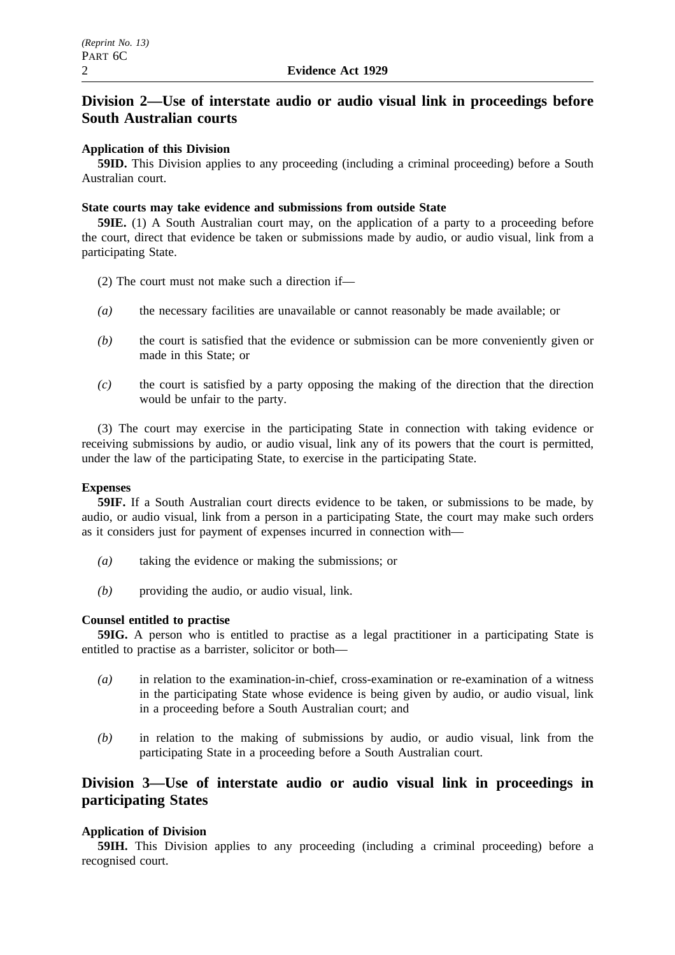# **Division 2—Use of interstate audio or audio visual link in proceedings before South Australian courts**

### **Application of this Division**

**59ID.** This Division applies to any proceeding (including a criminal proceeding) before a South Australian court.

### **State courts may take evidence and submissions from outside State**

**59IE.** (1) A South Australian court may, on the application of a party to a proceeding before the court, direct that evidence be taken or submissions made by audio, or audio visual, link from a participating State.

- (2) The court must not make such a direction if—
- *(a)* the necessary facilities are unavailable or cannot reasonably be made available; or
- *(b)* the court is satisfied that the evidence or submission can be more conveniently given or made in this State; or
- *(c)* the court is satisfied by a party opposing the making of the direction that the direction would be unfair to the party.

(3) The court may exercise in the participating State in connection with taking evidence or receiving submissions by audio, or audio visual, link any of its powers that the court is permitted, under the law of the participating State, to exercise in the participating State.

### **Expenses**

**59IF.** If a South Australian court directs evidence to be taken, or submissions to be made, by audio, or audio visual, link from a person in a participating State, the court may make such orders as it considers just for payment of expenses incurred in connection with—

- *(a)* taking the evidence or making the submissions; or
- *(b)* providing the audio, or audio visual, link.

### **Counsel entitled to practise**

**59IG.** A person who is entitled to practise as a legal practitioner in a participating State is entitled to practise as a barrister, solicitor or both—

- *(a)* in relation to the examination-in-chief, cross-examination or re-examination of a witness in the participating State whose evidence is being given by audio, or audio visual, link in a proceeding before a South Australian court; and
- *(b)* in relation to the making of submissions by audio, or audio visual, link from the participating State in a proceeding before a South Australian court.

## **Division 3—Use of interstate audio or audio visual link in proceedings in participating States**

### **Application of Division**

**59IH.** This Division applies to any proceeding (including a criminal proceeding) before a recognised court.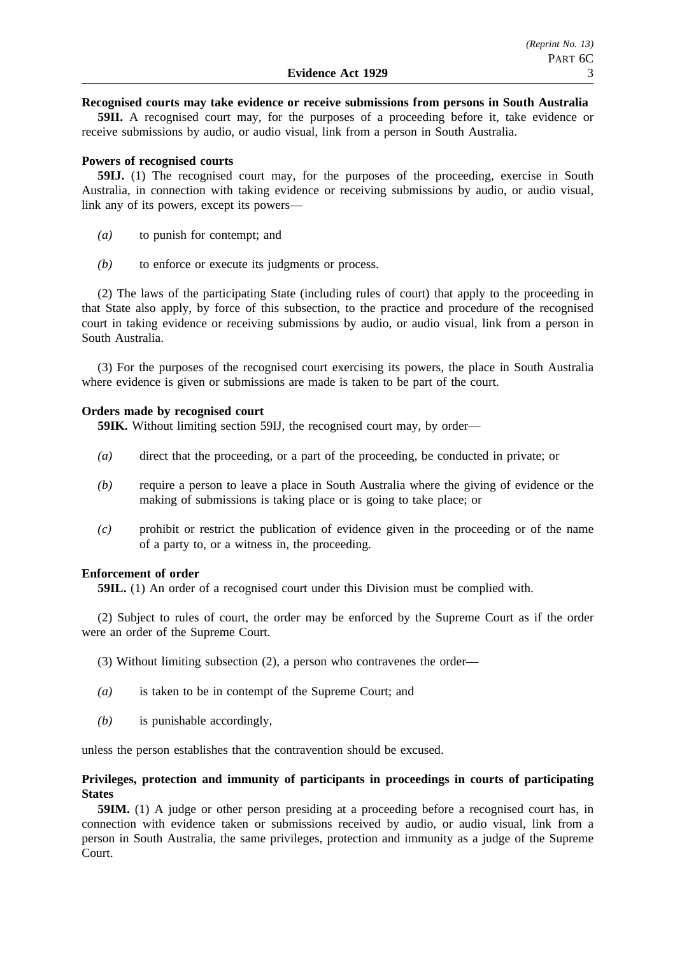### **Recognised courts may take evidence or receive submissions from persons in South Australia**

**59II.** A recognised court may, for the purposes of a proceeding before it, take evidence or receive submissions by audio, or audio visual, link from a person in South Australia.

### **Powers of recognised courts**

**59IJ.** (1) The recognised court may, for the purposes of the proceeding, exercise in South Australia, in connection with taking evidence or receiving submissions by audio, or audio visual, link any of its powers, except its powers—

- *(a)* to punish for contempt; and
- *(b)* to enforce or execute its judgments or process.

(2) The laws of the participating State (including rules of court) that apply to the proceeding in that State also apply, by force of this subsection, to the practice and procedure of the recognised court in taking evidence or receiving submissions by audio, or audio visual, link from a person in South Australia.

(3) For the purposes of the recognised court exercising its powers, the place in South Australia where evidence is given or submissions are made is taken to be part of the court.

### **Orders made by recognised court**

**59IK.** Without limiting section 59IJ, the recognised court may, by order—

- *(a)* direct that the proceeding, or a part of the proceeding, be conducted in private; or
- *(b)* require a person to leave a place in South Australia where the giving of evidence or the making of submissions is taking place or is going to take place; or
- *(c)* prohibit or restrict the publication of evidence given in the proceeding or of the name of a party to, or a witness in, the proceeding.

### **Enforcement of order**

**59IL.** (1) An order of a recognised court under this Division must be complied with.

(2) Subject to rules of court, the order may be enforced by the Supreme Court as if the order were an order of the Supreme Court.

- (3) Without limiting subsection (2), a person who contravenes the order—
- *(a)* is taken to be in contempt of the Supreme Court; and
- *(b)* is punishable accordingly,

unless the person establishes that the contravention should be excused.

### **Privileges, protection and immunity of participants in proceedings in courts of participating States**

**59IM.** (1) A judge or other person presiding at a proceeding before a recognised court has, in connection with evidence taken or submissions received by audio, or audio visual, link from a person in South Australia, the same privileges, protection and immunity as a judge of the Supreme Court.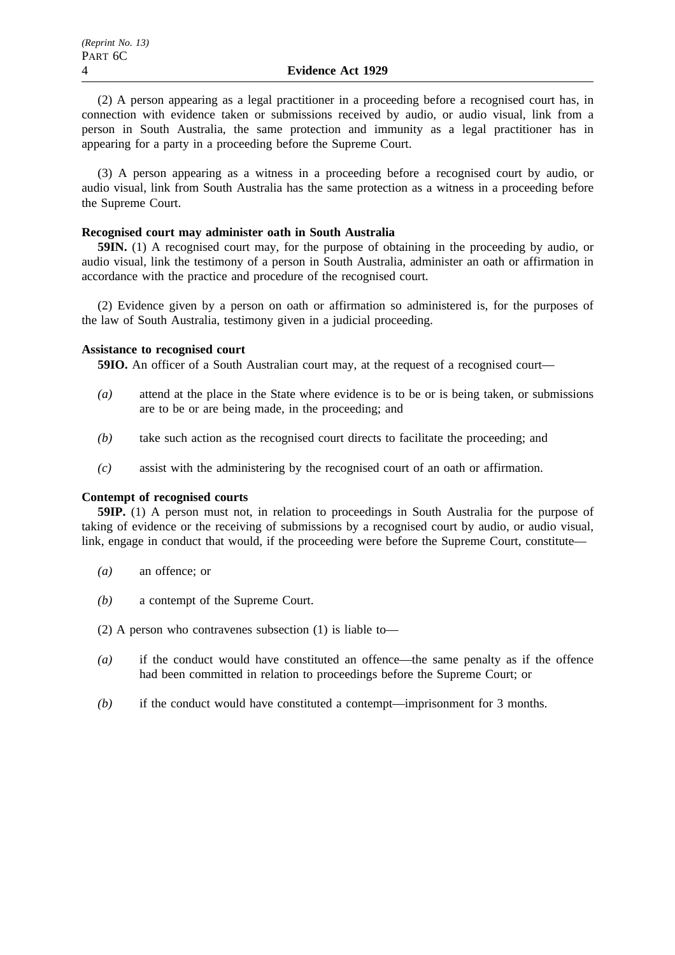(2) A person appearing as a legal practitioner in a proceeding before a recognised court has, in connection with evidence taken or submissions received by audio, or audio visual, link from a person in South Australia, the same protection and immunity as a legal practitioner has in appearing for a party in a proceeding before the Supreme Court.

(3) A person appearing as a witness in a proceeding before a recognised court by audio, or audio visual, link from South Australia has the same protection as a witness in a proceeding before the Supreme Court.

### **Recognised court may administer oath in South Australia**

**59IN.** (1) A recognised court may, for the purpose of obtaining in the proceeding by audio, or audio visual, link the testimony of a person in South Australia, administer an oath or affirmation in accordance with the practice and procedure of the recognised court.

(2) Evidence given by a person on oath or affirmation so administered is, for the purposes of the law of South Australia, testimony given in a judicial proceeding.

### **Assistance to recognised court**

**59IO.** An officer of a South Australian court may, at the request of a recognised court—

- *(a)* attend at the place in the State where evidence is to be or is being taken, or submissions are to be or are being made, in the proceeding; and
- *(b)* take such action as the recognised court directs to facilitate the proceeding; and
- *(c)* assist with the administering by the recognised court of an oath or affirmation.

### **Contempt of recognised courts**

**59IP.** (1) A person must not, in relation to proceedings in South Australia for the purpose of taking of evidence or the receiving of submissions by a recognised court by audio, or audio visual, link, engage in conduct that would, if the proceeding were before the Supreme Court, constitute—

- *(a)* an offence; or
- *(b)* a contempt of the Supreme Court.
- (2) A person who contravenes subsection (1) is liable to—
- *(a)* if the conduct would have constituted an offence—the same penalty as if the offence had been committed in relation to proceedings before the Supreme Court; or
- *(b)* if the conduct would have constituted a contempt—imprisonment for 3 months.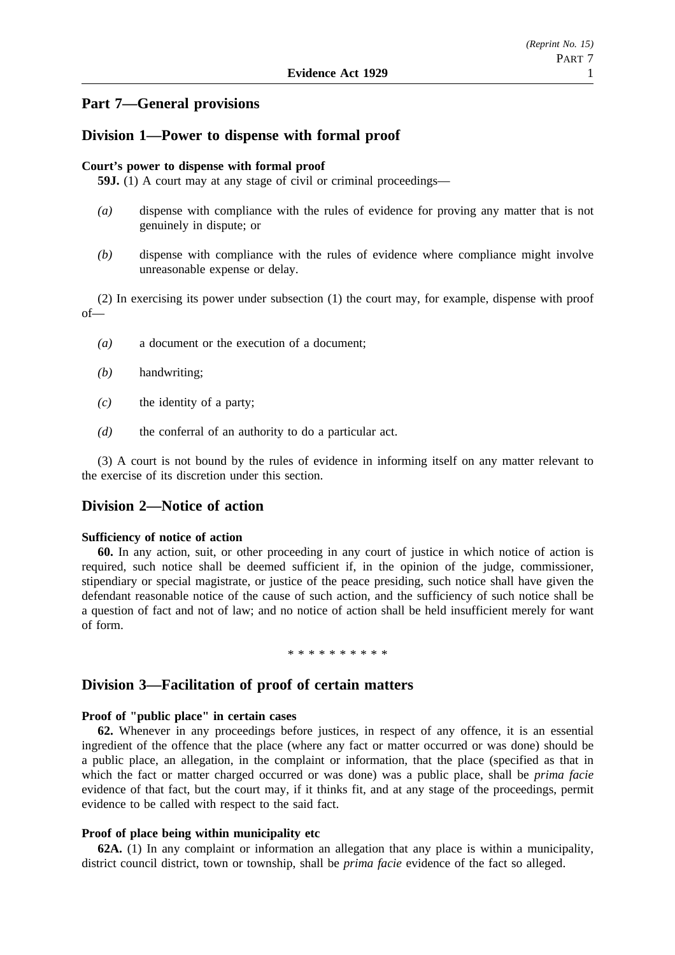### **Part 7—General provisions**

### **Division 1—Power to dispense with formal proof**

### **Court's power to dispense with formal proof**

**59J.** (1) A court may at any stage of civil or criminal proceedings—

- *(a)* dispense with compliance with the rules of evidence for proving any matter that is not genuinely in dispute; or
- *(b)* dispense with compliance with the rules of evidence where compliance might involve unreasonable expense or delay.

(2) In exercising its power under subsection (1) the court may, for example, dispense with proof of—

- *(a)* a document or the execution of a document;
- *(b)* handwriting;
- *(c)* the identity of a party;
- *(d)* the conferral of an authority to do a particular act.

(3) A court is not bound by the rules of evidence in informing itself on any matter relevant to the exercise of its discretion under this section.

### **Division 2—Notice of action**

### **Sufficiency of notice of action**

**60.** In any action, suit, or other proceeding in any court of justice in which notice of action is required, such notice shall be deemed sufficient if, in the opinion of the judge, commissioner, stipendiary or special magistrate, or justice of the peace presiding, such notice shall have given the defendant reasonable notice of the cause of such action, and the sufficiency of such notice shall be a question of fact and not of law; and no notice of action shall be held insufficient merely for want of form.

#### \*\*\*\*\*\*\*\*\*\*

### **Division 3—Facilitation of proof of certain matters**

### **Proof of "public place" in certain cases**

**62.** Whenever in any proceedings before justices, in respect of any offence, it is an essential ingredient of the offence that the place (where any fact or matter occurred or was done) should be a public place, an allegation, in the complaint or information, that the place (specified as that in which the fact or matter charged occurred or was done) was a public place, shall be *prima facie* evidence of that fact, but the court may, if it thinks fit, and at any stage of the proceedings, permit evidence to be called with respect to the said fact.

### **Proof of place being within municipality etc**

**62A.** (1) In any complaint or information an allegation that any place is within a municipality, district council district, town or township, shall be *prima facie* evidence of the fact so alleged.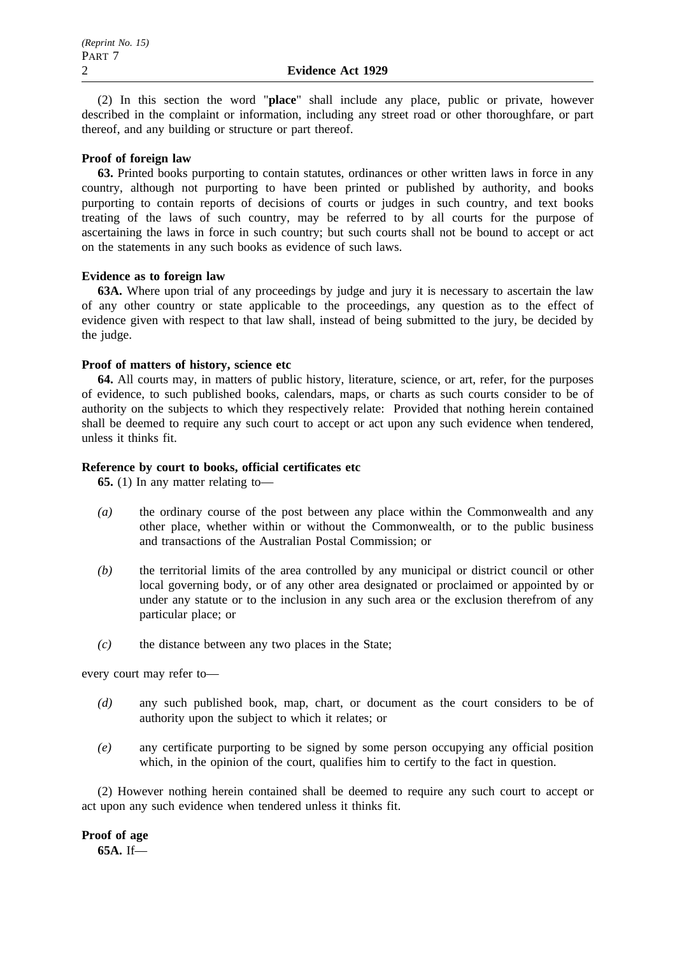(2) In this section the word "**place**" shall include any place, public or private, however described in the complaint or information, including any street road or other thoroughfare, or part thereof, and any building or structure or part thereof.

### **Proof of foreign law**

**63.** Printed books purporting to contain statutes, ordinances or other written laws in force in any country, although not purporting to have been printed or published by authority, and books purporting to contain reports of decisions of courts or judges in such country, and text books treating of the laws of such country, may be referred to by all courts for the purpose of ascertaining the laws in force in such country; but such courts shall not be bound to accept or act on the statements in any such books as evidence of such laws.

### **Evidence as to foreign law**

**63A.** Where upon trial of any proceedings by judge and jury it is necessary to ascertain the law of any other country or state applicable to the proceedings, any question as to the effect of evidence given with respect to that law shall, instead of being submitted to the jury, be decided by the judge.

### **Proof of matters of history, science etc**

**64.** All courts may, in matters of public history, literature, science, or art, refer, for the purposes of evidence, to such published books, calendars, maps, or charts as such courts consider to be of authority on the subjects to which they respectively relate: Provided that nothing herein contained shall be deemed to require any such court to accept or act upon any such evidence when tendered, unless it thinks fit.

### **Reference by court to books, official certificates etc**

**65.** (1) In any matter relating to—

- *(a)* the ordinary course of the post between any place within the Commonwealth and any other place, whether within or without the Commonwealth, or to the public business and transactions of the Australian Postal Commission; or
- *(b)* the territorial limits of the area controlled by any municipal or district council or other local governing body, or of any other area designated or proclaimed or appointed by or under any statute or to the inclusion in any such area or the exclusion therefrom of any particular place; or
- *(c)* the distance between any two places in the State;

every court may refer to—

- *(d)* any such published book, map, chart, or document as the court considers to be of authority upon the subject to which it relates; or
- *(e)* any certificate purporting to be signed by some person occupying any official position which, in the opinion of the court, qualifies him to certify to the fact in question.

(2) However nothing herein contained shall be deemed to require any such court to accept or act upon any such evidence when tendered unless it thinks fit.

**Proof of age 65A.** If—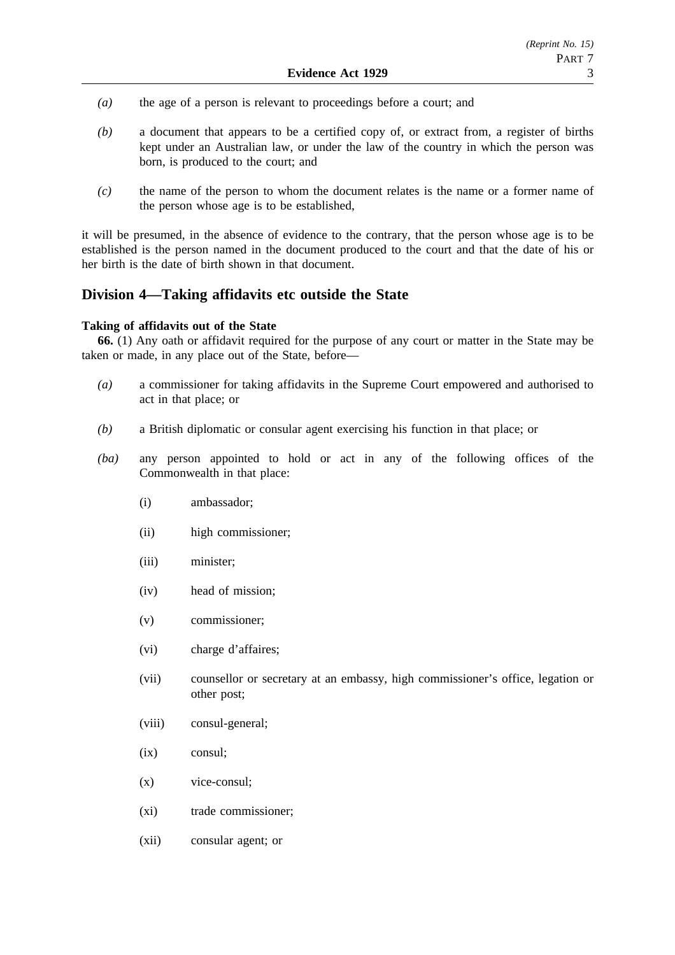- *(a)* the age of a person is relevant to proceedings before a court; and
- *(b)* a document that appears to be a certified copy of, or extract from, a register of births kept under an Australian law, or under the law of the country in which the person was born, is produced to the court; and
- *(c)* the name of the person to whom the document relates is the name or a former name of the person whose age is to be established,

it will be presumed, in the absence of evidence to the contrary, that the person whose age is to be established is the person named in the document produced to the court and that the date of his or her birth is the date of birth shown in that document.

### **Division 4—Taking affidavits etc outside the State**

### **Taking of affidavits out of the State**

**66.** (1) Any oath or affidavit required for the purpose of any court or matter in the State may be taken or made, in any place out of the State, before—

- *(a)* a commissioner for taking affidavits in the Supreme Court empowered and authorised to act in that place; or
- *(b)* a British diplomatic or consular agent exercising his function in that place; or
- *(ba)* any person appointed to hold or act in any of the following offices of the Commonwealth in that place:
	- (i) ambassador;
	- (ii) high commissioner;
	- (iii) minister;
	- (iv) head of mission;
	- (v) commissioner;
	- (vi) charge d'affaires;
	- (vii) counsellor or secretary at an embassy, high commissioner's office, legation or other post;
	- (viii) consul-general;
	- (ix) consul;
	- (x) vice-consul;
	- (xi) trade commissioner;
	- (xii) consular agent; or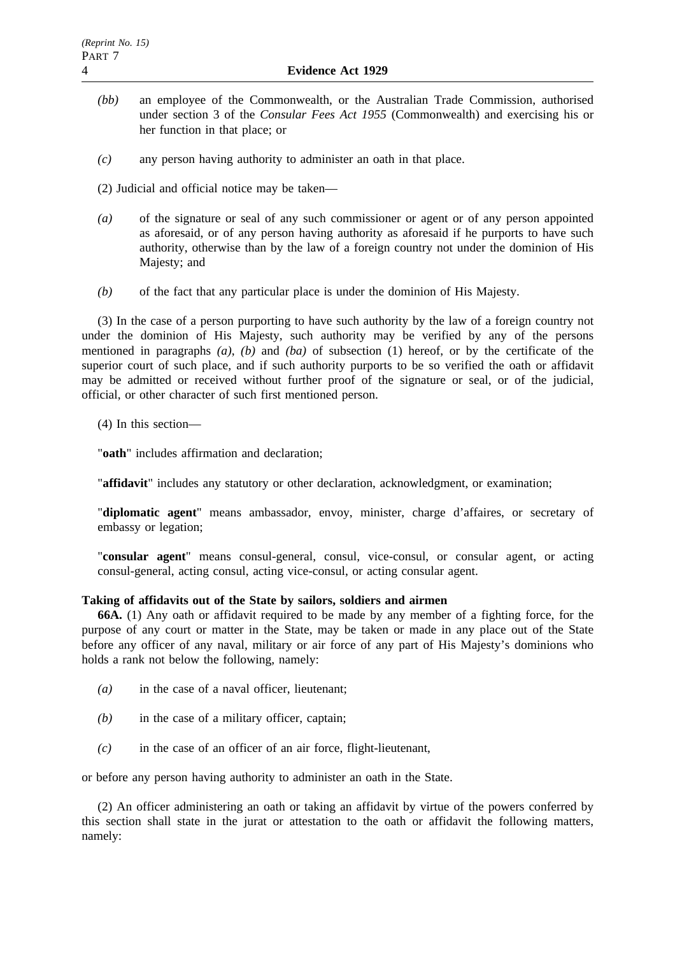- *(bb)* an employee of the Commonwealth, or the Australian Trade Commission, authorised under section 3 of the *Consular Fees Act 1955* (Commonwealth) and exercising his or her function in that place; or
- *(c)* any person having authority to administer an oath in that place.
- (2) Judicial and official notice may be taken—
- *(a)* of the signature or seal of any such commissioner or agent or of any person appointed as aforesaid, or of any person having authority as aforesaid if he purports to have such authority, otherwise than by the law of a foreign country not under the dominion of His Majesty; and
- *(b)* of the fact that any particular place is under the dominion of His Majesty.

(3) In the case of a person purporting to have such authority by the law of a foreign country not under the dominion of His Majesty, such authority may be verified by any of the persons mentioned in paragraphs *(a)*, *(b)* and *(ba)* of subsection (1) hereof, or by the certificate of the superior court of such place, and if such authority purports to be so verified the oath or affidavit may be admitted or received without further proof of the signature or seal, or of the judicial, official, or other character of such first mentioned person.

(4) In this section—

"**oath**" includes affirmation and declaration;

"**affidavit**" includes any statutory or other declaration, acknowledgment, or examination;

"**diplomatic agent**" means ambassador, envoy, minister, charge d'affaires, or secretary of embassy or legation;

"**consular agent**" means consul-general, consul, vice-consul, or consular agent, or acting consul-general, acting consul, acting vice-consul, or acting consular agent.

### **Taking of affidavits out of the State by sailors, soldiers and airmen**

**66A.** (1) Any oath or affidavit required to be made by any member of a fighting force, for the purpose of any court or matter in the State, may be taken or made in any place out of the State before any officer of any naval, military or air force of any part of His Majesty's dominions who holds a rank not below the following, namely:

- *(a)* in the case of a naval officer, lieutenant;
- *(b)* in the case of a military officer, captain;
- *(c)* in the case of an officer of an air force, flight-lieutenant,

or before any person having authority to administer an oath in the State.

(2) An officer administering an oath or taking an affidavit by virtue of the powers conferred by this section shall state in the jurat or attestation to the oath or affidavit the following matters, namely: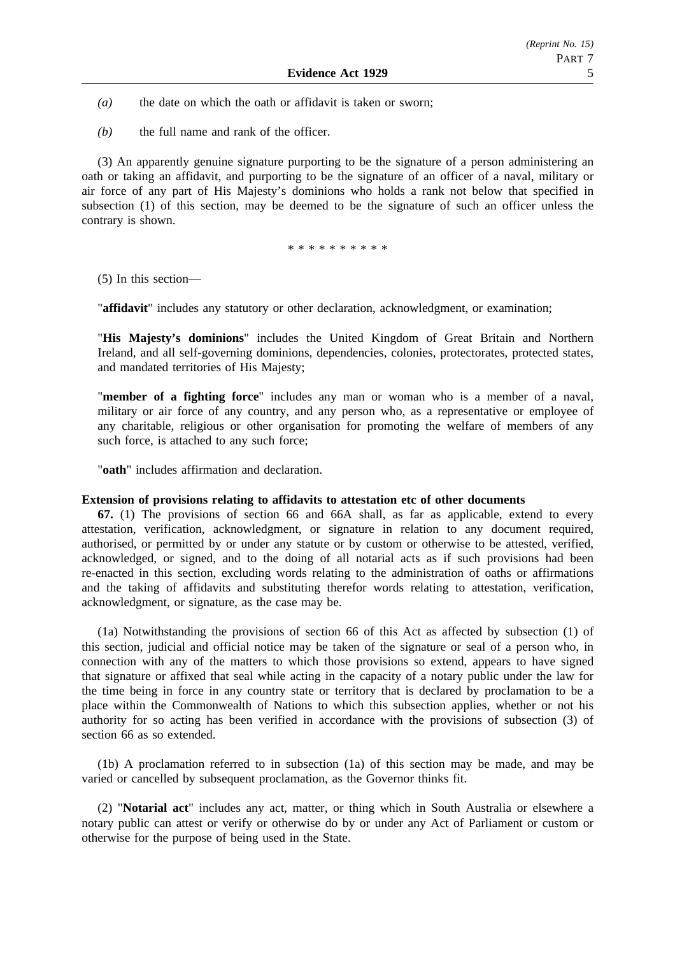- *(a)* the date on which the oath or affidavit is taken or sworn;
- *(b)* the full name and rank of the officer.

(3) An apparently genuine signature purporting to be the signature of a person administering an oath or taking an affidavit, and purporting to be the signature of an officer of a naval, military or air force of any part of His Majesty's dominions who holds a rank not below that specified in subsection (1) of this section, may be deemed to be the signature of such an officer unless the contrary is shown.

\*\*\*\*\*\*\*\*\*\*\*\*\*

(5) In this section—

"**affidavit**" includes any statutory or other declaration, acknowledgment, or examination;

"**His Majesty's dominions**" includes the United Kingdom of Great Britain and Northern Ireland, and all self-governing dominions, dependencies, colonies, protectorates, protected states, and mandated territories of His Majesty;

"**member of a fighting force**" includes any man or woman who is a member of a naval, military or air force of any country, and any person who, as a representative or employee of any charitable, religious or other organisation for promoting the welfare of members of any such force, is attached to any such force;

"**oath**" includes affirmation and declaration.

### **Extension of provisions relating to affidavits to attestation etc of other documents**

**67.** (1) The provisions of section 66 and 66A shall, as far as applicable, extend to every attestation, verification, acknowledgment, or signature in relation to any document required, authorised, or permitted by or under any statute or by custom or otherwise to be attested, verified, acknowledged, or signed, and to the doing of all notarial acts as if such provisions had been re-enacted in this section, excluding words relating to the administration of oaths or affirmations and the taking of affidavits and substituting therefor words relating to attestation, verification, acknowledgment, or signature, as the case may be.

(1a) Notwithstanding the provisions of section 66 of this Act as affected by subsection (1) of this section, judicial and official notice may be taken of the signature or seal of a person who, in connection with any of the matters to which those provisions so extend, appears to have signed that signature or affixed that seal while acting in the capacity of a notary public under the law for the time being in force in any country state or territory that is declared by proclamation to be a place within the Commonwealth of Nations to which this subsection applies, whether or not his authority for so acting has been verified in accordance with the provisions of subsection (3) of section 66 as so extended.

(1b) A proclamation referred to in subsection (1a) of this section may be made, and may be varied or cancelled by subsequent proclamation, as the Governor thinks fit.

(2) "**Notarial act**" includes any act, matter, or thing which in South Australia or elsewhere a notary public can attest or verify or otherwise do by or under any Act of Parliament or custom or otherwise for the purpose of being used in the State.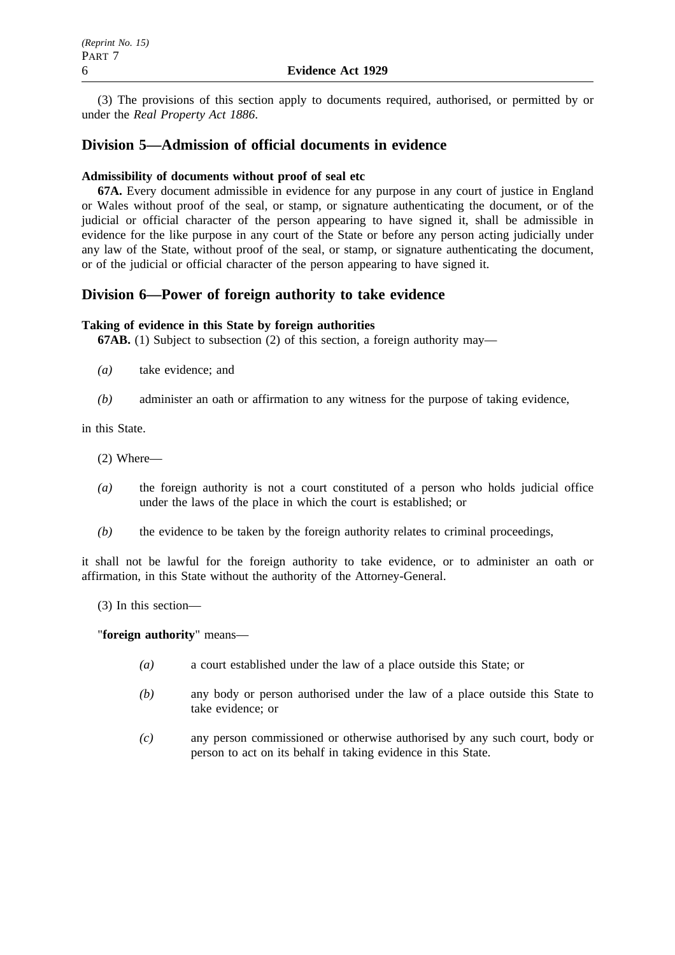(3) The provisions of this section apply to documents required, authorised, or permitted by or under the *Real Property Act 1886*.

### **Division 5—Admission of official documents in evidence**

### **Admissibility of documents without proof of seal etc**

**67A.** Every document admissible in evidence for any purpose in any court of justice in England or Wales without proof of the seal, or stamp, or signature authenticating the document, or of the judicial or official character of the person appearing to have signed it, shall be admissible in evidence for the like purpose in any court of the State or before any person acting judicially under any law of the State, without proof of the seal, or stamp, or signature authenticating the document, or of the judicial or official character of the person appearing to have signed it.

### **Division 6—Power of foreign authority to take evidence**

### **Taking of evidence in this State by foreign authorities**

**67AB.** (1) Subject to subsection (2) of this section, a foreign authority may—

- *(a)* take evidence; and
- *(b)* administer an oath or affirmation to any witness for the purpose of taking evidence,

in this State.

- (2) Where—
- *(a)* the foreign authority is not a court constituted of a person who holds judicial office under the laws of the place in which the court is established; or
- *(b)* the evidence to be taken by the foreign authority relates to criminal proceedings,

it shall not be lawful for the foreign authority to take evidence, or to administer an oath or affirmation, in this State without the authority of the Attorney-General.

(3) In this section—

### "**foreign authority**" means—

- *(a)* a court established under the law of a place outside this State; or
- *(b)* any body or person authorised under the law of a place outside this State to take evidence; or
- *(c)* any person commissioned or otherwise authorised by any such court, body or person to act on its behalf in taking evidence in this State.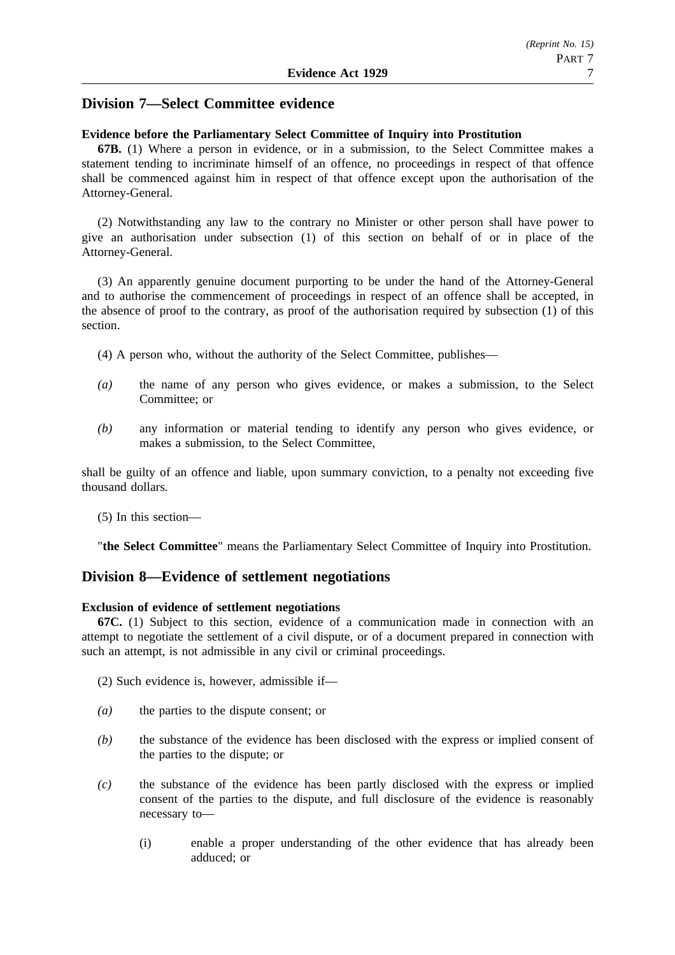### **Division 7—Select Committee evidence**

### **Evidence before the Parliamentary Select Committee of Inquiry into Prostitution**

**67B.** (1) Where a person in evidence, or in a submission, to the Select Committee makes a statement tending to incriminate himself of an offence, no proceedings in respect of that offence shall be commenced against him in respect of that offence except upon the authorisation of the Attorney-General.

(2) Notwithstanding any law to the contrary no Minister or other person shall have power to give an authorisation under subsection (1) of this section on behalf of or in place of the Attorney-General.

(3) An apparently genuine document purporting to be under the hand of the Attorney-General and to authorise the commencement of proceedings in respect of an offence shall be accepted, in the absence of proof to the contrary, as proof of the authorisation required by subsection (1) of this section.

(4) A person who, without the authority of the Select Committee, publishes—

- *(a)* the name of any person who gives evidence, or makes a submission, to the Select Committee; or
- *(b)* any information or material tending to identify any person who gives evidence, or makes a submission, to the Select Committee,

shall be guilty of an offence and liable, upon summary conviction, to a penalty not exceeding five thousand dollars.

(5) In this section—

"**the Select Committee**" means the Parliamentary Select Committee of Inquiry into Prostitution.

### **Division 8—Evidence of settlement negotiations**

### **Exclusion of evidence of settlement negotiations**

**67C.** (1) Subject to this section, evidence of a communication made in connection with an attempt to negotiate the settlement of a civil dispute, or of a document prepared in connection with such an attempt, is not admissible in any civil or criminal proceedings.

(2) Such evidence is, however, admissible if—

- *(a)* the parties to the dispute consent; or
- *(b)* the substance of the evidence has been disclosed with the express or implied consent of the parties to the dispute; or
- *(c)* the substance of the evidence has been partly disclosed with the express or implied consent of the parties to the dispute, and full disclosure of the evidence is reasonably necessary to—
	- (i) enable a proper understanding of the other evidence that has already been adduced; or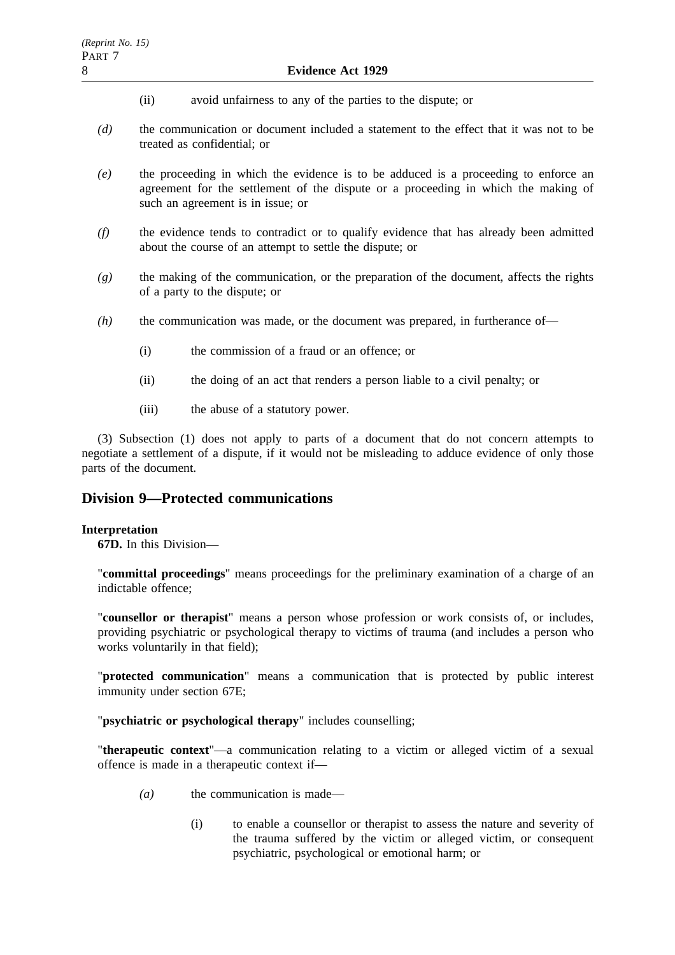- (ii) avoid unfairness to any of the parties to the dispute; or
- *(d)* the communication or document included a statement to the effect that it was not to be treated as confidential; or
- *(e)* the proceeding in which the evidence is to be adduced is a proceeding to enforce an agreement for the settlement of the dispute or a proceeding in which the making of such an agreement is in issue; or
- *(f)* the evidence tends to contradict or to qualify evidence that has already been admitted about the course of an attempt to settle the dispute; or
- *(g)* the making of the communication, or the preparation of the document, affects the rights of a party to the dispute; or
- *(h)* the communication was made, or the document was prepared, in furtherance of—
	- (i) the commission of a fraud or an offence; or
	- (ii) the doing of an act that renders a person liable to a civil penalty; or
	- (iii) the abuse of a statutory power.

(3) Subsection (1) does not apply to parts of a document that do not concern attempts to negotiate a settlement of a dispute, if it would not be misleading to adduce evidence of only those parts of the document.

### **Division 9—Protected communications**

### **Interpretation**

**67D.** In this Division—

"**committal proceedings**" means proceedings for the preliminary examination of a charge of an indictable offence;

"**counsellor or therapist**" means a person whose profession or work consists of, or includes, providing psychiatric or psychological therapy to victims of trauma (and includes a person who works voluntarily in that field);

"**protected communication**" means a communication that is protected by public interest immunity under section 67E;

"**psychiatric or psychological therapy**" includes counselling;

"**therapeutic context**"—a communication relating to a victim or alleged victim of a sexual offence is made in a therapeutic context if—

- *(a)* the communication is made—
	- (i) to enable a counsellor or therapist to assess the nature and severity of the trauma suffered by the victim or alleged victim, or consequent psychiatric, psychological or emotional harm; or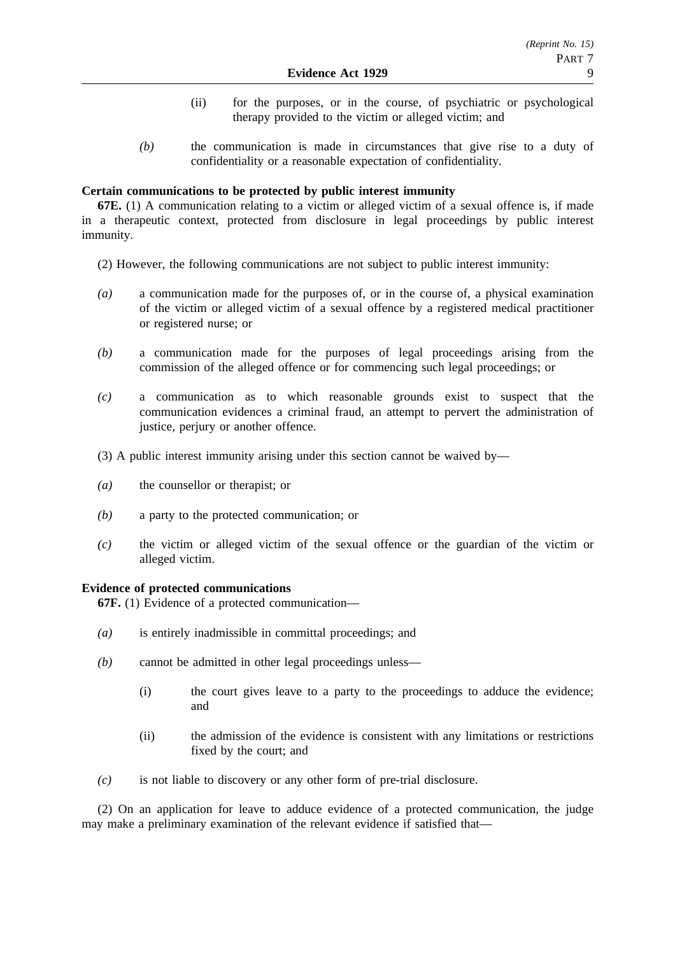- (ii) for the purposes, or in the course, of psychiatric or psychological therapy provided to the victim or alleged victim; and
- *(b)* the communication is made in circumstances that give rise to a duty of confidentiality or a reasonable expectation of confidentiality.

### **Certain communications to be protected by public interest immunity**

**67E.** (1) A communication relating to a victim or alleged victim of a sexual offence is, if made in a therapeutic context, protected from disclosure in legal proceedings by public interest immunity.

- (2) However, the following communications are not subject to public interest immunity:
- *(a)* a communication made for the purposes of, or in the course of, a physical examination of the victim or alleged victim of a sexual offence by a registered medical practitioner or registered nurse; or
- *(b)* a communication made for the purposes of legal proceedings arising from the commission of the alleged offence or for commencing such legal proceedings; or
- *(c)* a communication as to which reasonable grounds exist to suspect that the communication evidences a criminal fraud, an attempt to pervert the administration of justice, perjury or another offence.
- (3) A public interest immunity arising under this section cannot be waived by—
- *(a)* the counsellor or therapist; or
- *(b)* a party to the protected communication; or
- *(c)* the victim or alleged victim of the sexual offence or the guardian of the victim or alleged victim.

### **Evidence of protected communications**

**67F.** (1) Evidence of a protected communication—

- *(a)* is entirely inadmissible in committal proceedings; and
- *(b)* cannot be admitted in other legal proceedings unless—
	- (i) the court gives leave to a party to the proceedings to adduce the evidence; and
	- (ii) the admission of the evidence is consistent with any limitations or restrictions fixed by the court; and
- *(c)* is not liable to discovery or any other form of pre-trial disclosure.

(2) On an application for leave to adduce evidence of a protected communication, the judge may make a preliminary examination of the relevant evidence if satisfied that—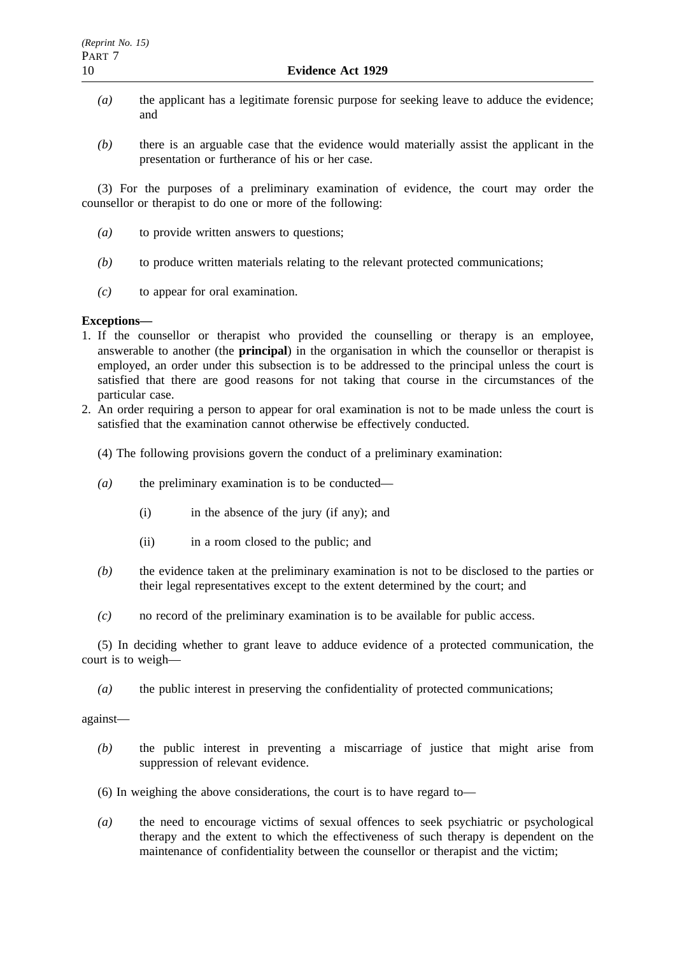- *(a)* the applicant has a legitimate forensic purpose for seeking leave to adduce the evidence; and
- *(b)* there is an arguable case that the evidence would materially assist the applicant in the presentation or furtherance of his or her case.

(3) For the purposes of a preliminary examination of evidence, the court may order the counsellor or therapist to do one or more of the following:

- *(a)* to provide written answers to questions;
- *(b)* to produce written materials relating to the relevant protected communications;
- *(c)* to appear for oral examination.

### **Exceptions—**

- 1. If the counsellor or therapist who provided the counselling or therapy is an employee, answerable to another (the **principal**) in the organisation in which the counsellor or therapist is employed, an order under this subsection is to be addressed to the principal unless the court is satisfied that there are good reasons for not taking that course in the circumstances of the particular case.
- 2. An order requiring a person to appear for oral examination is not to be made unless the court is satisfied that the examination cannot otherwise be effectively conducted.
	- (4) The following provisions govern the conduct of a preliminary examination:
	- *(a)* the preliminary examination is to be conducted—
		- (i) in the absence of the jury (if any); and
		- (ii) in a room closed to the public; and
	- *(b)* the evidence taken at the preliminary examination is not to be disclosed to the parties or their legal representatives except to the extent determined by the court; and
	- *(c)* no record of the preliminary examination is to be available for public access.

(5) In deciding whether to grant leave to adduce evidence of a protected communication, the court is to weigh—

*(a)* the public interest in preserving the confidentiality of protected communications;

against—

- *(b)* the public interest in preventing a miscarriage of justice that might arise from suppression of relevant evidence.
- (6) In weighing the above considerations, the court is to have regard to—
- *(a)* the need to encourage victims of sexual offences to seek psychiatric or psychological therapy and the extent to which the effectiveness of such therapy is dependent on the maintenance of confidentiality between the counsellor or therapist and the victim;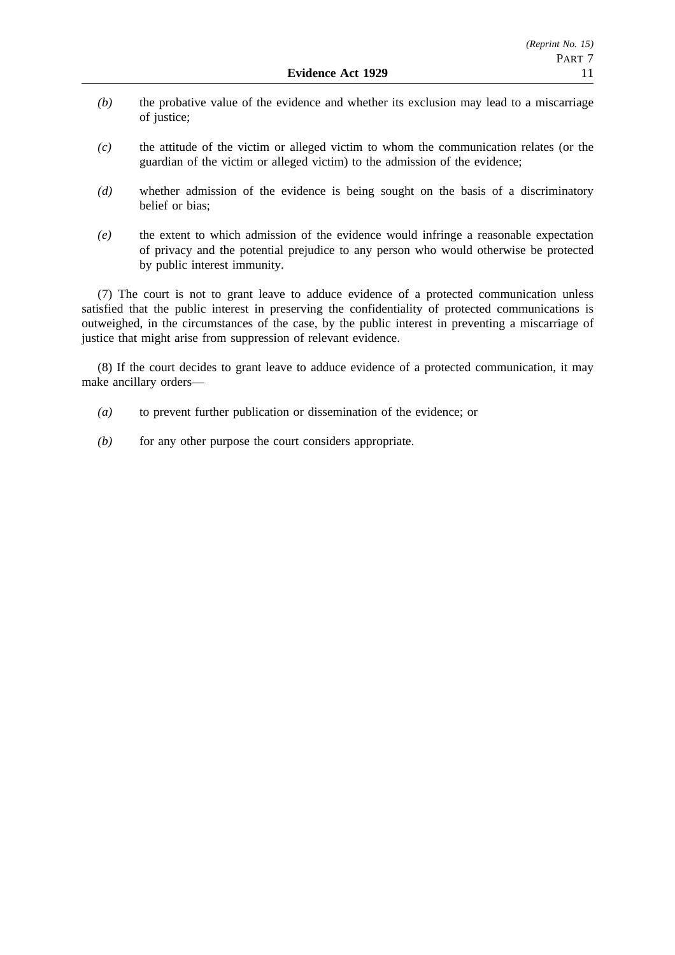- *(b)* the probative value of the evidence and whether its exclusion may lead to a miscarriage of justice;
- *(c)* the attitude of the victim or alleged victim to whom the communication relates (or the guardian of the victim or alleged victim) to the admission of the evidence;
- *(d)* whether admission of the evidence is being sought on the basis of a discriminatory belief or bias;
- *(e)* the extent to which admission of the evidence would infringe a reasonable expectation of privacy and the potential prejudice to any person who would otherwise be protected by public interest immunity.

(7) The court is not to grant leave to adduce evidence of a protected communication unless satisfied that the public interest in preserving the confidentiality of protected communications is outweighed, in the circumstances of the case, by the public interest in preventing a miscarriage of justice that might arise from suppression of relevant evidence.

(8) If the court decides to grant leave to adduce evidence of a protected communication, it may make ancillary orders—

- *(a)* to prevent further publication or dissemination of the evidence; or
- *(b)* for any other purpose the court considers appropriate.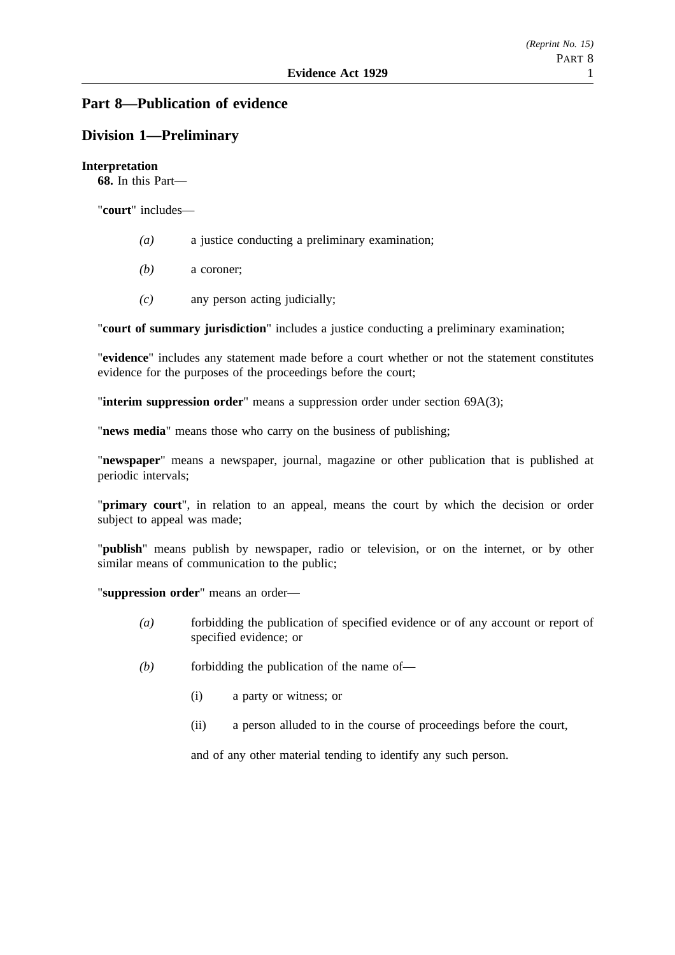# **Part 8—Publication of evidence**

# **Division 1—Preliminary**

### **Interpretation**

**68.** In this Part—

"**court**" includes—

- *(a)* a justice conducting a preliminary examination;
- *(b)* a coroner;
- *(c)* any person acting judicially;

"**court of summary jurisdiction**" includes a justice conducting a preliminary examination;

"**evidence**" includes any statement made before a court whether or not the statement constitutes evidence for the purposes of the proceedings before the court;

"**interim suppression order**" means a suppression order under section 69A(3);

"**news media**" means those who carry on the business of publishing;

"**newspaper**" means a newspaper, journal, magazine or other publication that is published at periodic intervals;

"**primary court**", in relation to an appeal, means the court by which the decision or order subject to appeal was made;

"**publish**" means publish by newspaper, radio or television, or on the internet, or by other similar means of communication to the public;

"**suppression order**" means an order—

- *(a)* forbidding the publication of specified evidence or of any account or report of specified evidence; or
- *(b)* forbidding the publication of the name of—
	- (i) a party or witness; or
	- (ii) a person alluded to in the course of proceedings before the court,

and of any other material tending to identify any such person.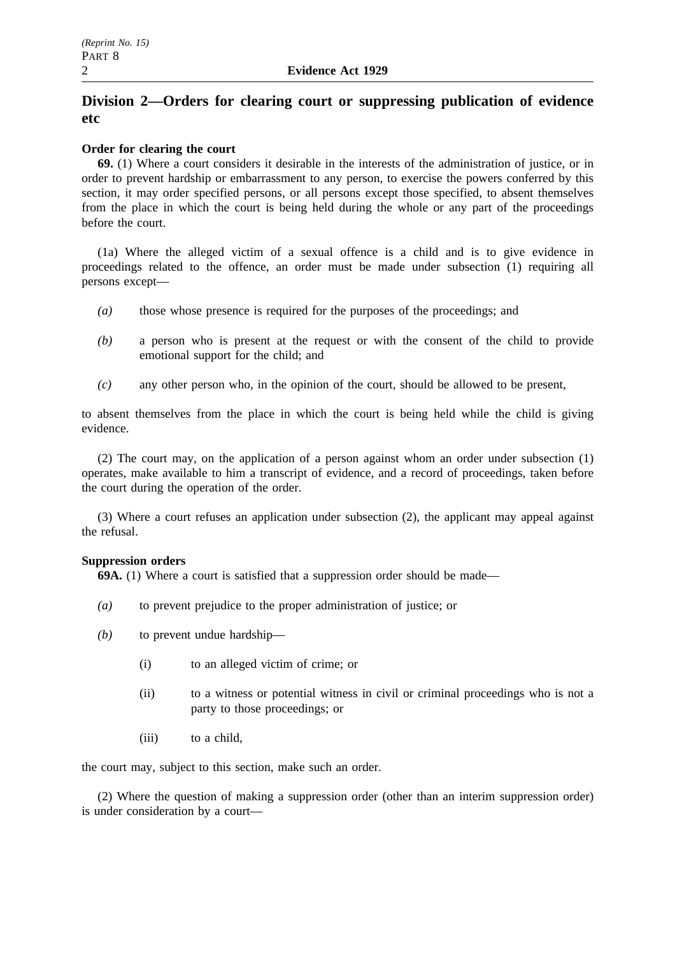# **Division 2—Orders for clearing court or suppressing publication of evidence etc**

### **Order for clearing the court**

**69.** (1) Where a court considers it desirable in the interests of the administration of justice, or in order to prevent hardship or embarrassment to any person, to exercise the powers conferred by this section, it may order specified persons, or all persons except those specified, to absent themselves from the place in which the court is being held during the whole or any part of the proceedings before the court.

(1a) Where the alleged victim of a sexual offence is a child and is to give evidence in proceedings related to the offence, an order must be made under subsection (1) requiring all persons except—

- *(a)* those whose presence is required for the purposes of the proceedings; and
- *(b)* a person who is present at the request or with the consent of the child to provide emotional support for the child; and
- *(c)* any other person who, in the opinion of the court, should be allowed to be present,

to absent themselves from the place in which the court is being held while the child is giving evidence.

(2) The court may, on the application of a person against whom an order under subsection (1) operates, make available to him a transcript of evidence, and a record of proceedings, taken before the court during the operation of the order.

(3) Where a court refuses an application under subsection (2), the applicant may appeal against the refusal.

### **Suppression orders**

**69A.** (1) Where a court is satisfied that a suppression order should be made—

- *(a)* to prevent prejudice to the proper administration of justice; or
- *(b)* to prevent undue hardship—
	- (i) to an alleged victim of crime; or
	- (ii) to a witness or potential witness in civil or criminal proceedings who is not a party to those proceedings; or
	- (iii) to a child,

the court may, subject to this section, make such an order.

(2) Where the question of making a suppression order (other than an interim suppression order) is under consideration by a court—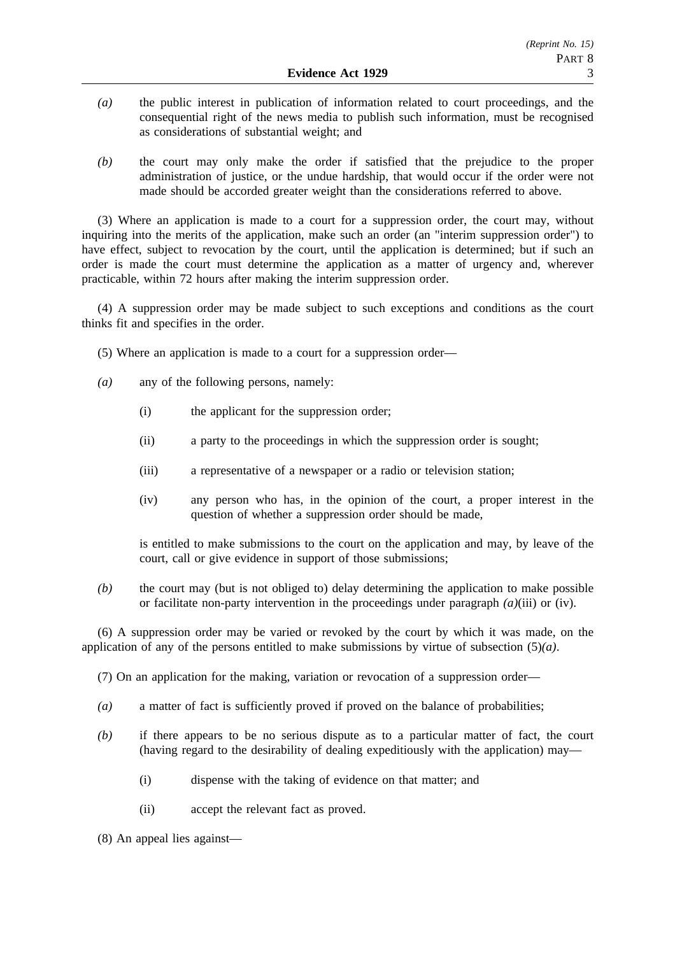- *(a)* the public interest in publication of information related to court proceedings, and the consequential right of the news media to publish such information, must be recognised as considerations of substantial weight; and
- *(b)* the court may only make the order if satisfied that the prejudice to the proper administration of justice, or the undue hardship, that would occur if the order were not made should be accorded greater weight than the considerations referred to above.

(3) Where an application is made to a court for a suppression order, the court may, without inquiring into the merits of the application, make such an order (an "interim suppression order") to have effect, subject to revocation by the court, until the application is determined; but if such an order is made the court must determine the application as a matter of urgency and, wherever practicable, within 72 hours after making the interim suppression order.

(4) A suppression order may be made subject to such exceptions and conditions as the court thinks fit and specifies in the order.

- (5) Where an application is made to a court for a suppression order—
- *(a)* any of the following persons, namely:
	- (i) the applicant for the suppression order;
	- (ii) a party to the proceedings in which the suppression order is sought;
	- (iii) a representative of a newspaper or a radio or television station;
	- (iv) any person who has, in the opinion of the court, a proper interest in the question of whether a suppression order should be made,

is entitled to make submissions to the court on the application and may, by leave of the court, call or give evidence in support of those submissions;

*(b)* the court may (but is not obliged to) delay determining the application to make possible or facilitate non-party intervention in the proceedings under paragraph  $(a)$ (iii) or (iv).

(6) A suppression order may be varied or revoked by the court by which it was made, on the application of any of the persons entitled to make submissions by virtue of subsection (5)*(a)*.

(7) On an application for the making, variation or revocation of a suppression order—

- *(a)* a matter of fact is sufficiently proved if proved on the balance of probabilities;
- *(b)* if there appears to be no serious dispute as to a particular matter of fact, the court (having regard to the desirability of dealing expeditiously with the application) may—
	- (i) dispense with the taking of evidence on that matter; and
	- (ii) accept the relevant fact as proved.

(8) An appeal lies against—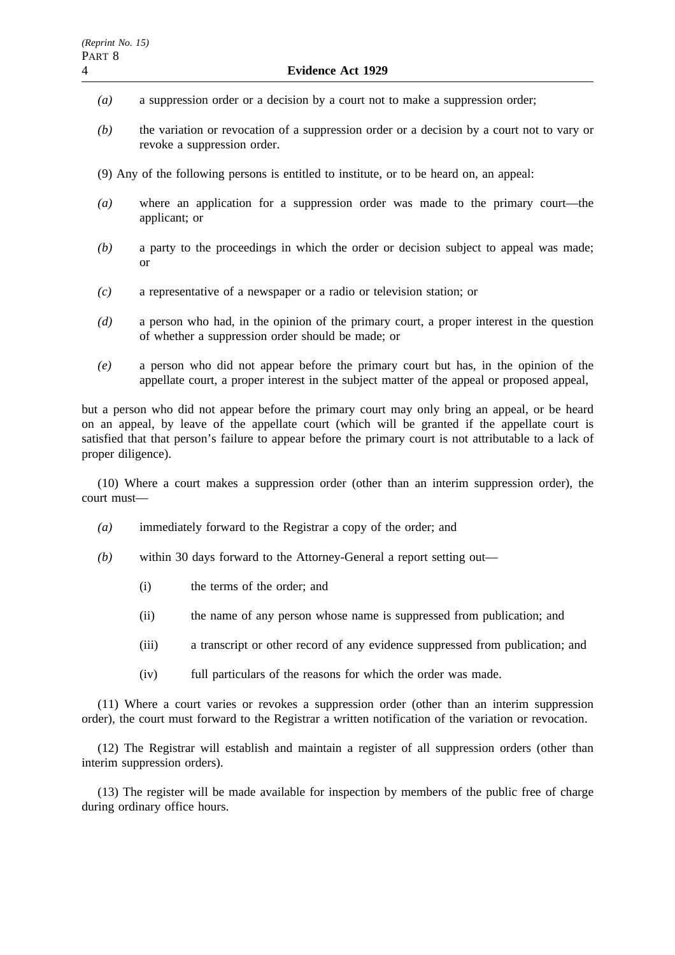- *(a)* a suppression order or a decision by a court not to make a suppression order;
- *(b)* the variation or revocation of a suppression order or a decision by a court not to vary or revoke a suppression order.
- (9) Any of the following persons is entitled to institute, or to be heard on, an appeal:
- *(a)* where an application for a suppression order was made to the primary court—the applicant; or
- *(b)* a party to the proceedings in which the order or decision subject to appeal was made; or
- *(c)* a representative of a newspaper or a radio or television station; or
- *(d)* a person who had, in the opinion of the primary court, a proper interest in the question of whether a suppression order should be made; or
- *(e)* a person who did not appear before the primary court but has, in the opinion of the appellate court, a proper interest in the subject matter of the appeal or proposed appeal,

but a person who did not appear before the primary court may only bring an appeal, or be heard on an appeal, by leave of the appellate court (which will be granted if the appellate court is satisfied that that person's failure to appear before the primary court is not attributable to a lack of proper diligence).

(10) Where a court makes a suppression order (other than an interim suppression order), the court must—

- *(a)* immediately forward to the Registrar a copy of the order; and
- *(b)* within 30 days forward to the Attorney-General a report setting out—
	- (i) the terms of the order; and
	- (ii) the name of any person whose name is suppressed from publication; and
	- (iii) a transcript or other record of any evidence suppressed from publication; and
	- (iv) full particulars of the reasons for which the order was made.

(11) Where a court varies or revokes a suppression order (other than an interim suppression order), the court must forward to the Registrar a written notification of the variation or revocation.

(12) The Registrar will establish and maintain a register of all suppression orders (other than interim suppression orders).

(13) The register will be made available for inspection by members of the public free of charge during ordinary office hours.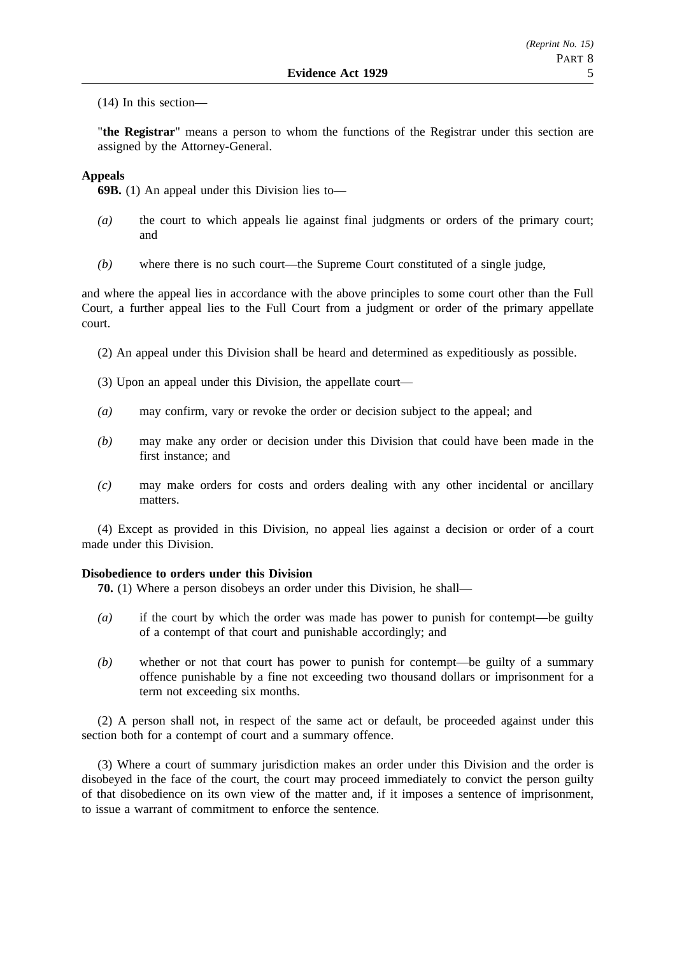(14) In this section—

"**the Registrar**" means a person to whom the functions of the Registrar under this section are assigned by the Attorney-General.

### **Appeals**

**69B.** (1) An appeal under this Division lies to—

- *(a)* the court to which appeals lie against final judgments or orders of the primary court; and
- *(b)* where there is no such court—the Supreme Court constituted of a single judge,

and where the appeal lies in accordance with the above principles to some court other than the Full Court, a further appeal lies to the Full Court from a judgment or order of the primary appellate court.

- (2) An appeal under this Division shall be heard and determined as expeditiously as possible.
- (3) Upon an appeal under this Division, the appellate court—
- *(a)* may confirm, vary or revoke the order or decision subject to the appeal; and
- *(b)* may make any order or decision under this Division that could have been made in the first instance; and
- *(c)* may make orders for costs and orders dealing with any other incidental or ancillary matters.

(4) Except as provided in this Division, no appeal lies against a decision or order of a court made under this Division.

### **Disobedience to orders under this Division**

**70.** (1) Where a person disobeys an order under this Division, he shall—

- *(a)* if the court by which the order was made has power to punish for contempt—be guilty of a contempt of that court and punishable accordingly; and
- *(b)* whether or not that court has power to punish for contempt—be guilty of a summary offence punishable by a fine not exceeding two thousand dollars or imprisonment for a term not exceeding six months.

(2) A person shall not, in respect of the same act or default, be proceeded against under this section both for a contempt of court and a summary offence.

(3) Where a court of summary jurisdiction makes an order under this Division and the order is disobeyed in the face of the court, the court may proceed immediately to convict the person guilty of that disobedience on its own view of the matter and, if it imposes a sentence of imprisonment, to issue a warrant of commitment to enforce the sentence.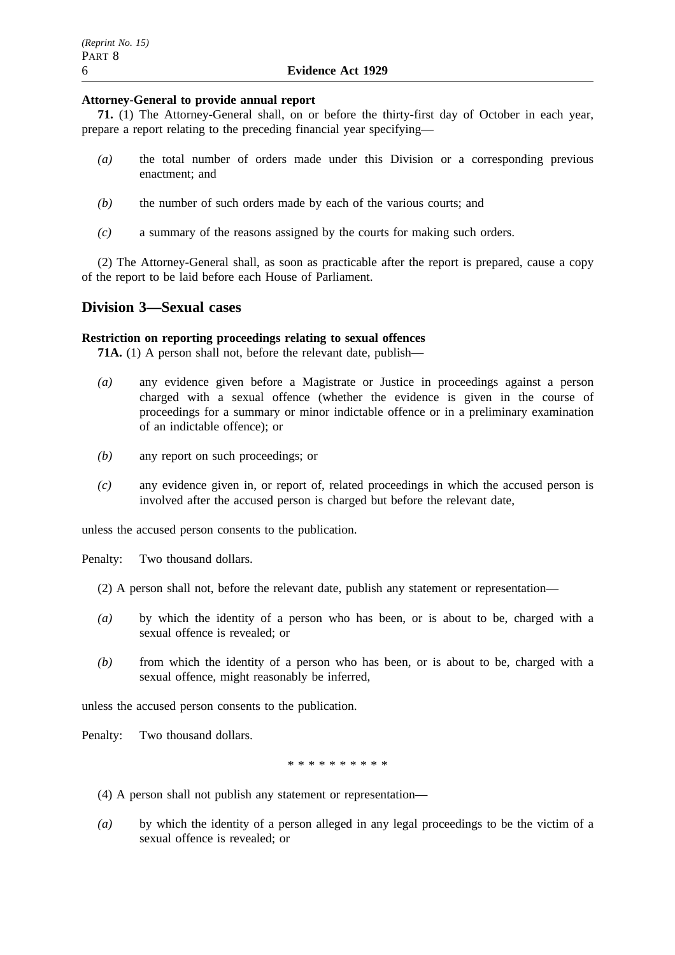### **Attorney-General to provide annual report**

**71.** (1) The Attorney-General shall, on or before the thirty-first day of October in each year, prepare a report relating to the preceding financial year specifying—

- *(a)* the total number of orders made under this Division or a corresponding previous enactment; and
- *(b)* the number of such orders made by each of the various courts; and
- *(c)* a summary of the reasons assigned by the courts for making such orders.

(2) The Attorney-General shall, as soon as practicable after the report is prepared, cause a copy of the report to be laid before each House of Parliament.

### **Division 3—Sexual cases**

### **Restriction on reporting proceedings relating to sexual offences**

**71A.** (1) A person shall not, before the relevant date, publish—

- *(a)* any evidence given before a Magistrate or Justice in proceedings against a person charged with a sexual offence (whether the evidence is given in the course of proceedings for a summary or minor indictable offence or in a preliminary examination of an indictable offence); or
- *(b)* any report on such proceedings; or
- *(c)* any evidence given in, or report of, related proceedings in which the accused person is involved after the accused person is charged but before the relevant date,

unless the accused person consents to the publication.

Penalty: Two thousand dollars.

- (2) A person shall not, before the relevant date, publish any statement or representation—
- *(a)* by which the identity of a person who has been, or is about to be, charged with a sexual offence is revealed; or
- *(b)* from which the identity of a person who has been, or is about to be, charged with a sexual offence, might reasonably be inferred,

unless the accused person consents to the publication.

Penalty: Two thousand dollars.

\*\*\*\*\*\*\*\*\*\*\*\*\*\*\*\*\*

- (4) A person shall not publish any statement or representation—
- *(a)* by which the identity of a person alleged in any legal proceedings to be the victim of a sexual offence is revealed; or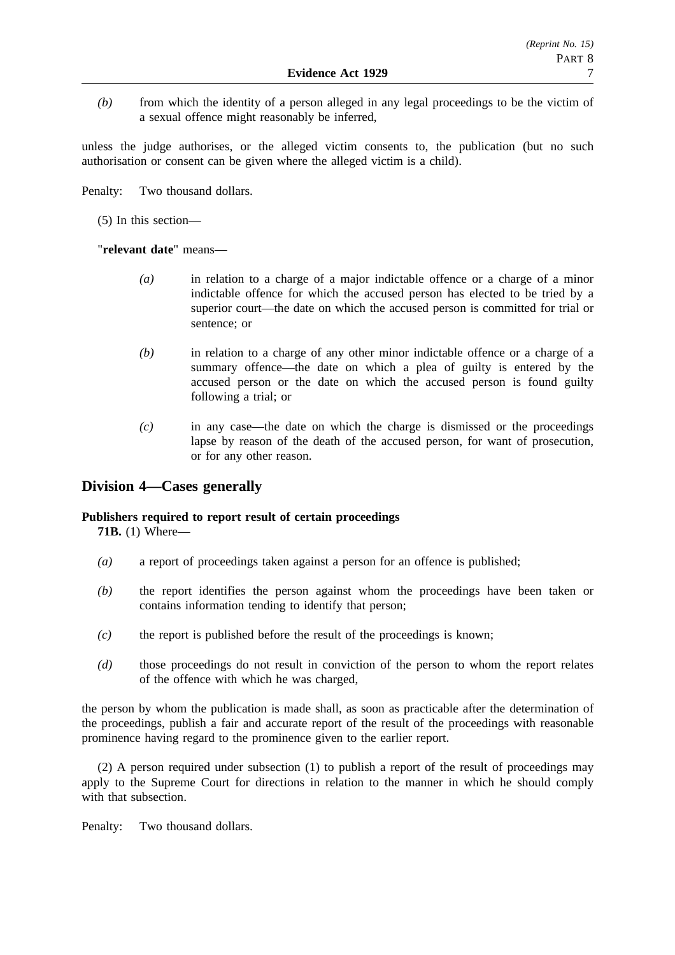*(b)* from which the identity of a person alleged in any legal proceedings to be the victim of a sexual offence might reasonably be inferred,

unless the judge authorises, or the alleged victim consents to, the publication (but no such authorisation or consent can be given where the alleged victim is a child).

Penalty: Two thousand dollars.

(5) In this section—

"**relevant date**" means—

- *(a)* in relation to a charge of a major indictable offence or a charge of a minor indictable offence for which the accused person has elected to be tried by a superior court—the date on which the accused person is committed for trial or sentence; or
- *(b)* in relation to a charge of any other minor indictable offence or a charge of a summary offence—the date on which a plea of guilty is entered by the accused person or the date on which the accused person is found guilty following a trial; or
- *(c)* in any case—the date on which the charge is dismissed or the proceedings lapse by reason of the death of the accused person, for want of prosecution, or for any other reason.

# **Division 4—Cases generally**

### **Publishers required to report result of certain proceedings**

**71B.** (1) Where—

- *(a)* a report of proceedings taken against a person for an offence is published;
- *(b)* the report identifies the person against whom the proceedings have been taken or contains information tending to identify that person;
- *(c)* the report is published before the result of the proceedings is known;
- *(d)* those proceedings do not result in conviction of the person to whom the report relates of the offence with which he was charged,

the person by whom the publication is made shall, as soon as practicable after the determination of the proceedings, publish a fair and accurate report of the result of the proceedings with reasonable prominence having regard to the prominence given to the earlier report.

(2) A person required under subsection (1) to publish a report of the result of proceedings may apply to the Supreme Court for directions in relation to the manner in which he should comply with that subsection.

Penalty: Two thousand dollars.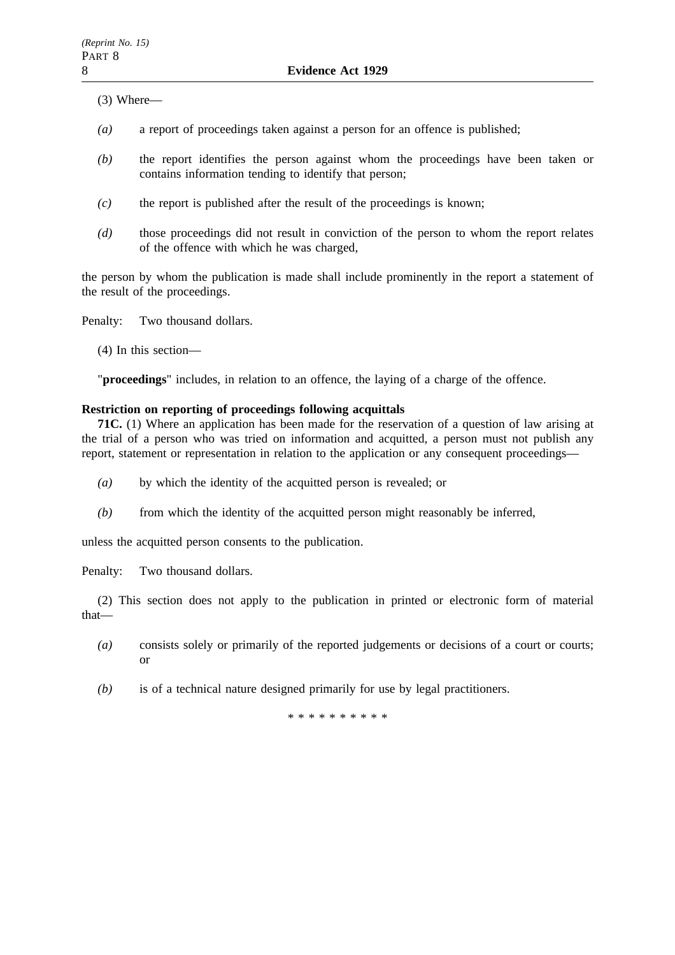(3) Where—

- *(a)* a report of proceedings taken against a person for an offence is published;
- *(b)* the report identifies the person against whom the proceedings have been taken or contains information tending to identify that person;
- *(c)* the report is published after the result of the proceedings is known;
- *(d)* those proceedings did not result in conviction of the person to whom the report relates of the offence with which he was charged,

the person by whom the publication is made shall include prominently in the report a statement of the result of the proceedings.

Penalty: Two thousand dollars.

(4) In this section—

"**proceedings**" includes, in relation to an offence, the laying of a charge of the offence.

### **Restriction on reporting of proceedings following acquittals**

**71C.** (1) Where an application has been made for the reservation of a question of law arising at the trial of a person who was tried on information and acquitted, a person must not publish any report, statement or representation in relation to the application or any consequent proceedings—

- *(a)* by which the identity of the acquitted person is revealed; or
- *(b)* from which the identity of the acquitted person might reasonably be inferred,

unless the acquitted person consents to the publication.

Penalty: Two thousand dollars.

(2) This section does not apply to the publication in printed or electronic form of material that—

- *(a)* consists solely or primarily of the reported judgements or decisions of a court or courts; or
- *(b)* is of a technical nature designed primarily for use by legal practitioners.

\*\*\*\*\*\*\*\*\*\*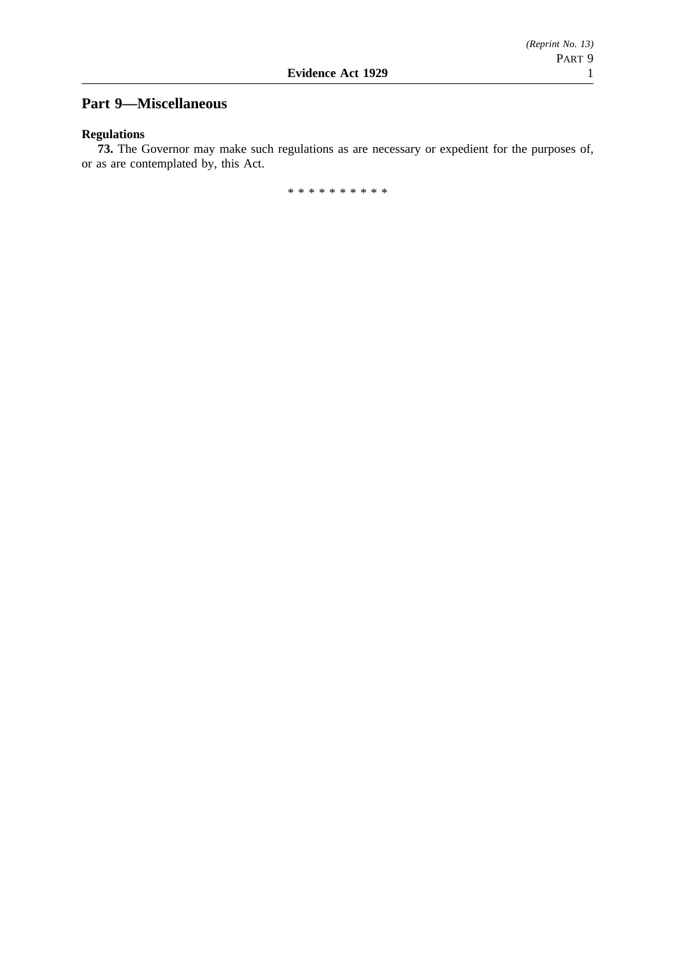# **Part 9—Miscellaneous**

### **Regulations**

**73.** The Governor may make such regulations as are necessary or expedient for the purposes of, or as are contemplated by, this Act.

\*\*\*\*\*\*\*\*\*\*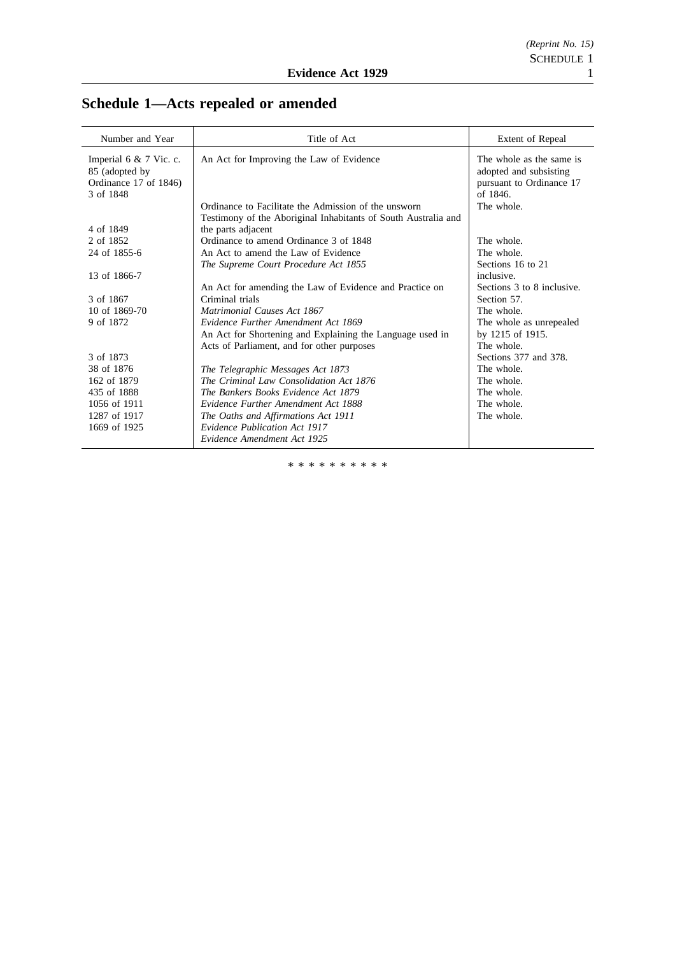| Number and Year          | Title of Act                                                   | Extent of Repeal           |
|--------------------------|----------------------------------------------------------------|----------------------------|
|                          |                                                                |                            |
| Imperial 6 $& 7$ Vic. c. | An Act for Improving the Law of Evidence                       | The whole as the same is   |
| 85 (adopted by           |                                                                | adopted and subsisting     |
| Ordinance 17 of 1846)    |                                                                | pursuant to Ordinance 17   |
| 3 of 1848                |                                                                | of 1846.                   |
|                          | Ordinance to Facilitate the Admission of the unsworn           | The whole.                 |
|                          | Testimony of the Aboriginal Inhabitants of South Australia and |                            |
| 4 of 1849                | the parts adjacent                                             |                            |
| 2 of 1852                | Ordinance to amend Ordinance 3 of 1848                         | The whole.                 |
| 24 of 1855-6             | An Act to amend the Law of Evidence                            | The whole.                 |
|                          | The Supreme Court Procedure Act 1855                           | Sections 16 to 21          |
| 13 of 1866-7             |                                                                | inclusive.                 |
|                          | An Act for amending the Law of Evidence and Practice on        | Sections 3 to 8 inclusive. |
| 3 of 1867                | Criminal trials                                                | Section 57.                |
| 10 of 1869-70            | Matrimonial Causes Act 1867                                    | The whole.                 |
| 9 of 1872                | Evidence Further Amendment Act 1869                            | The whole as unrepealed    |
|                          | An Act for Shortening and Explaining the Language used in      | by 1215 of 1915.           |
|                          | Acts of Parliament, and for other purposes                     | The whole.                 |
| 3 of 1873                |                                                                | Sections 377 and 378.      |
| 38 of 1876               | The Telegraphic Messages Act 1873                              | The whole.                 |
| 162 of 1879              | The Criminal Law Consolidation Act 1876                        | The whole.                 |
| 435 of 1888              | The Bankers Books Evidence Act 1879                            | The whole.                 |
| 1056 of 1911             | Evidence Further Amendment Act 1888                            | The whole.                 |
| 1287 of 1917             | The Oaths and Affirmations Act 1911                            | The whole.                 |
| 1669 of 1925             | <b>Evidence Publication Act 1917</b>                           |                            |
|                          | Evidence Amendment Act 1925                                    |                            |

# **Schedule 1—Acts repealed or amended**

\*\*\*\*\*\*\*\*\*\*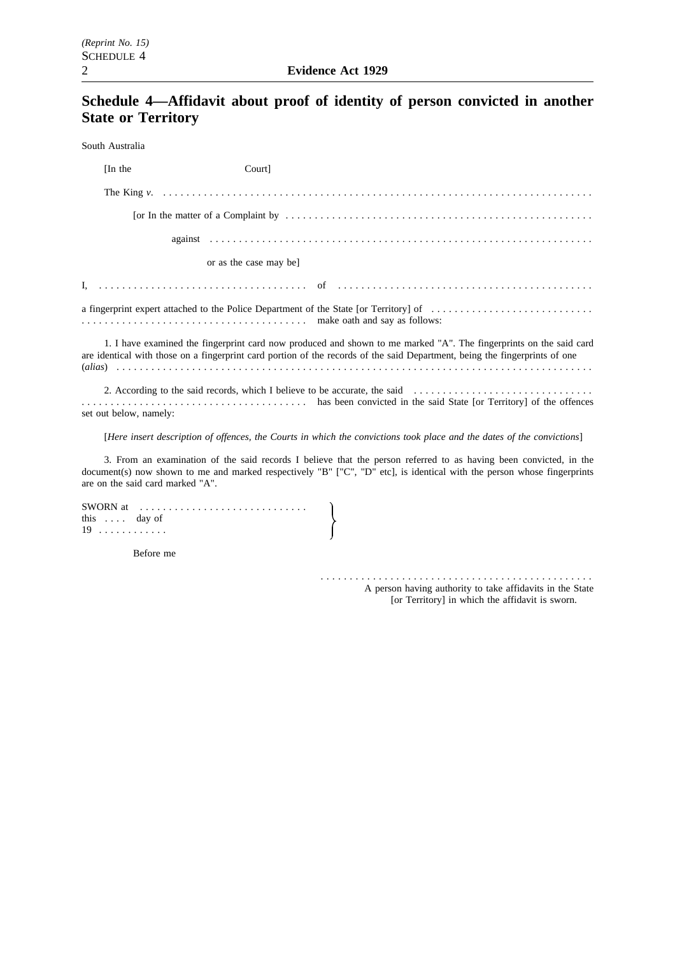# **Schedule 4—Affidavit about proof of identity of person convicted in another State or Territory**

South Australia

| [In the]               | Court]                                                                                                                                                                                                                                            |
|------------------------|---------------------------------------------------------------------------------------------------------------------------------------------------------------------------------------------------------------------------------------------------|
|                        |                                                                                                                                                                                                                                                   |
|                        | [or In the matter of a Complaint by $\dots \dots \dots \dots \dots \dots \dots \dots \dots \dots \dots \dots \dots \dots \dots \dots \dots \dots \dots$                                                                                           |
|                        |                                                                                                                                                                                                                                                   |
|                        | or as the case may be                                                                                                                                                                                                                             |
|                        |                                                                                                                                                                                                                                                   |
|                        |                                                                                                                                                                                                                                                   |
|                        | 1. I have examined the fingerprint card now produced and shown to me marked "A". The fingerprints on the said card<br>are identical with those on a fingerprint card portion of the records of the said Department, being the fingerprints of one |
| set out below, namely: | 2. According to the said records, which I believe to be accurate, the said<br>expansive to the said State [or Territory] of the offences                                                                                                          |
|                        | [Here insert description of offences, the Courts in which the convictions took place and the dates of the convictions]                                                                                                                            |
|                        | 3. From an examination of the said records I believe that the person referred to as having been convicted, in the                                                                                                                                 |

document(s) now shown to me and marked respectively "B" ["C", "D" etc], is identical with the person whose fingerprints are on the said card marked "A".

|                      | SWORN at $\ldots \ldots \ldots \ldots \ldots \ldots \ldots \ldots$ |
|----------------------|--------------------------------------------------------------------|
| this $\ldots$ day of |                                                                    |
| $19$                 |                                                                    |

Before me

............................................... A person having authority to take affidavits in the State [or Territory] in which the affidavit is sworn.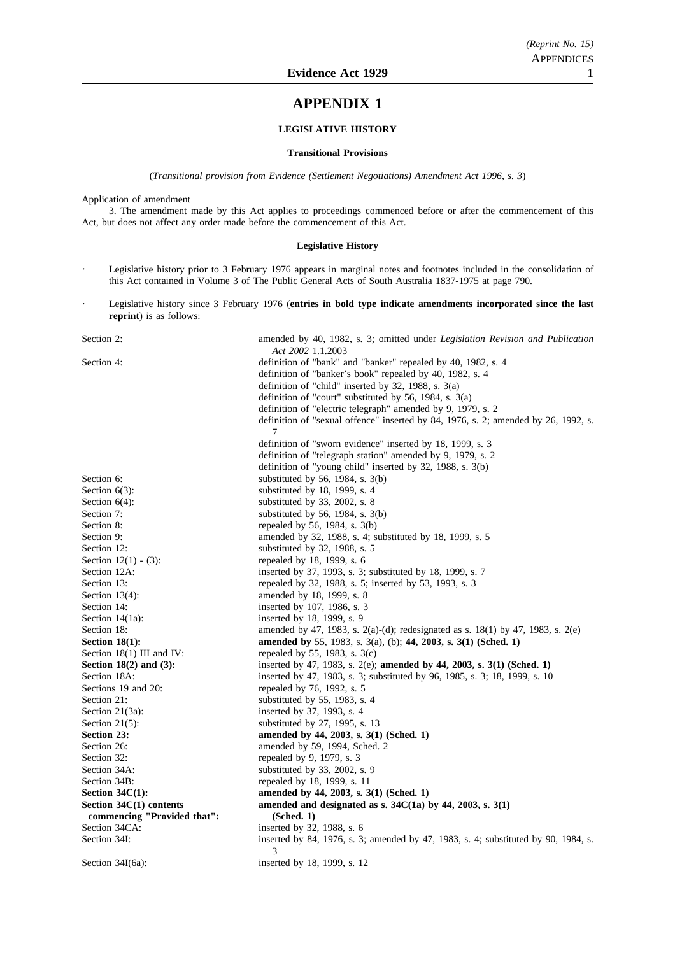### **APPENDIX 1**

#### **LEGISLATIVE HISTORY**

#### **Transitional Provisions**

(*Transitional provision from Evidence (Settlement Negotiations) Amendment Act 1996, s. 3*)

Application of amendment

3. The amendment made by this Act applies to proceedings commenced before or after the commencement of this Act, but does not affect any order made before the commencement of this Act.

#### **Legislative History**

- Legislative history prior to 3 February 1976 appears in marginal notes and footnotes included in the consolidation of  $\ddot{\phantom{1}}$ this Act contained in Volume 3 of The Public General Acts of South Australia 1837-1975 at page 790.
- Legislative history since 3 February 1976 (**entries in bold type indicate amendments incorporated since the last reprint**) is as follows:

| Section 2:                  | amended by 40, 1982, s. 3; omitted under <i>Legislation Revision and Publication</i><br>Act 2002 1.1.2003 |
|-----------------------------|-----------------------------------------------------------------------------------------------------------|
| Section 4:                  | definition of "bank" and "banker" repealed by 40, 1982, s. 4                                              |
|                             | definition of "banker's book" repealed by 40, 1982, s. 4                                                  |
|                             | definition of "child" inserted by $32$ , 1988, s. $3(a)$                                                  |
|                             | definition of "court" substituted by 56, 1984, s. 3(a)                                                    |
|                             | definition of "electric telegraph" amended by 9, 1979, s. 2                                               |
|                             | definition of "sexual offence" inserted by 84, 1976, s. 2; amended by 26, 1992, s.                        |
|                             | 7                                                                                                         |
|                             | definition of "sworn evidence" inserted by 18, 1999, s. 3                                                 |
|                             | definition of "telegraph station" amended by 9, 1979, s. 2                                                |
|                             | definition of "young child" inserted by 32, 1988, s. 3(b)                                                 |
| Section 6:                  | substituted by 56, 1984, s. $3(b)$                                                                        |
| Section $6(3)$ :            | substituted by 18, 1999, s. 4                                                                             |
| Section $6(4)$ :            | substituted by $33$ , $2002$ , s. 8                                                                       |
| Section 7:                  | substituted by 56, 1984, s. $3(b)$                                                                        |
| Section 8:                  | repealed by 56, 1984, s. 3(b)                                                                             |
| Section 9:                  | amended by 32, 1988, s. 4; substituted by 18, 1999, s. 5                                                  |
| Section 12:                 | substituted by 32, 1988, s. 5                                                                             |
| Section $12(1) - (3)$ :     | repealed by 18, 1999, s. 6                                                                                |
| Section 12A:                | inserted by 37, 1993, s. 3; substituted by 18, 1999, s. 7                                                 |
| Section 13:                 | repealed by 32, 1988, s. 5; inserted by 53, 1993, s. 3                                                    |
| Section $13(4)$ :           | amended by 18, 1999, s. 8                                                                                 |
| Section 14:                 | inserted by 107, 1986, s. 3                                                                               |
| Section $14(1a)$ :          | inserted by 18, 1999, s. 9                                                                                |
| Section 18:                 | amended by 47, 1983, s. 2(a)-(d); redesignated as s. 18(1) by 47, 1983, s. 2(e)                           |
| Section $18(1)$ :           | amended by 55, 1983, s. 3(a), (b); 44, 2003, s. 3(1) (Sched. 1)                                           |
| Section $18(1)$ III and IV: | repealed by 55, 1983, s. $3(c)$                                                                           |
| Section $18(2)$ and $(3)$ : | inserted by 47, 1983, s. 2(e); amended by 44, 2003, s. 3(1) (Sched. 1)                                    |
| Section 18A:                | inserted by 47, 1983, s. 3; substituted by 96, 1985, s. 3; 18, 1999, s. 10                                |
| Sections 19 and 20:         | repealed by 76, 1992, s. 5                                                                                |
| Section 21:                 | substituted by 55, 1983, s. 4                                                                             |
| Section $21(3a)$ :          | inserted by 37, 1993, s. 4                                                                                |
| Section $21(5)$ :           | substituted by 27, 1995, s. 13                                                                            |
| Section 23:                 | amended by 44, 2003, s. 3(1) (Sched. 1)                                                                   |
| Section 26:                 | amended by 59, 1994, Sched. 2                                                                             |
| Section 32:                 | repealed by 9, 1979, s. 3                                                                                 |
| Section 34A:                | substituted by 33, 2002, s. 9                                                                             |
| Section 34B:                | repealed by 18, 1999, s. 11                                                                               |
| Section $34C(1)$ :          | amended by 44, 2003, s. 3(1) (Sched. 1)                                                                   |
| Section $34C(1)$ contents   | amended and designated as s. $34C(1a)$ by 44, 2003, s. $3(1)$                                             |
| commencing "Provided that": | (Sched. 1)                                                                                                |
| Section 34CA:               | inserted by 32, 1988, s. 6                                                                                |
| Section 34I:                | inserted by 84, 1976, s. 3; amended by 47, 1983, s. 4; substituted by 90, 1984, s.<br>3                   |
| Section $34I(6a)$ :         | inserted by 18, 1999, s. 12                                                                               |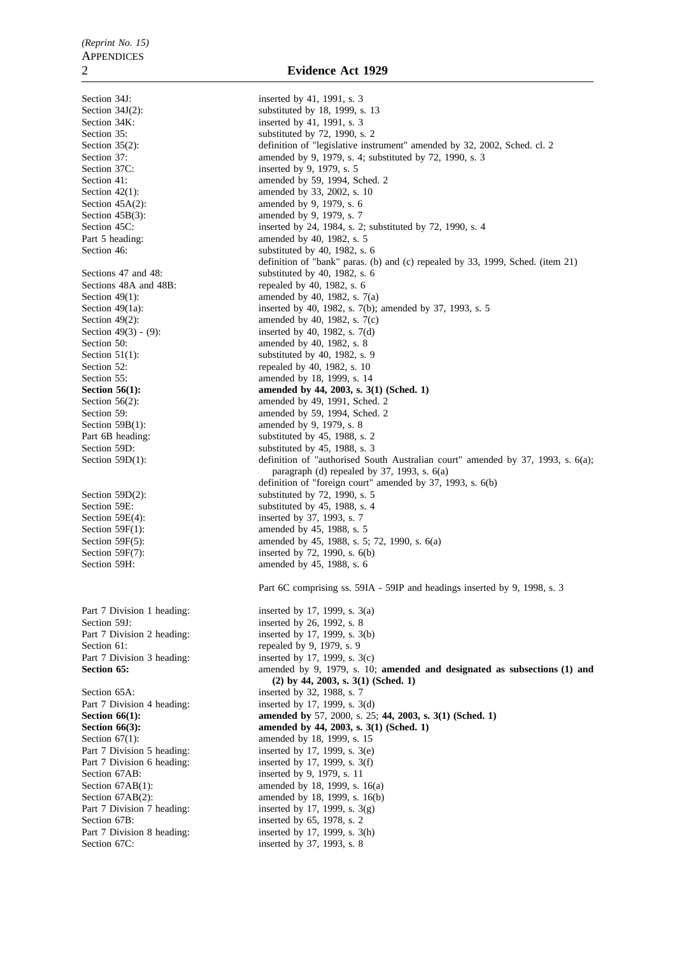Section 34K: inserted by 41, 1991, s. 3 Section  $42(1)$ : amended by 33, 2002, s. 10<br>Section  $45A(2)$ : amended by 9, 1979, s. 6 Section 45B(3): amended by 9, 1979, s. 7 Part 5 heading: amended by 40, 1982, s. 5 Sections 48A and 48B: repealed by 40, 1982, s. 6<br>Section 49(1):  $\frac{3.66}{2}$  amended by 40, 1982, s. 7 Section 50: **amended** by 40, 1982, s. 8 Section 55: amended by 18, 1999, s. 14<br>Section 56(1): amended by 44, 2003, s. 3( Section 59B(1):  $\qquad \qquad \text{amended by 9, 1979, s. 8}$ Section 59E(4): inserted by 37, 1993, s. 7<br>Section 59F(1): amended by 45, 1988, s. Section 59H: amended by 45, 1988, s. 6 Section 59J: inserted by 26, 1992, s. 8 Section 61: repealed by 9, 1979, s. 9 Section 65A: inserted by 32, 1988, s. 7 Section 67(1): amended by 18, 1999, s. 15 Section 67AB: inserted by 9, 1979, s. 11 Section 67B: inserted by 65, 1978, s. 2

Section 34J: inserted by 41, 1991, s. 3 Section 34J(2): substituted by 18, 1999, s. 13 Section 35: substituted by 72, 1990, s. 2 Section 35(2): definition of "legislative instrument" amended by 32, 2002, Sched. cl. 2 Section 37: amended by 9, 1979, s. 4; substituted by 72, 1990, s. 3<br>Section 37C: inserted by 9, 1979, s. 5 inserted by 9, 1979, s.  $5$ Section 41: **amended** by 59, 1994, Sched. 2 amended by 9, 1979, s.  $6$ Section 45C: inserted by 24, 1984, s. 2; substituted by 72, 1990, s. 4 Section 46: substituted by 40, 1982, s. 6 definition of "bank" paras. (b) and (c) repealed by 33, 1999, Sched. (item 21) Sections 47 and 48: substituted by 40, 1982, s. 6<br>Sections 48A and 48B: repealed by 40, 1982, s. 6 amended by 40, 1982, s.  $7(a)$ Section 49(1a): inserted by 40, 1982, s. 7(b); amended by 37, 1993, s. 5 Section 49(2): amended by 40, 1982, s. 7(c)<br>Section 49(3) - (9): inserted by 40, 1982, s. 7(d) inserted by 40, 1982, s.  $7(d)$ Section 51(1):<br>Section 52: substituted by 40, 1982, s. 9<br>repealed by 40, 1982, s. 10 repealed by 40, 1982, s. 10 **Section 56(1): amended by 44, 2003, s. 3(1) (Sched. 1)**<br>Section 56(2): **amended** by 49, 1991, Sched. 2 amended by 49, 1991, Sched. 2 Section 59: **amended** by 59, 1994, Sched. 2 Part 6B heading: substituted by 45, 1988, s. 2 Section 59D: substituted by 45, 1988, s. 3 Section 59D(1): definition of "authorised South Australian court" amended by 37, 1993, s. 6(a); paragraph (d) repealed by 37, 1993, s. 6(a) definition of "foreign court" amended by 37, 1993, s. 6(b) Section 59D(2): substituted by 72, 1990, s. 5 Section 59E: substituted by 45, 1988, s. 4 amended by 45, 1988, s. 5 Section 59F(5): amended by 45, 1988, s. 5; 72, 1990, s. 6(a) Section 59F(7): inserted by 72, 1990, s. 6(b) Part 6C comprising ss. 59IA - 59IP and headings inserted by 9, 1998, s. 3 Part 7 Division 1 heading: inserted by 17, 1999, s. 3(a) Part 7 Division 2 heading: inserted by 17, 1999, s. 3(b) Part 7 Division 3 heading: inserted by 17, 1999, s. 3(c) **Section 65: amended by 9, 1979, s. 10; amended and designated as subsections (1) and (2) by 44, 2003, s. 3(1) (Sched. 1)** Part 7 Division 4 heading: inserted by 17, 1999, s. 3(d) **Section 66(1): amended by** 57, 2000, s. 25; **44, 2003, s. 3(1)** (Sched. 1) **Section 66(3): amended by 44, 2003, s. 3(1) (Sched. 1)** Part 7 Division 5 heading: inserted by 17, 1999, s. 3(e)<br>Part 7 Division 6 heading: inserted by 17, 1999, s. 3(f) inserted by 17, 1999, s.  $3(f)$ Section 67AB(1): amended by 18, 1999, s. 16(a)<br>Section 67AB(2): amended by 18, 1999, s. 16(b) amended by 18, 1999, s. 16(b) Part 7 Division 7 heading: inserted by 17, 1999, s. 3(g) Part 7 Division 8 heading: inserted by 17, 1999, s. 3(h) Section 67C: inserted by 37, 1993, s. 8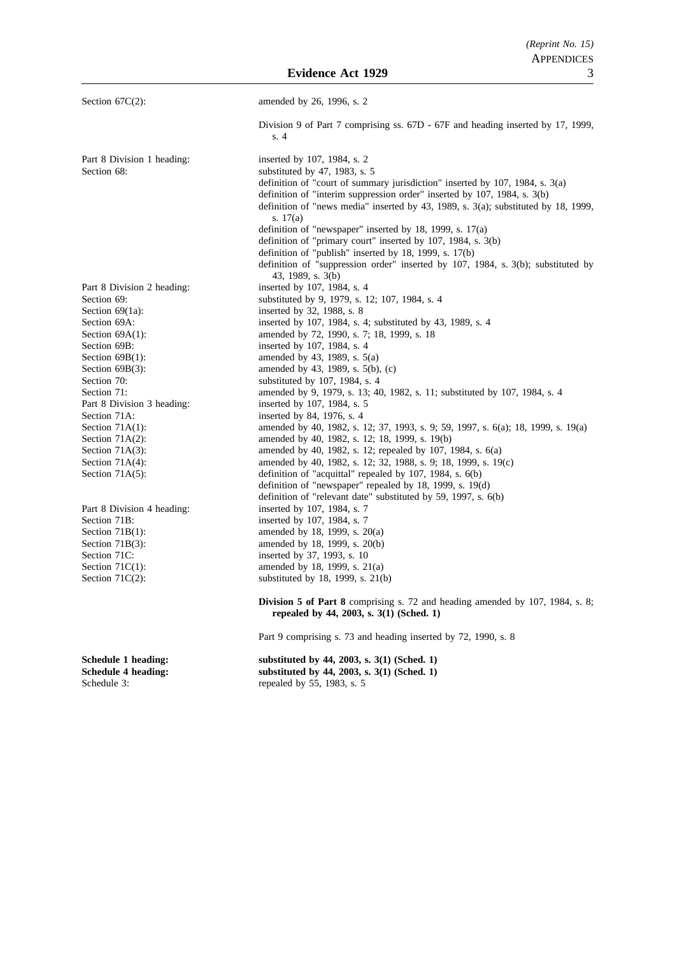**Evidence Act 1929** 

| Section $67C(2)$ :                                               | amended by 26, 1996, s. 2                                                                                                 |
|------------------------------------------------------------------|---------------------------------------------------------------------------------------------------------------------------|
|                                                                  | Division 9 of Part 7 comprising ss. 67D - 67F and heading inserted by 17, 1999,<br>s.4                                    |
| Part 8 Division 1 heading:                                       | inserted by 107, 1984, s. 2                                                                                               |
| Section 68:                                                      | substituted by $47$ , 1983, s. 5                                                                                          |
|                                                                  | definition of "court of summary jurisdiction" inserted by 107, 1984, s. 3(a)                                              |
|                                                                  | definition of "interim suppression order" inserted by 107, 1984, s. 3(b)                                                  |
|                                                                  | definition of "news media" inserted by 43, 1989, s. 3(a); substituted by 18, 1999,<br>s. $17(a)$                          |
|                                                                  | definition of "newspaper" inserted by 18, 1999, s. $17(a)$                                                                |
|                                                                  | definition of "primary court" inserted by 107, 1984, s. 3(b)                                                              |
|                                                                  | definition of "publish" inserted by 18, 1999, s. 17(b)                                                                    |
|                                                                  | definition of "suppression order" inserted by 107, 1984, s. 3(b); substituted by                                          |
|                                                                  | 43, 1989, s. 3(b)                                                                                                         |
| Part 8 Division 2 heading:                                       | inserted by 107, 1984, s. 4                                                                                               |
| Section 69:                                                      | substituted by 9, 1979, s. 12; 107, 1984, s. 4                                                                            |
| Section $69(1a)$ :                                               | inserted by 32, 1988, s. 8                                                                                                |
| Section 69A:                                                     | inserted by 107, 1984, s. 4; substituted by 43, 1989, s. 4                                                                |
| Section $69A(1)$ :                                               | amended by 72, 1990, s. 7; 18, 1999, s. 18                                                                                |
| Section 69B:                                                     | inserted by 107, 1984, s. 4                                                                                               |
| Section $69B(1)$ :                                               | amended by 43, 1989, s. 5(a)                                                                                              |
| Section $69B(3)$ :                                               | amended by 43, 1989, s. 5(b), (c)                                                                                         |
| Section 70:                                                      | substituted by 107, 1984, s. 4                                                                                            |
| Section 71:                                                      | amended by 9, 1979, s. 13; 40, 1982, s. 11; substituted by 107, 1984, s. 4                                                |
| Part 8 Division 3 heading:                                       | inserted by 107, 1984, s. 5                                                                                               |
| Section 71A:                                                     | inserted by 84, 1976, s. 4                                                                                                |
| Section $71A(1)$ :                                               | amended by 40, 1982, s. 12; 37, 1993, s. 9; 59, 1997, s. 6(a); 18, 1999, s. 19(a)                                         |
| Section $71A(2)$ :                                               | amended by 40, 1982, s. 12; 18, 1999, s. 19(b)                                                                            |
| Section $71A(3)$ :                                               | amended by 40, 1982, s. 12; repealed by 107, 1984, s. 6(a)                                                                |
| Section $71A(4)$ :                                               | amended by 40, 1982, s. 12; 32, 1988, s. 9; 18, 1999, s. 19(c)                                                            |
| Section $71A(5)$ :                                               | definition of "acquittal" repealed by 107, 1984, s. 6(b)                                                                  |
|                                                                  | definition of "newspaper" repealed by 18, 1999, s. 19(d)                                                                  |
|                                                                  | definition of "relevant date" substituted by 59, 1997, s. 6(b)                                                            |
| Part 8 Division 4 heading:                                       | inserted by 107, 1984, s. 7                                                                                               |
| Section 71B:                                                     | inserted by 107, 1984, s. 7                                                                                               |
| Section $71B(1)$ :                                               | amended by 18, 1999, s. 20(a)                                                                                             |
| Section $71B(3)$ :                                               | amended by 18, 1999, s. 20(b)                                                                                             |
| Section 71C:                                                     | inserted by 37, 1993, s. 10                                                                                               |
| Section $71C(1)$ :                                               | amended by 18, 1999, s. 21(a)                                                                                             |
| Section $71C(2)$ :                                               | substituted by 18, 1999, s. 21(b)                                                                                         |
|                                                                  | Division 5 of Part 8 comprising s. 72 and heading amended by 107, 1984, s. 8;<br>repealed by 44, 2003, s. 3(1) (Sched. 1) |
|                                                                  | Part 9 comprising s. 73 and heading inserted by 72, 1990, s. 8                                                            |
| Schedule 1 heading:<br><b>Schedule 4 heading:</b><br>Schedule 3: | substituted by 44, 2003, s. 3(1) (Sched. 1)<br>substituted by 44, 2003, s. 3(1) (Sched. 1)<br>repealed by 55, 1983, s. 5  |